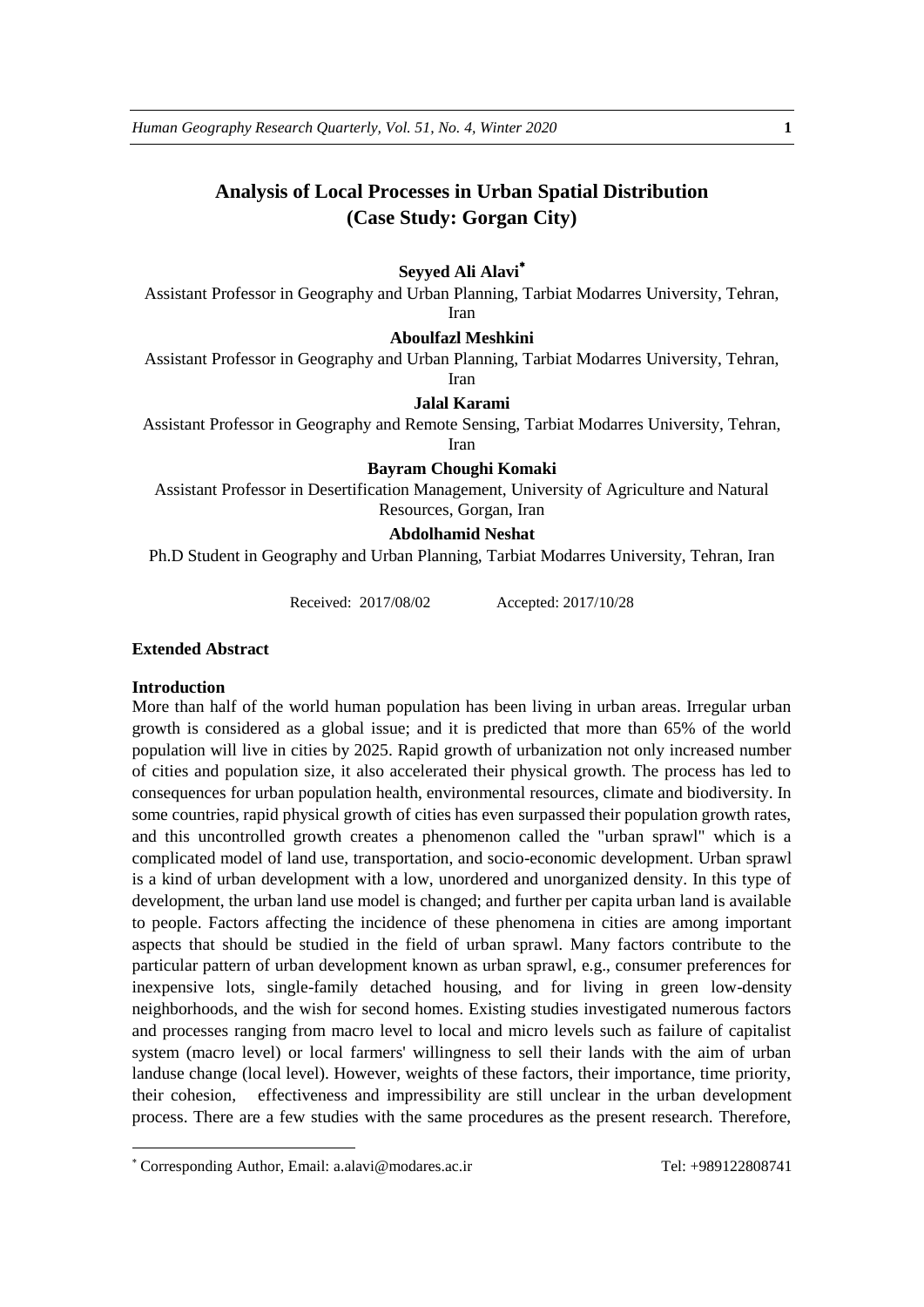# **Analysis of Local Processes in Urban Spatial Distribution (Case Study: Gorgan City)**

## **Seyyed Ali Alavi**

Assistant Professor in Geography and Urban Planning, Tarbiat Modarres University, Tehran, Iran

# **Aboulfazl Meshkini**

Assistant Professor in Geography and Urban Planning, Tarbiat Modarres University, Tehran, Iran

#### **Jalal Karami**

Assistant Professor in Geography and Remote Sensing, Tarbiat Modarres University, Tehran,

Iran

# **Bayram Choughi Komaki**

Assistant Professor in Desertification Management, University of Agriculture and Natural Resources, Gorgan, Iran

# **Abdolhamid Neshat**

Ph.D Student in Geography and Urban Planning, Tarbiat Modarres University, Tehran, Iran

Received: 2017/08/02 Accepted: 2017/10/28

#### **Extended Abstract**

#### **Introduction**

<u>.</u>

More than half of the world human population has been living in urban areas. Irregular urban growth is considered as a global issue; and it is predicted that more than 65% of the world population will live in cities by 2025. Rapid growth of urbanization not only increased number of cities and population size, it also accelerated their physical growth. The process has led to consequences for urban population health, environmental resources, climate and biodiversity. In some countries, rapid physical growth of cities has even surpassed their population growth rates, and this uncontrolled growth creates a phenomenon called the "urban sprawl" which is a complicated model of land use, transportation, and socio-economic development. Urban sprawl is a kind of urban development with a low, unordered and unorganized density. In this type of development, the urban land use model is changed; and further per capita urban land is available to people. Factors affecting the incidence of these phenomena in cities are among important aspects that should be studied in the field of urban sprawl. Many factors contribute to the particular pattern of urban development known as urban sprawl, e.g., consumer preferences for inexpensive lots, single-family detached housing, and for living in green low-density neighborhoods, and the wish for second homes. Existing studies investigated numerous factors and processes ranging from macro level to local and micro levels such as failure of capitalist system (macro level) or local farmers' willingness to sell their lands with the aim of urban landuse change (local level). However, weights of these factors, their importance, time priority, their cohesion, effectiveness and impressibility are still unclear in the urban development process. There are a few studies with the same procedures as the present research. Therefore,

Corresponding Author, Email: a.alavi@modares.ac.ir Tel: +989122808741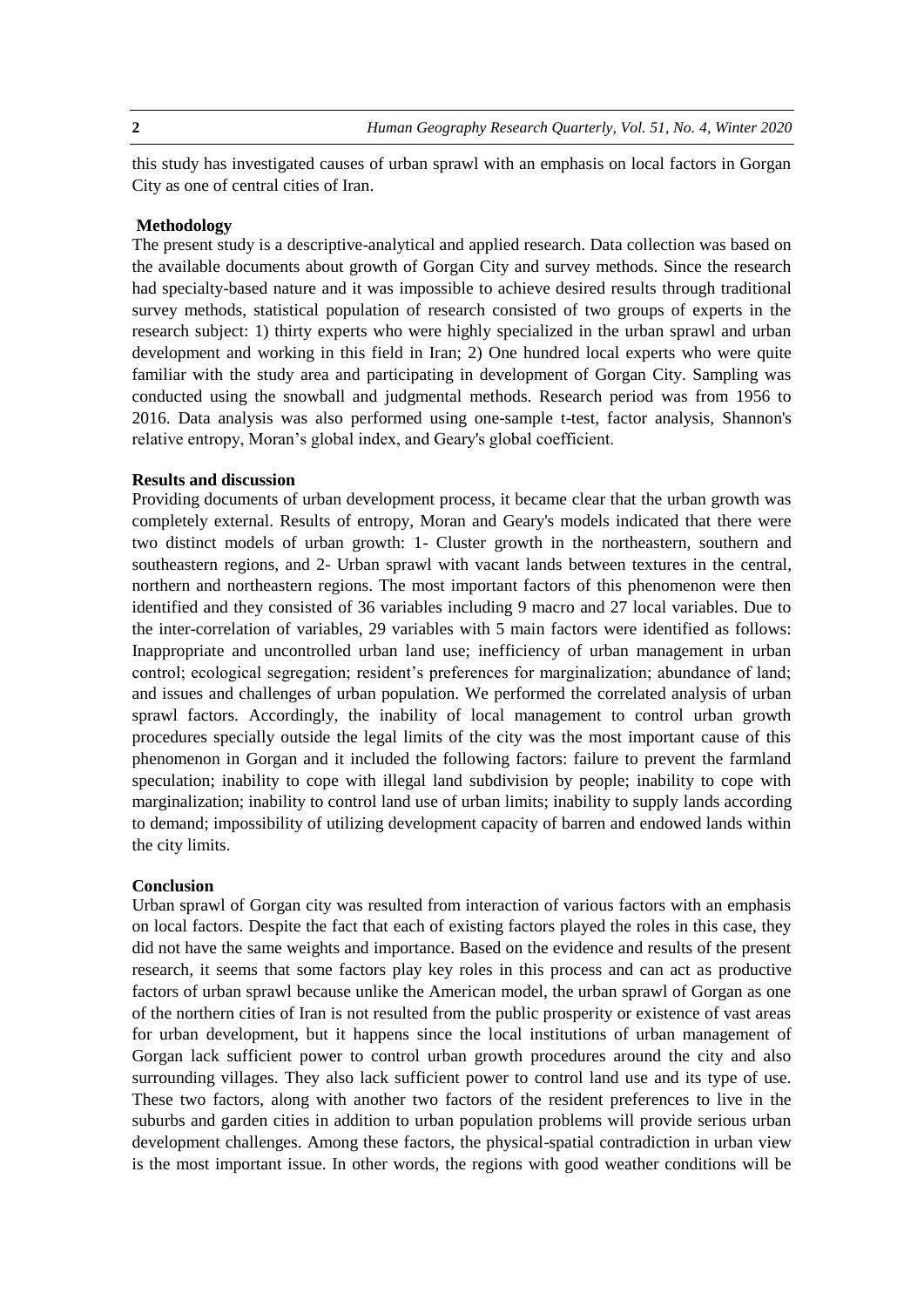**2** *Human Geography Research Quarterly, Vol. 51, No. 4, Winter 2020*

this study has investigated causes of urban sprawl with an emphasis on local factors in Gorgan City as one of central cities of Iran.

## **Methodology**

The present study is a descriptive-analytical and applied research. Data collection was based on the available documents about growth of Gorgan City and survey methods. Since the research had specialty-based nature and it was impossible to achieve desired results through traditional survey methods, statistical population of research consisted of two groups of experts in the research subject: 1) thirty experts who were highly specialized in the urban sprawl and urban development and working in this field in Iran; 2) One hundred local experts who were quite familiar with the study area and participating in development of Gorgan City. Sampling was conducted using the snowball and judgmental methods. Research period was from 1956 to 2016. Data analysis was also performed using one-sample t-test, factor analysis, Shannon's relative entropy, Moran's global index, and Geary's global coefficient.

# **Results and discussion**

Providing documents of urban development process, it became clear that the urban growth was completely external. Results of entropy, Moran and Geary's models indicated that there were two distinct models of urban growth: 1- Cluster growth in the northeastern, southern and southeastern regions, and 2- Urban sprawl with vacant lands between textures in the central, northern and northeastern regions. The most important factors of this phenomenon were then identified and they consisted of 36 variables including 9 macro and 27 local variables. Due to the inter-correlation of variables, 29 variables with 5 main factors were identified as follows: Inappropriate and uncontrolled urban land use; inefficiency of urban management in urban control; ecological segregation; resident's preferences for marginalization; abundance of land; and issues and challenges of urban population. We performed the correlated analysis of urban sprawl factors. Accordingly, the inability of local management to control urban growth procedures specially outside the legal limits of the city was the most important cause of this phenomenon in Gorgan and it included the following factors: failure to prevent the farmland speculation; inability to cope with illegal land subdivision by people; inability to cope with marginalization; inability to control land use of urban limits; inability to supply lands according to demand; impossibility of utilizing development capacity of barren and endowed lands within the city limits.

#### **Conclusion**

Urban sprawl of Gorgan city was resulted from interaction of various factors with an emphasis on local factors. Despite the fact that each of existing factors played the roles in this case, they did not have the same weights and importance. Based on the evidence and results of the present research, it seems that some factors play key roles in this process and can act as productive factors of urban sprawl because unlike the American model, the urban sprawl of Gorgan as one of the northern cities of Iran is not resulted from the public prosperity or existence of vast areas for urban development, but it happens since the local institutions of urban management of Gorgan lack sufficient power to control urban growth procedures around the city and also surrounding villages. They also lack sufficient power to control land use and its type of use. These two factors, along with another two factors of the resident preferences to live in the suburbs and garden cities in addition to urban population problems will provide serious urban development challenges. Among these factors, the physical-spatial contradiction in urban view is the most important issue. In other words, the regions with good weather conditions will be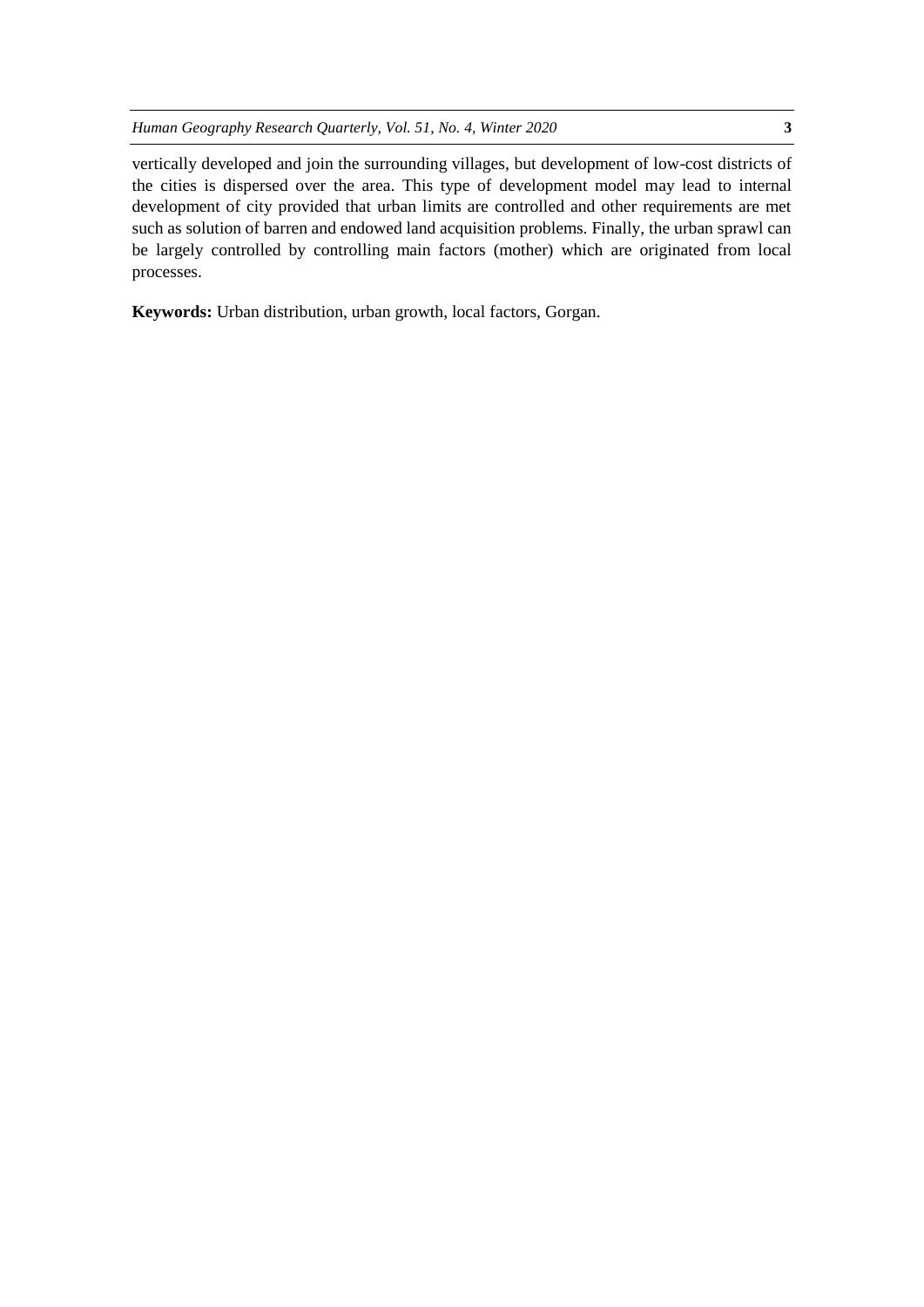vertically developed and join the surrounding villages, but development of low-cost districts of the cities is dispersed over the area. This type of development model may lead to internal development of city provided that urban limits are controlled and other requirements are met such as solution of barren and endowed land acquisition problems. Finally, the urban sprawl can be largely controlled by controlling main factors (mother) which are originated from local processes.

**Keywords:** Urban distribution, urban growth, local factors, Gorgan.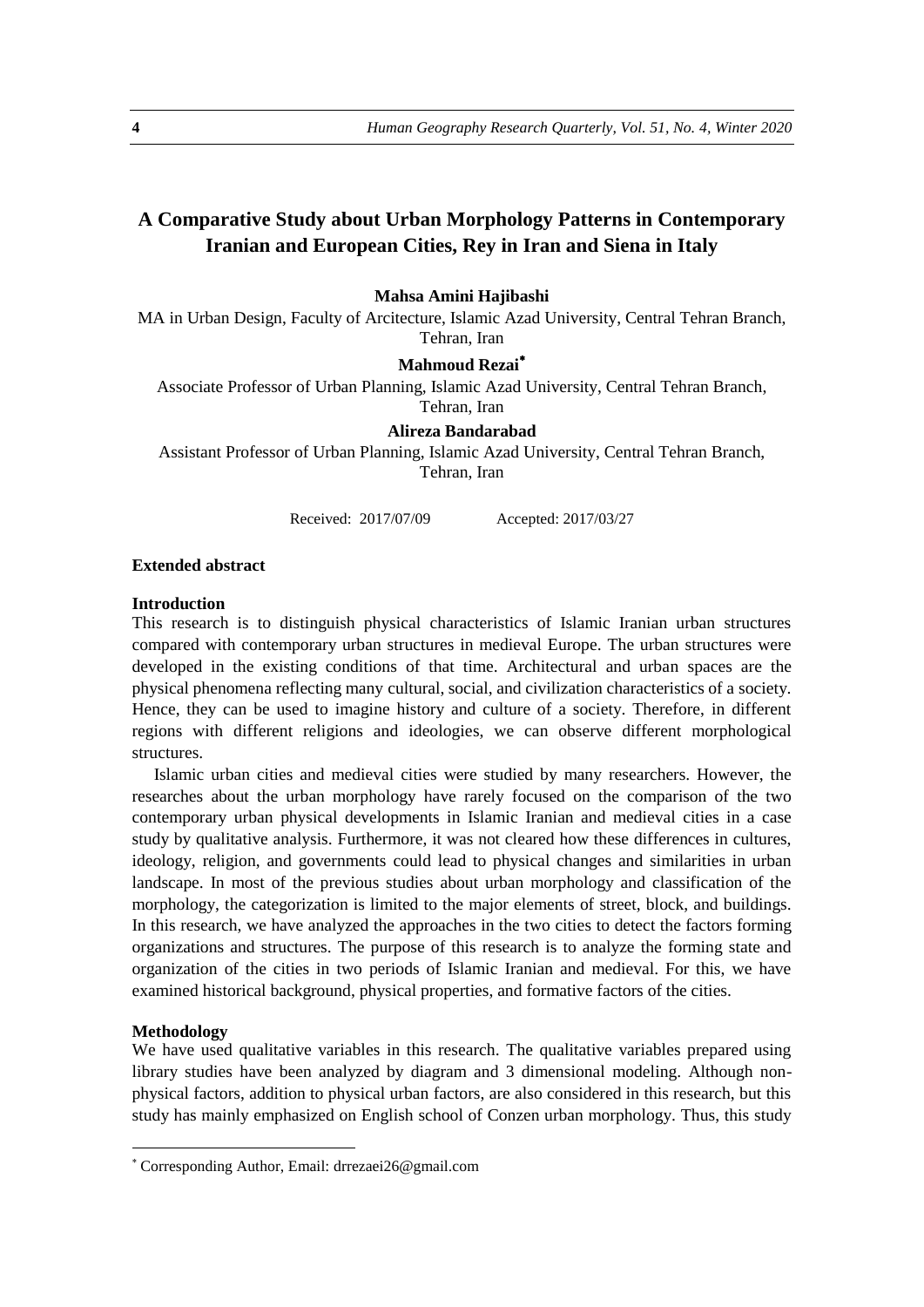# **A Comparative Study about Urban Morphology Patterns in Contemporary Iranian and European Cities, Rey in Iran and Siena in Italy**

## **Mahsa Amini Hajibashi**

MA in Urban Design, Faculty of Arcitecture, Islamic Azad University, Central Tehran Branch, Tehran, Iran

## **Mahmoud Rezai**

Associate Professor of Urban Planning, Islamic Azad University, Central Tehran Branch, Tehran, Iran

#### **Alireza Bandarabad**

Assistant Professor of Urban Planning, Islamic Azad University, Central Tehran Branch, Tehran, Iran

Received: 2017/07/09 Accepted: 2017/03/27

#### **Extended abstract**

#### **Introduction**

This research is to distinguish physical characteristics of Islamic Iranian urban structures compared with contemporary urban structures in medieval Europe. The urban structures were developed in the existing conditions of that time. Architectural and urban spaces are the physical phenomena reflecting many cultural, social, and civilization characteristics of a society. Hence, they can be used to imagine history and culture of a society. Therefore, in different regions with different religions and ideologies, we can observe different morphological structures.

Islamic urban cities and medieval cities were studied by many researchers. However, the researches about the urban morphology have rarely focused on the comparison of the two contemporary urban physical developments in Islamic Iranian and medieval cities in a case study by qualitative analysis. Furthermore, it was not cleared how these differences in cultures, ideology, religion, and governments could lead to physical changes and similarities in urban landscape. In most of the previous studies about urban morphology and classification of the morphology, the categorization is limited to the major elements of street, block, and buildings. In this research, we have analyzed the approaches in the two cities to detect the factors forming organizations and structures. The purpose of this research is to analyze the forming state and organization of the cities in two periods of Islamic Iranian and medieval. For this, we have examined historical background, physical properties, and formative factors of the cities.

#### **Methodology**

<u>.</u>

We have used qualitative variables in this research. The qualitative variables prepared using library studies have been analyzed by diagram and 3 dimensional modeling. Although nonphysical factors, addition to physical urban factors, are also considered in this research, but this study has mainly emphasized on English school of Conzen urban morphology. Thus, this study

Corresponding Author, Email: drrezaei26@gmail.com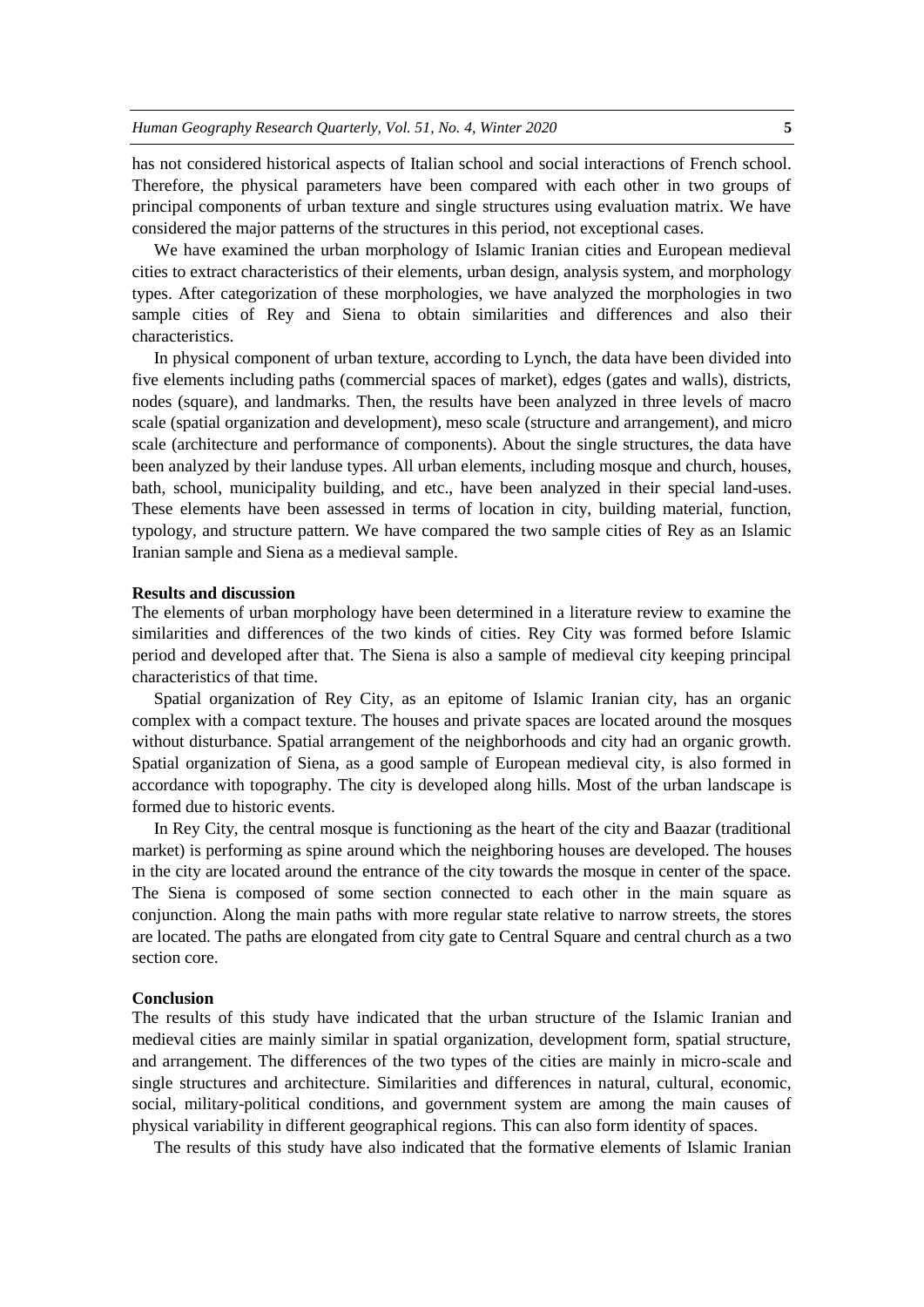has not considered historical aspects of Italian school and social interactions of French school. Therefore, the physical parameters have been compared with each other in two groups of principal components of urban texture and single structures using evaluation matrix. We have considered the major patterns of the structures in this period, not exceptional cases.

We have examined the urban morphology of Islamic Iranian cities and European medieval cities to extract characteristics of their elements, urban design, analysis system, and morphology types. After categorization of these morphologies, we have analyzed the morphologies in two sample cities of Rey and Siena to obtain similarities and differences and also their characteristics.

In physical component of urban texture, according to Lynch, the data have been divided into five elements including paths (commercial spaces of market), edges (gates and walls), districts, nodes (square), and landmarks. Then, the results have been analyzed in three levels of macro scale (spatial organization and development), meso scale (structure and arrangement), and micro scale (architecture and performance of components). About the single structures, the data have been analyzed by their landuse types. All urban elements, including mosque and church, houses, bath, school, municipality building, and etc., have been analyzed in their special land-uses. These elements have been assessed in terms of location in city, building material, function, typology, and structure pattern. We have compared the two sample cities of Rey as an Islamic Iranian sample and Siena as a medieval sample.

## **Results and discussion**

The elements of urban morphology have been determined in a literature review to examine the similarities and differences of the two kinds of cities. Rey City was formed before Islamic period and developed after that. The Siena is also a sample of medieval city keeping principal characteristics of that time.

Spatial organization of Rey City, as an epitome of Islamic Iranian city, has an organic complex with a compact texture. The houses and private spaces are located around the mosques without disturbance. Spatial arrangement of the neighborhoods and city had an organic growth. Spatial organization of Siena, as a good sample of European medieval city, is also formed in accordance with topography. The city is developed along hills. Most of the urban landscape is formed due to historic events.

In Rey City, the central mosque is functioning as the heart of the city and Baazar (traditional market) is performing as spine around which the neighboring houses are developed. The houses in the city are located around the entrance of the city towards the mosque in center of the space. The Siena is composed of some section connected to each other in the main square as conjunction. Along the main paths with more regular state relative to narrow streets, the stores are located. The paths are elongated from city gate to Central Square and central church as a two section core.

#### **Conclusion**

The results of this study have indicated that the urban structure of the Islamic Iranian and medieval cities are mainly similar in spatial organization, development form, spatial structure, and arrangement. The differences of the two types of the cities are mainly in micro-scale and single structures and architecture. Similarities and differences in natural, cultural, economic, social, military-political conditions, and government system are among the main causes of physical variability in different geographical regions. This can also form identity of spaces.

The results of this study have also indicated that the formative elements of Islamic Iranian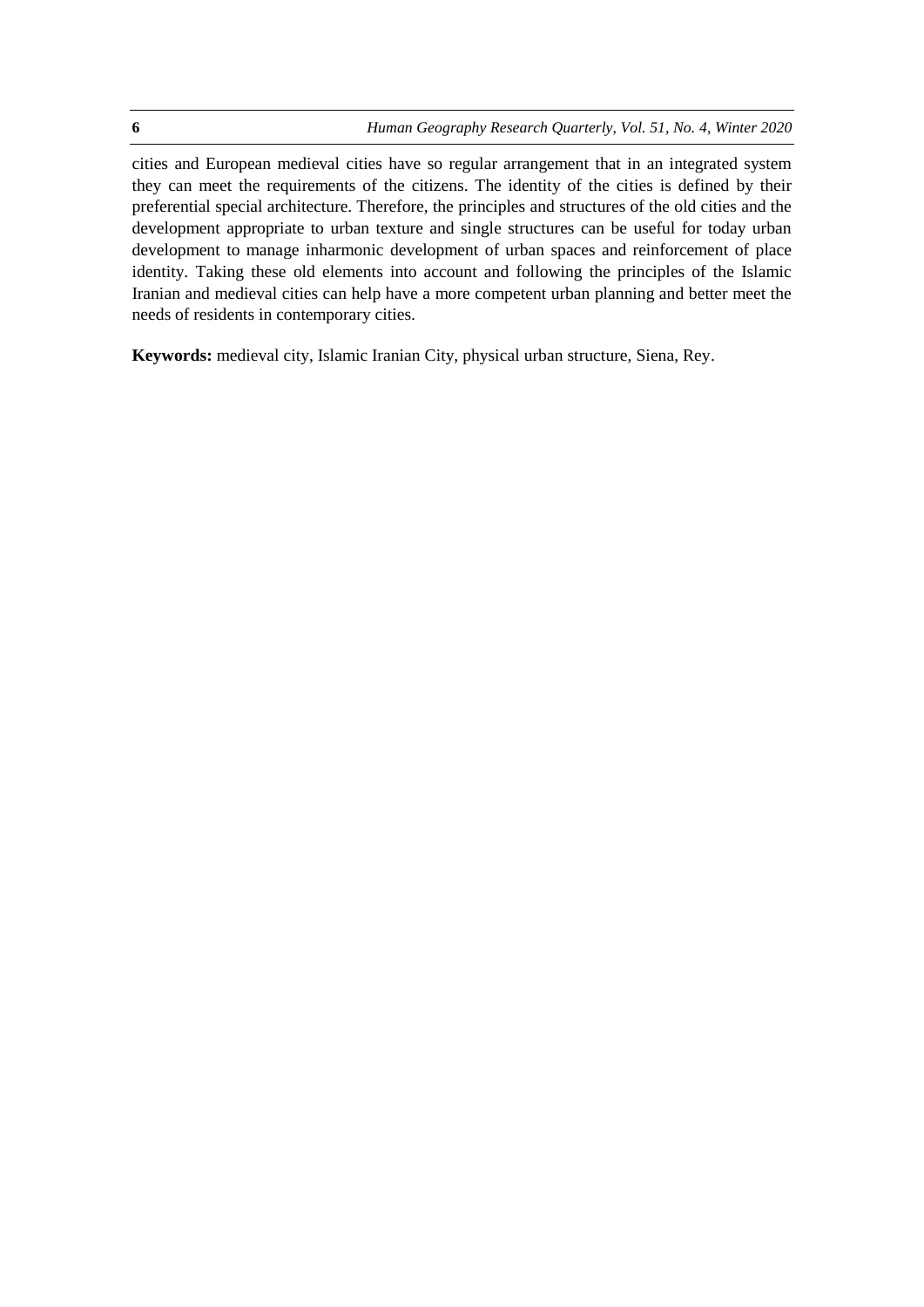cities and European medieval cities have so regular arrangement that in an integrated system they can meet the requirements of the citizens. The identity of the cities is defined by their preferential special architecture. Therefore, the principles and structures of the old cities and the development appropriate to urban texture and single structures can be useful for today urban development to manage inharmonic development of urban spaces and reinforcement of place identity. Taking these old elements into account and following the principles of the Islamic Iranian and medieval cities can help have a more competent urban planning and better meet the needs of residents in contemporary cities.

**Keywords:** medieval city, Islamic Iranian City, physical urban structure, Siena, Rey.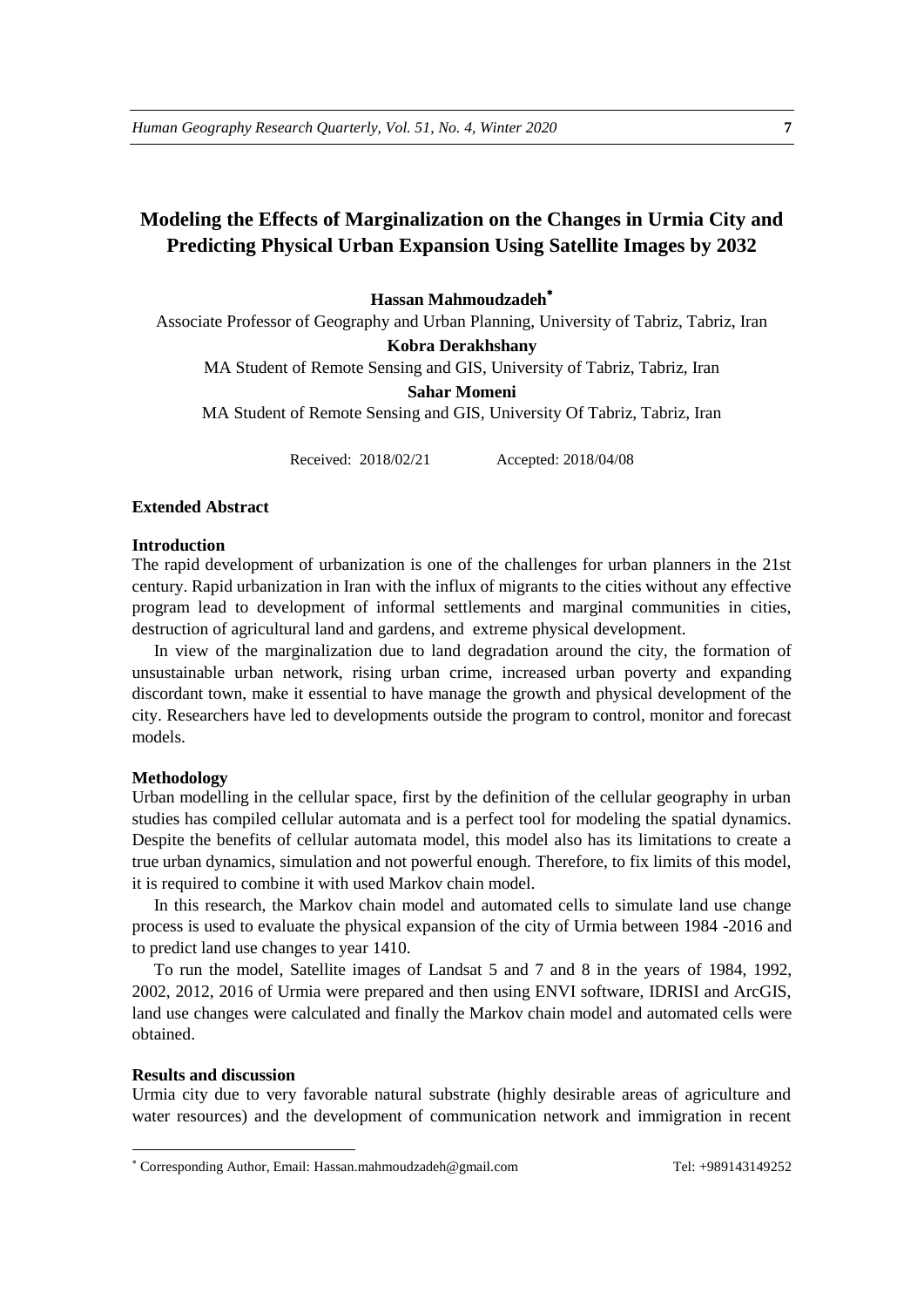# **Modeling the Effects of Marginalization on the Changes in Urmia City and Predicting Physical Urban Expansion Using Satellite Images by 2032**

# **Hassan Mahmoudzadeh**

Associate Professor of Geography and Urban Planning, University of Tabriz, Tabriz, Iran

**Kobra Derakhshany**

MA Student of Remote Sensing and GIS, University of Tabriz, Tabriz, Iran

**Sahar Momeni** 

MA Student of Remote Sensing and GIS, University Of Tabriz, Tabriz, Iran

Received: 2018/02/21 Accepted: 2018/04/08

# **Extended Abstract**

#### **Introduction**

The rapid development of urbanization is one of the challenges for urban planners in the 21st century. Rapid urbanization in Iran with the influx of migrants to the cities without any effective program lead to development of informal settlements and marginal communities in cities, destruction of agricultural land and gardens, and extreme physical development.

In view of the marginalization due to land degradation around the city, the formation of unsustainable urban network, rising urban crime, increased urban poverty and expanding discordant town, make it essential to have manage the growth and physical development of the city. Researchers have led to developments outside the program to control, monitor and forecast models.

#### **Methodology**

Urban modelling in the cellular space, first by the definition of the cellular geography in urban studies has compiled cellular automata and is a perfect tool for modeling the spatial dynamics. Despite the benefits of cellular automata model, this model also has its limitations to create a true urban dynamics, simulation and not powerful enough. Therefore, to fix limits of this model, it is required to combine it with used Markov chain model.

In this research, the Markov chain model and automated cells to simulate land use change process is used to evaluate the physical expansion of the city of Urmia between 1984 -2016 and to predict land use changes to year 1410.

To run the model, Satellite images of Landsat 5 and 7 and 8 in the years of 1984, 1992, 2002, 2012, 2016 of Urmia were prepared and then using ENVI software, IDRISI and ArcGIS, land use changes were calculated and finally the Markov chain model and automated cells were obtained.

#### **Results and discussion**

1

Urmia city due to very favorable natural substrate (highly desirable areas of agriculture and water resources) and the development of communication network and immigration in recent

Corresponding Author, Email: Hassan.mahmoudzadeh@gmail.com Tel: +989143149252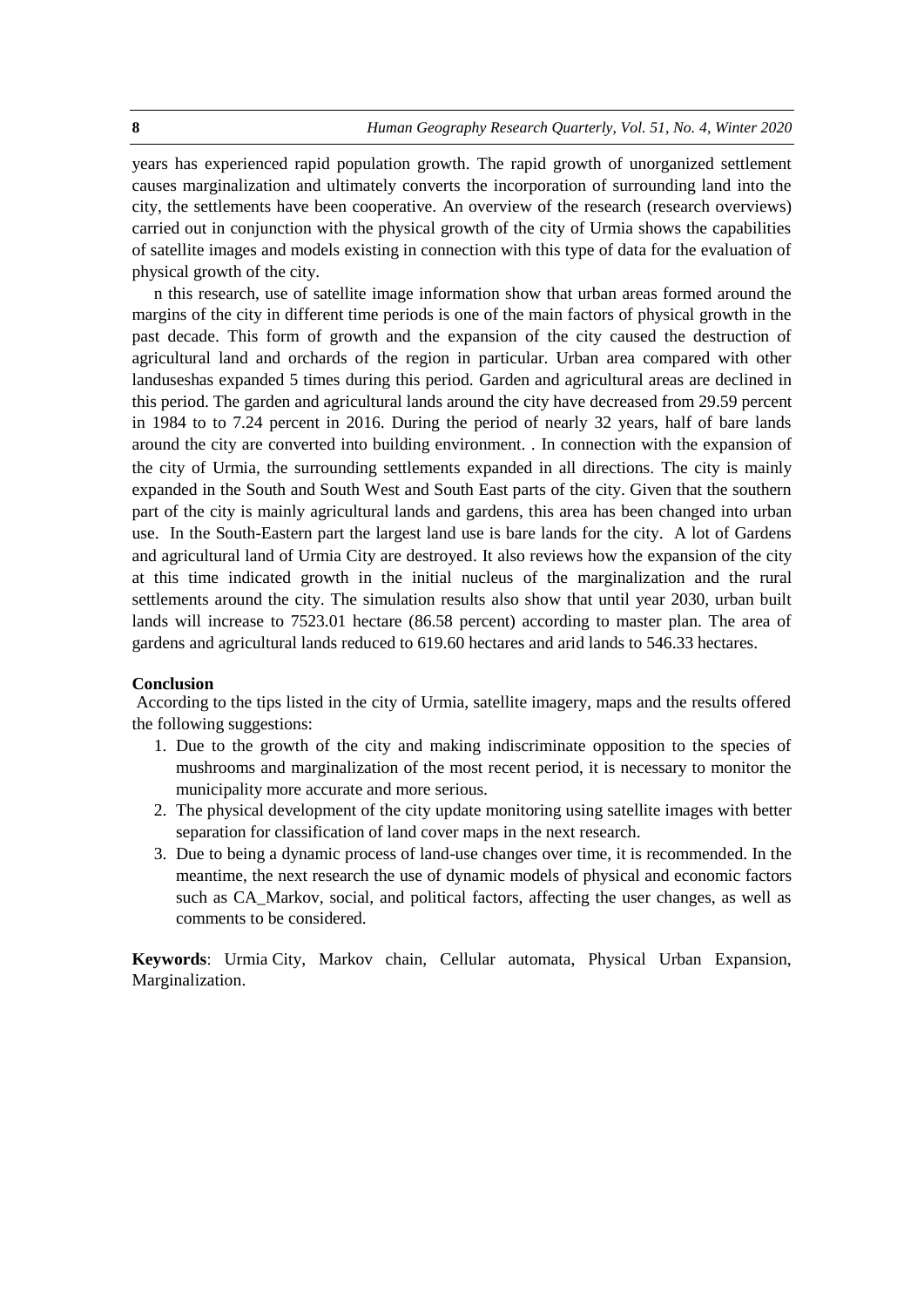years has experienced rapid population growth. The rapid growth of unorganized settlement causes marginalization and ultimately converts the incorporation of surrounding land into the city, the settlements have been cooperative. An overview of the research (research overviews) carried out in conjunction with the physical growth of the city of Urmia shows the capabilities of satellite images and models existing in connection with this type of data for the evaluation of physical growth of the city.

n this research, use of satellite image information show that urban areas formed around the margins of the city in different time periods is one of the main factors of physical growth in the past decade. This form of growth and the expansion of the city caused the destruction of agricultural land and orchards of the region in particular. Urban area compared with other landuseshas expanded 5 times during this period. Garden and agricultural areas are declined in this period. The garden and agricultural lands around the city have decreased from 29.59 percent in 1984 to to 7.24 percent in 2016. During the period of nearly 32 years, half of bare lands around the city are converted into building environment. . In connection with the expansion of the city of Urmia, the surrounding settlements expanded in all directions. The city is mainly expanded in the South and South West and South East parts of the city. Given that the southern part of the city is mainly agricultural lands and gardens, this area has been changed into urban use. In the South-Eastern part the largest land use is bare lands for the city. A lot of Gardens and agricultural land of Urmia City are destroyed. It also reviews how the expansion of the city at this time indicated growth in the initial nucleus of the marginalization and the rural settlements around the city. The simulation results also show that until year 2030, urban built lands will increase to 7523.01 hectare (86.58 percent) according to master plan. The area of gardens and agricultural lands reduced to 619.60 hectares and arid lands to 546.33 hectares.

## **Conclusion**

According to the tips listed in the city of Urmia, satellite imagery, maps and the results offered the following suggestions:

- 1. Due to the growth of the city and making indiscriminate opposition to the species of mushrooms and marginalization of the most recent period, it is necessary to monitor the municipality more accurate and more serious.
- 2. The physical development of the city update monitoring using satellite images with better separation for classification of land cover maps in the next research.
- 3. Due to being a dynamic process of land-use changes over time, it is recommended. In the meantime, the next research the use of dynamic models of physical and economic factors such as CA\_Markov, social, and political factors, affecting the user changes, as well as comments to be considered.

**Keywords**: Urmia City, Markov chain, Cellular automata, Physical Urban Expansion, Marginalization.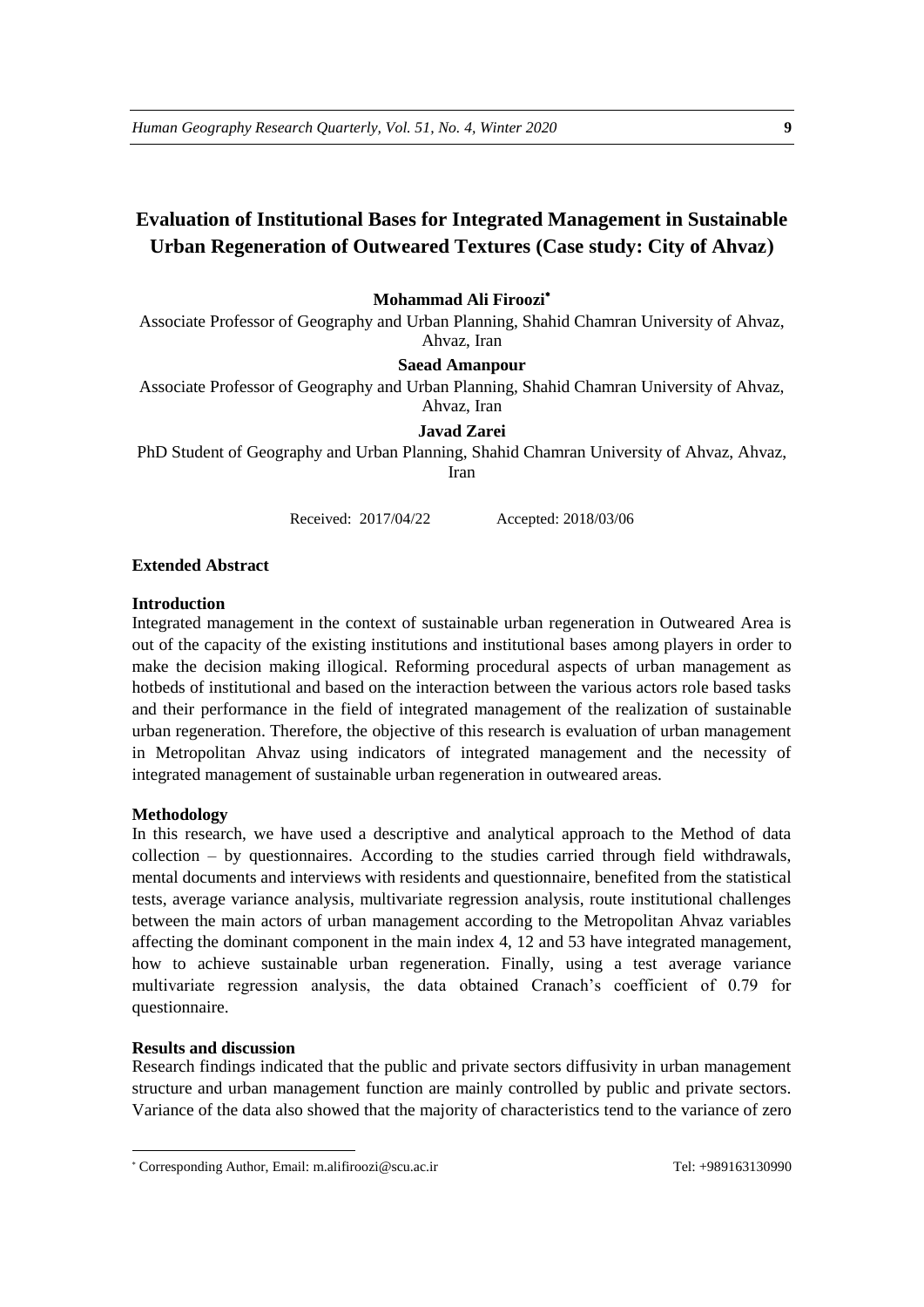# **Evaluation of Institutional Bases for Integrated Management in Sustainable Urban Regeneration of Outweared Textures (Case study: City of Ahvaz(**

# **Mohammad Ali Firoozi**

Associate Professor of Geography and Urban Planning, Shahid Chamran University of Ahvaz, Ahvaz, Iran

#### **Saead Amanpour**

Associate Professor of Geography and Urban Planning, Shahid Chamran University of Ahvaz, Ahvaz, Iran

#### **Javad Zarei**

PhD Student of Geography and Urban Planning, Shahid Chamran University of Ahvaz, Ahvaz, Iran

Received: 2017/04/22 Accepted: 2018/03/06

#### **Extended Abstract**

#### **Introduction**

Integrated management in the context of sustainable urban regeneration in Outweared Area is out of the capacity of the existing institutions and institutional bases among players in order to make the decision making illogical. Reforming procedural aspects of urban management as hotbeds of institutional and based on the interaction between the various actors role based tasks and their performance in the field of integrated management of the realization of sustainable urban regeneration. Therefore, the objective of this research is evaluation of urban management in Metropolitan Ahvaz using indicators of integrated management and the necessity of integrated management of sustainable urban regeneration in outweared areas.

#### **Methodology**

In this research, we have used a descriptive and analytical approach to the Method of data collection – by questionnaires. According to the studies carried through field withdrawals, mental documents and interviews with residents and questionnaire, benefited from the statistical tests, average variance analysis, multivariate regression analysis, route institutional challenges between the main actors of urban management according to the Metropolitan Ahvaz variables affecting the dominant component in the main index 4, 12 and 53 have integrated management, how to achieve sustainable urban regeneration. Finally, using a test average variance multivariate regression analysis, the data obtained Cranach's coefficient of 0.79 for questionnaire.

# **Results and discussion**

1

Research findings indicated that the public and private sectors diffusivity in urban management structure and urban management function are mainly controlled by public and private sectors. Variance of the data also showed that the majority of characteristics tend to the variance of zero

Corresponding Author, Email: m.alifiroozi@scu.ac.ir Tel: +989163130990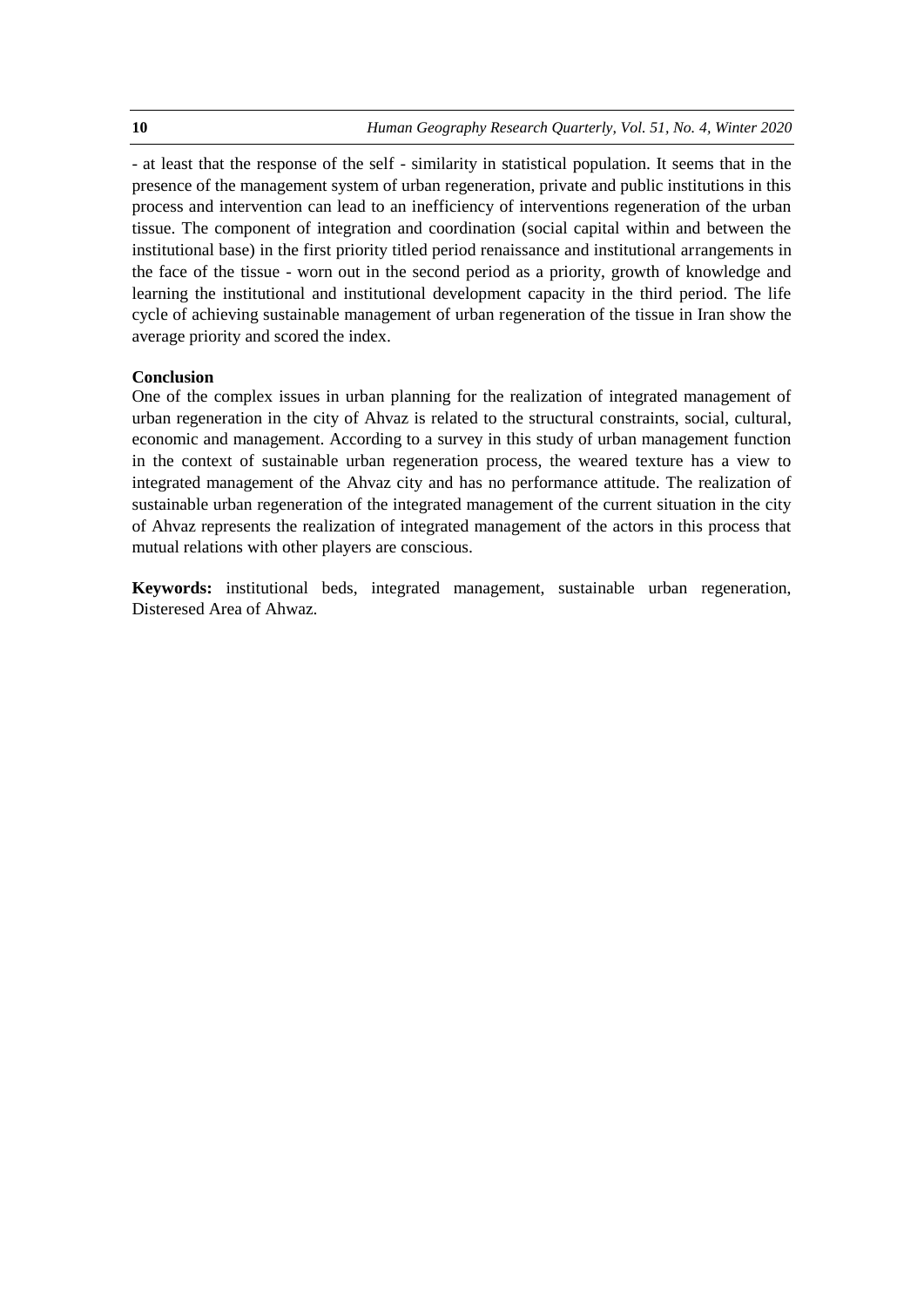- at least that the response of the self - similarity in statistical population. It seems that in the presence of the management system of urban regeneration, private and public institutions in this process and intervention can lead to an inefficiency of interventions regeneration of the urban tissue. The component of integration and coordination (social capital within and between the institutional base) in the first priority titled period renaissance and institutional arrangements in the face of the tissue - worn out in the second period as a priority, growth of knowledge and learning the institutional and institutional development capacity in the third period. The life cycle of achieving sustainable management of urban regeneration of the tissue in Iran show the average priority and scored the index.

# **Conclusion**

One of the complex issues in urban planning for the realization of integrated management of urban regeneration in the city of Ahvaz is related to the structural constraints, social, cultural, economic and management. According to a survey in this study of urban management function in the context of sustainable urban regeneration process, the weared texture has a view to integrated management of the Ahvaz city and has no performance attitude. The realization of sustainable urban regeneration of the integrated management of the current situation in the city of Ahvaz represents the realization of integrated management of the actors in this process that mutual relations with other players are conscious.

**Keywords:** institutional beds, integrated management, sustainable urban regeneration, Disteresed Area of Ahwaz.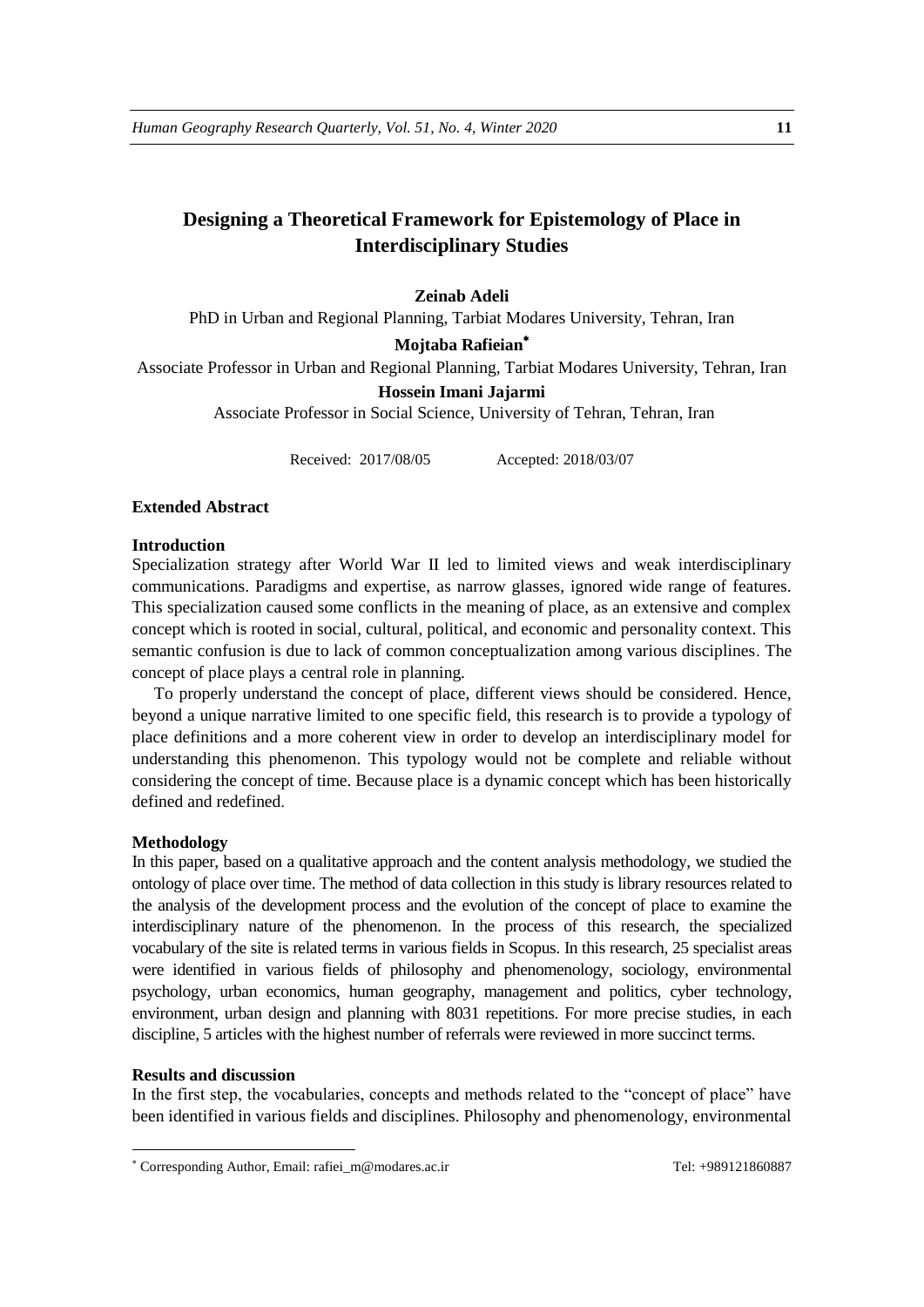# **Designing a Theoretical Framework for Epistemology of Place in Interdisciplinary Studies**

# **Zeinab Adeli**

PhD in Urban and Regional Planning, Tarbiat Modares University, Tehran, Iran

#### **Mojtaba Rafieian**

Associate Professor in Urban and Regional Planning, Tarbiat Modares University, Tehran, Iran

#### **Hossein Imani Jajarmi**

Associate Professor in Social Science, University of Tehran, Tehran, Iran

Received: 2017/08/05 Accepted: 2018/03/07

# **Extended Abstract**

#### **Introduction**

Specialization strategy after World War II led to limited views and weak interdisciplinary communications. Paradigms and expertise, as narrow glasses, ignored wide range of features. This specialization caused some conflicts in the meaning of place, as an extensive and complex concept which is rooted in social, cultural, political, and economic and personality context. This semantic confusion is due to lack of common conceptualization among various disciplines. The concept of place plays a central role in planning.

To properly understand the concept of place, different views should be considered. Hence, beyond a unique narrative limited to one specific field, this research is to provide a typology of place definitions and a more coherent view in order to develop an interdisciplinary model for understanding this phenomenon. This typology would not be complete and reliable without considering the concept of time. Because place is a dynamic concept which has been historically defined and redefined.

#### **Methodology**

In this paper, based on a qualitative approach and the content analysis methodology, we studied the ontology of place over time. The method of data collection in this study is library resources related to the analysis of the development process and the evolution of the concept of place to examine the interdisciplinary nature of the phenomenon. In the process of this research, the specialized vocabulary of the site is related terms in various fields in Scopus. In this research, 25 specialist areas were identified in various fields of philosophy and phenomenology, sociology, environmental psychology, urban economics, human geography, management and politics, cyber technology, environment, urban design and planning with 8031 repetitions. For more precise studies, in each discipline, 5 articles with the highest number of referrals were reviewed in more succinct terms.

#### **Results and discussion**

1

In the first step, the vocabularies, concepts and methods related to the "concept of place" have been identified in various fields and disciplines. Philosophy and phenomenology, environmental

<sup>\*</sup> Corresponding Author, Email: rafiei\_m@modares.ac.ir Tel: +989121860887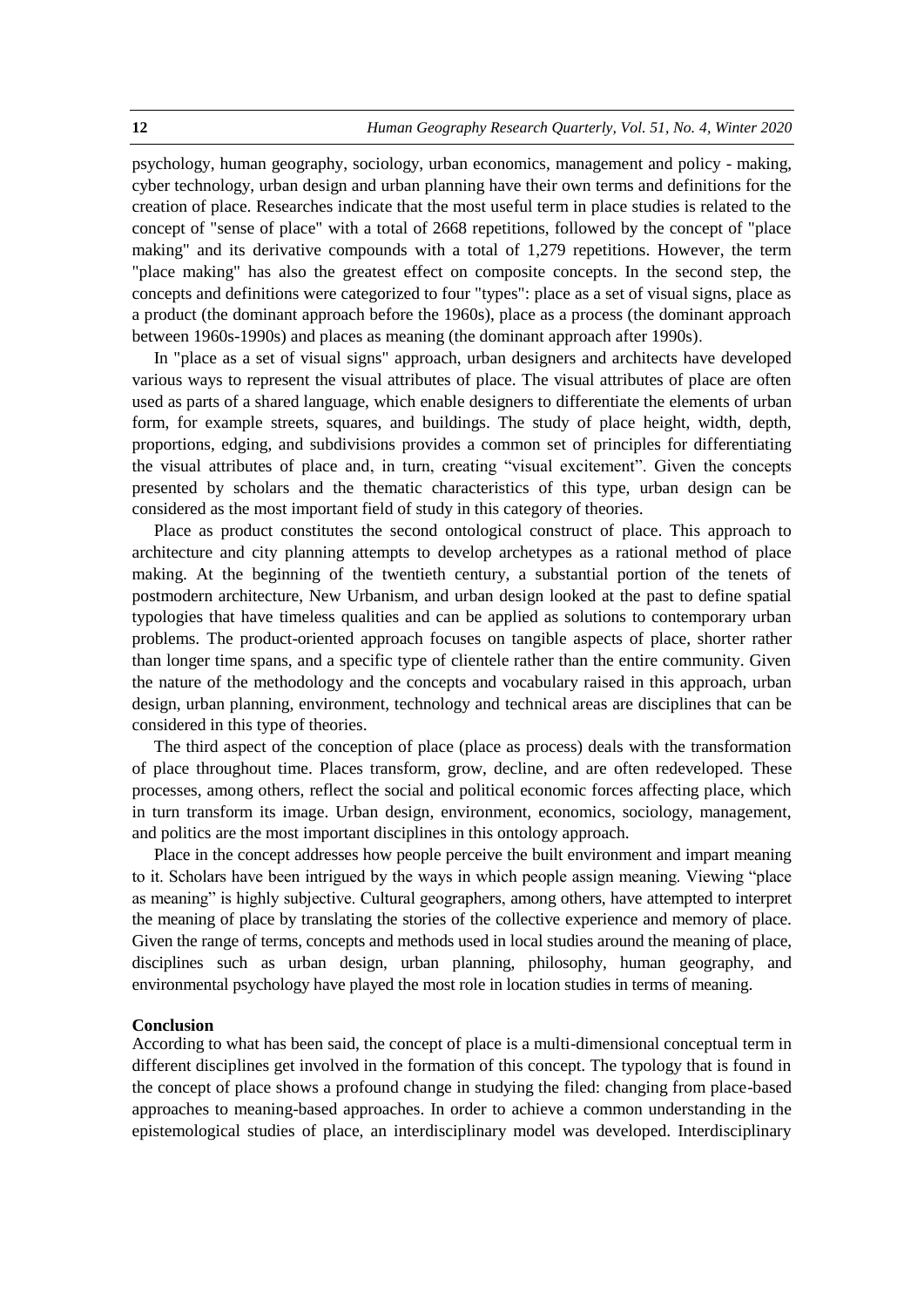psychology, human geography, sociology, urban economics, management and policy - making, cyber technology, urban design and urban planning have their own terms and definitions for the creation of place. Researches indicate that the most useful term in place studies is related to the concept of "sense of place" with a total of 2668 repetitions, followed by the concept of "place making" and its derivative compounds with a total of 1,279 repetitions. However, the term "place making" has also the greatest effect on composite concepts. In the second step, the concepts and definitions were categorized to four "types": place as a set of visual signs, place as a product (the dominant approach before the 1960s), place as a process (the dominant approach between 1960s-1990s) and places as meaning (the dominant approach after 1990s).

In "place as a set of visual signs" approach, urban designers and architects have developed various ways to represent the visual attributes of place. The visual attributes of place are often used as parts of a shared language, which enable designers to differentiate the elements of urban form, for example streets, squares, and buildings. The study of place height, width, depth, proportions, edging, and subdivisions provides a common set of principles for differentiating the visual attributes of place and, in turn, creating "visual excitement". Given the concepts presented by scholars and the thematic characteristics of this type, urban design can be considered as the most important field of study in this category of theories.

Place as product constitutes the second ontological construct of place. This approach to architecture and city planning attempts to develop archetypes as a rational method of place making. At the beginning of the twentieth century, a substantial portion of the tenets of postmodern architecture, New Urbanism, and urban design looked at the past to define spatial typologies that have timeless qualities and can be applied as solutions to contemporary urban problems. The product-oriented approach focuses on tangible aspects of place, shorter rather than longer time spans, and a specific type of clientele rather than the entire community. Given the nature of the methodology and the concepts and vocabulary raised in this approach, urban design, urban planning, environment, technology and technical areas are disciplines that can be considered in this type of theories.

The third aspect of the conception of place (place as process) deals with the transformation of place throughout time. Places transform, grow, decline, and are often redeveloped. These processes, among others, reflect the social and political economic forces affecting place, which in turn transform its image. Urban design, environment, economics, sociology, management, and politics are the most important disciplines in this ontology approach.

Place in the concept addresses how people perceive the built environment and impart meaning to it. Scholars have been intrigued by the ways in which people assign meaning. Viewing "place as meaning" is highly subjective. Cultural geographers, among others, have attempted to interpret the meaning of place by translating the stories of the collective experience and memory of place. Given the range of terms, concepts and methods used in local studies around the meaning of place, disciplines such as urban design, urban planning, philosophy, human geography, and environmental psychology have played the most role in location studies in terms of meaning.

#### **Conclusion**

According to what has been said, the concept of place is a multi-dimensional conceptual term in different disciplines get involved in the formation of this concept. The typology that is found in the concept of place shows a profound change in studying the filed: changing from place-based approaches to meaning-based approaches. In order to achieve a common understanding in the epistemological studies of place, an interdisciplinary model was developed. Interdisciplinary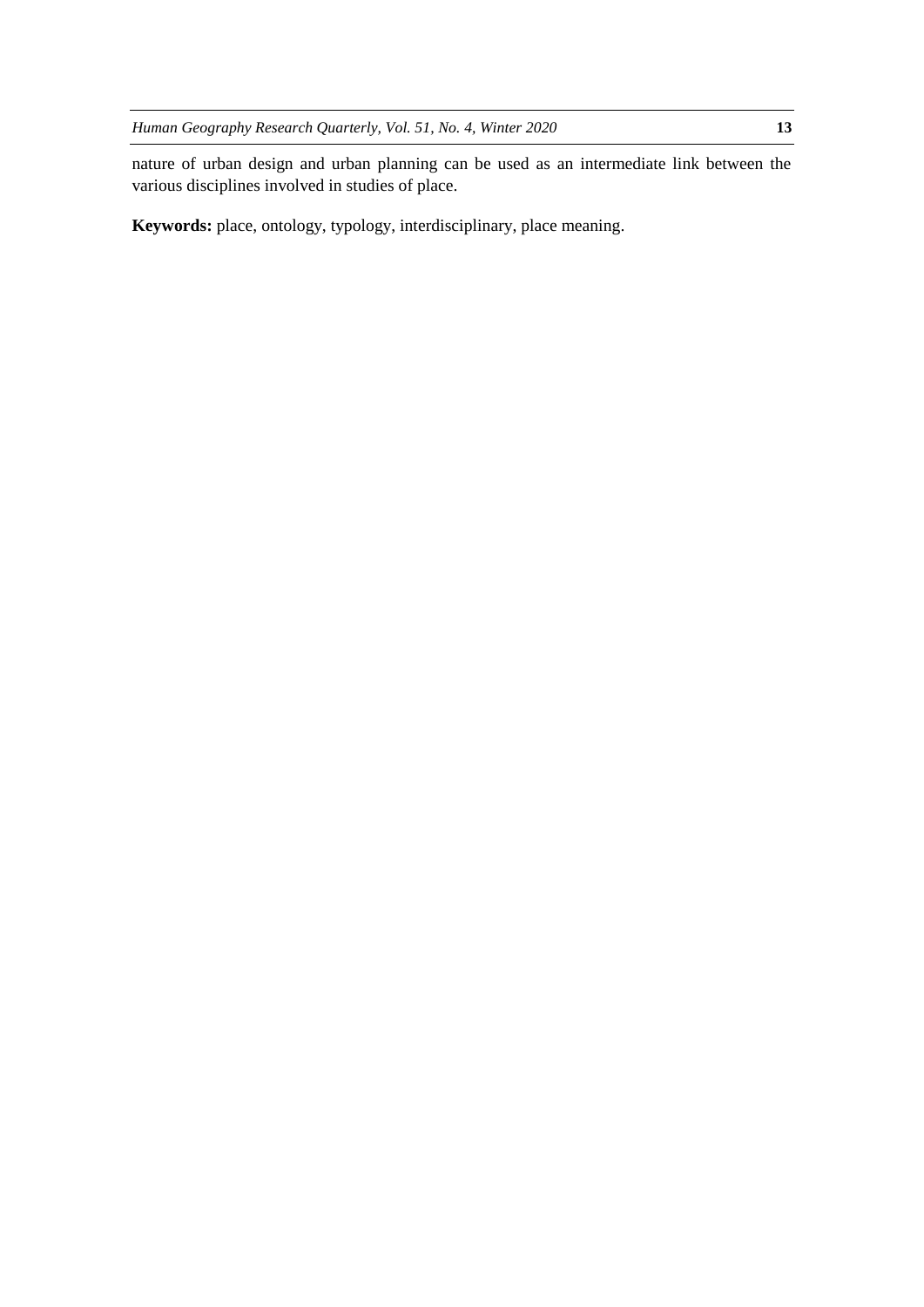nature of urban design and urban planning can be used as an intermediate link between the various disciplines involved in studies of place.

Keywords: place, ontology, typology, interdisciplinary, place meaning.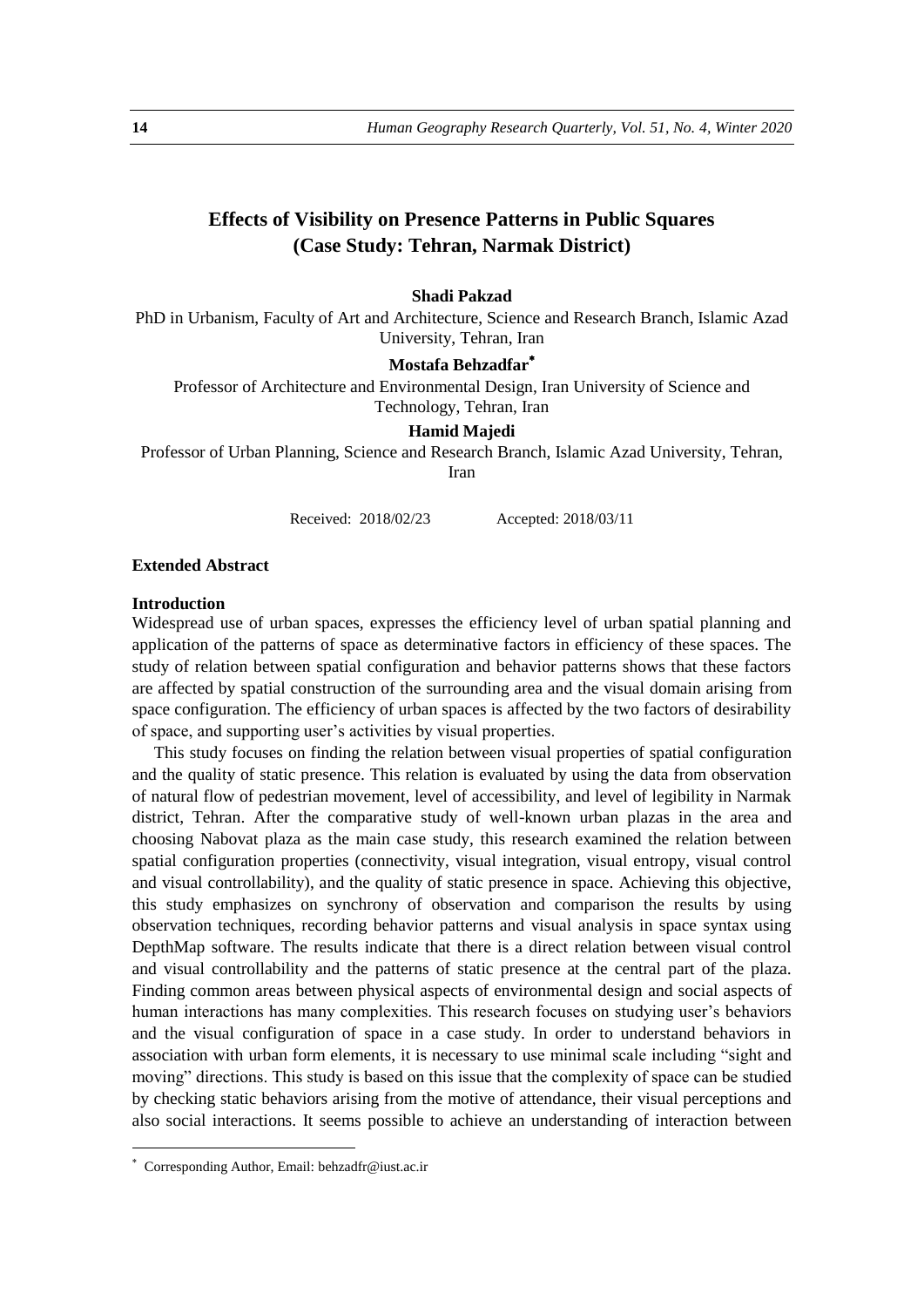# **Effects of Visibility on Presence Patterns in Public Squares (Case Study: Tehran, Narmak District)**

# **Shadi Pakzad**

PhD in Urbanism, Faculty of Art and Architecture, Science and Research Branch, Islamic Azad University, Tehran, Iran

# **Mostafa Behzadfar**

Professor of Architecture and Environmental Design, Iran University of Science and Technology, Tehran, Iran

#### **Hamid Majedi**

Professor of Urban Planning, Science and Research Branch, Islamic Azad University, Tehran, Iran

Received: 2018/02/23 Accepted: 2018/03/11

#### **Extended Abstract**

#### **Introduction**

Widespread use of urban spaces, expresses the efficiency level of urban spatial planning and application of the patterns of space as determinative factors in efficiency of these spaces. The study of relation between spatial configuration and behavior patterns shows that these factors are affected by spatial construction of the surrounding area and the visual domain arising from space configuration. The efficiency of urban spaces is affected by the two factors of desirability of space, and supporting user's activities by visual properties.

This study focuses on finding the relation between visual properties of spatial configuration and the quality of static presence. This relation is evaluated by using the data from observation of natural flow of pedestrian movement, level of accessibility, and level of legibility in Narmak district, Tehran. After the comparative study of well-known urban plazas in the area and choosing Nabovat plaza as the main case study, this research examined the relation between spatial configuration properties (connectivity, visual integration, visual entropy, visual control and visual controllability), and the quality of static presence in space. Achieving this objective, this study emphasizes on synchrony of observation and comparison the results by using observation techniques, recording behavior patterns and visual analysis in space syntax using DepthMap software. The results indicate that there is a direct relation between visual control and visual controllability and the patterns of static presence at the central part of the plaza. Finding common areas between physical aspects of environmental design and social aspects of human interactions has many complexities. This research focuses on studying user's behaviors and the visual configuration of space in a case study. In order to understand behaviors in association with urban form elements, it is necessary to use minimal scale including "sight and moving" directions. This study is based on this issue that the complexity of space can be studied by checking static behaviors arising from the motive of attendance, their visual perceptions and also social interactions. It seems possible to achieve an understanding of interaction between

<u>.</u>

Corresponding Author, Email: behzadfr@iust.ac.ir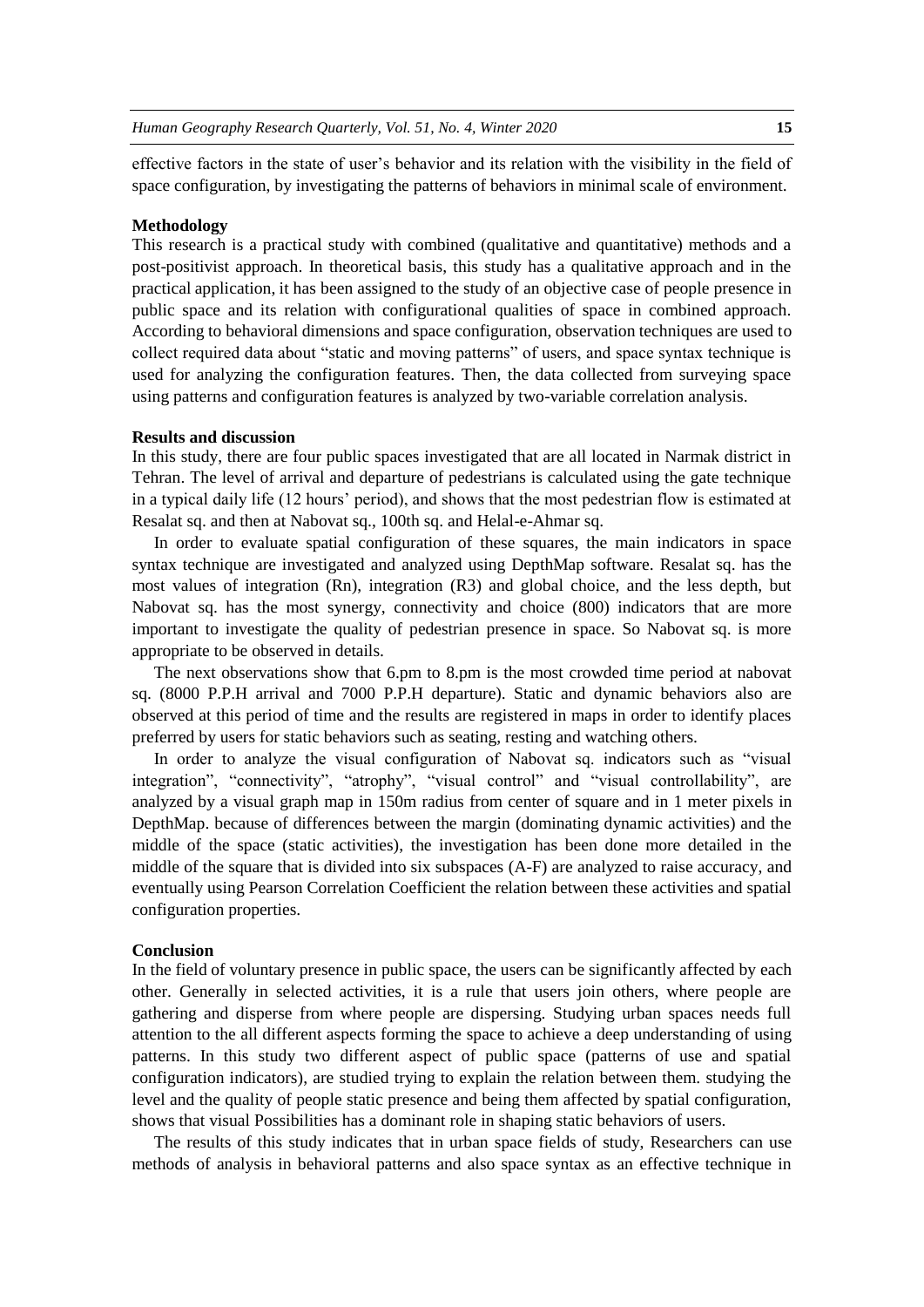effective factors in the state of user's behavior and its relation with the visibility in the field of space configuration, by investigating the patterns of behaviors in minimal scale of environment.

#### **Methodology**

This research is a practical study with combined (qualitative and quantitative) methods and a post-positivist approach. In theoretical basis, this study has a qualitative approach and in the practical application, it has been assigned to the study of an objective case of people presence in public space and its relation with configurational qualities of space in combined approach. According to behavioral dimensions and space configuration, observation techniques are used to collect required data about "static and moving patterns" of users, and space syntax technique is used for analyzing the configuration features. Then, the data collected from surveying space using patterns and configuration features is analyzed by two-variable correlation analysis.

## **Results and discussion**

In this study, there are four public spaces investigated that are all located in Narmak district in Tehran. The level of arrival and departure of pedestrians is calculated using the gate technique in a typical daily life (12 hours' period), and shows that the most pedestrian flow is estimated at Resalat sq. and then at Nabovat sq., 100th sq. and Helal-e-Ahmar sq.

In order to evaluate spatial configuration of these squares, the main indicators in space syntax technique are investigated and analyzed using DepthMap software. Resalat sq. has the most values of integration (Rn), integration (R3) and global choice, and the less depth, but Nabovat sq. has the most synergy, connectivity and choice (800) indicators that are more important to investigate the quality of pedestrian presence in space. So Nabovat sq. is more appropriate to be observed in details.

The next observations show that 6.pm to 8.pm is the most crowded time period at nabovat sq. (8000 P.P.H arrival and 7000 P.P.H departure). Static and dynamic behaviors also are observed at this period of time and the results are registered in maps in order to identify places preferred by users for static behaviors such as seating, resting and watching others.

In order to analyze the visual configuration of Nabovat sq. indicators such as "visual integration", "connectivity", "atrophy", "visual control" and "visual controllability", are analyzed by a visual graph map in 150m radius from center of square and in 1 meter pixels in DepthMap. because of differences between the margin (dominating dynamic activities) and the middle of the space (static activities), the investigation has been done more detailed in the middle of the square that is divided into six subspaces (A-F) are analyzed to raise accuracy, and eventually using Pearson Correlation Coefficient the relation between these activities and spatial configuration properties.

#### **Conclusion**

In the field of voluntary presence in public space, the users can be significantly affected by each other. Generally in selected activities, it is a rule that users join others, where people are gathering and disperse from where people are dispersing. Studying urban spaces needs full attention to the all different aspects forming the space to achieve a deep understanding of using patterns. In this study two different aspect of public space (patterns of use and spatial configuration indicators), are studied trying to explain the relation between them. studying the level and the quality of people static presence and being them affected by spatial configuration, shows that visual Possibilities has a dominant role in shaping static behaviors of users.

The results of this study indicates that in urban space fields of study, Researchers can use methods of analysis in behavioral patterns and also space syntax as an effective technique in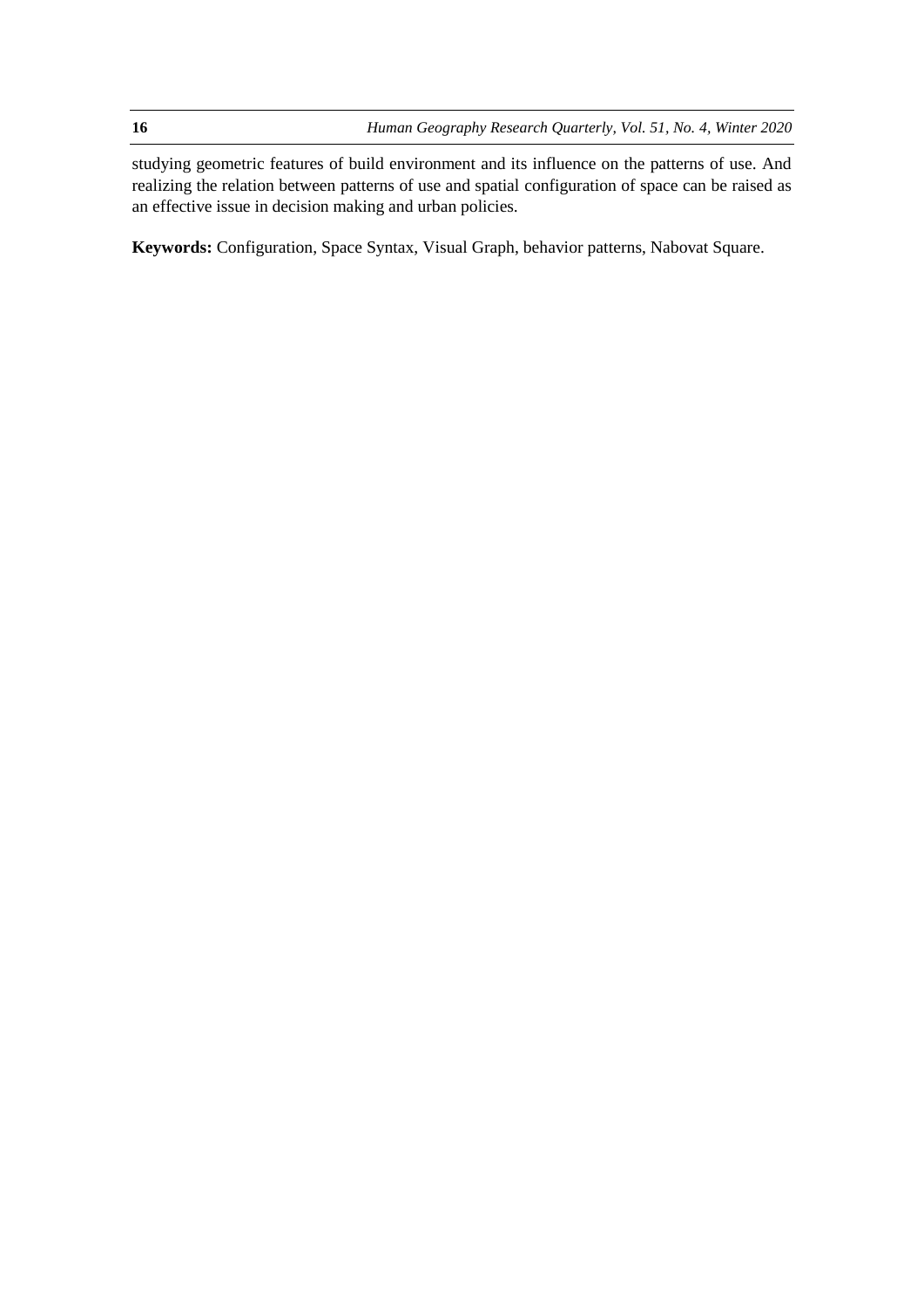**16** *Human Geography Research Quarterly, Vol. 51, No. 4, Winter 2020*

studying geometric features of build environment and its influence on the patterns of use. And realizing the relation between patterns of use and spatial configuration of space can be raised as an effective issue in decision making and urban policies.

**Keywords:** Configuration, Space Syntax, Visual Graph, behavior patterns, Nabovat Square.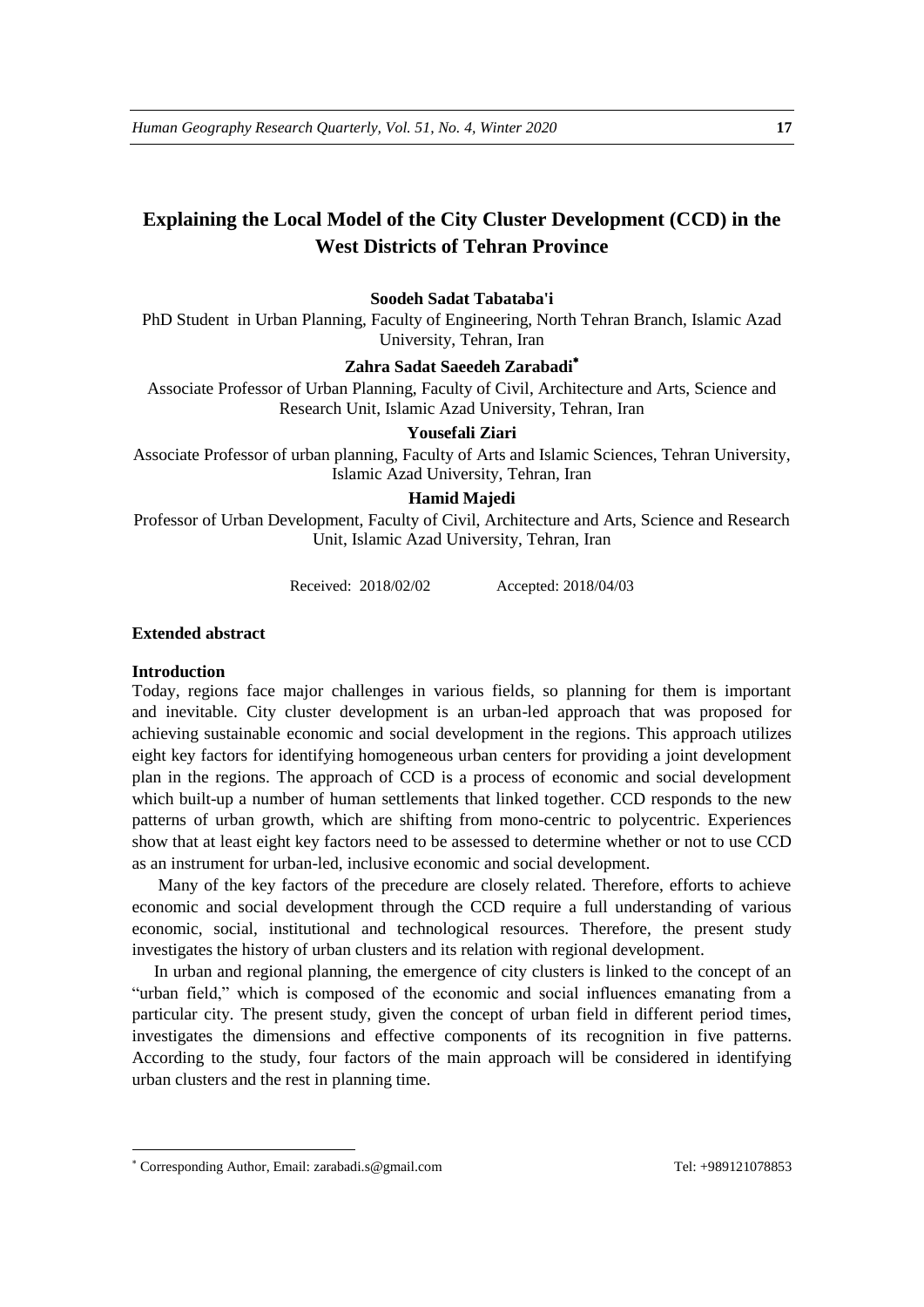# **Explaining the Local Model of the City Cluster Development (CCD) in the West Districts of Tehran Province**

# **Soodeh Sadat Tabataba'i**

PhD Student in Urban Planning, Faculty of Engineering, North Tehran Branch, Islamic Azad University, Tehran, Iran

#### **Zahra Sadat Saeedeh Zarabadi**

Associate Professor of Urban Planning, Faculty of Civil, Architecture and Arts, Science and Research Unit, Islamic Azad University, Tehran, Iran

# **Yousefali Ziari**

Associate Professor of urban planning, Faculty of Arts and Islamic Sciences, Tehran University, Islamic Azad University, Tehran, Iran

#### **Hamid Majedi**

Professor of Urban Development, Faculty of Civil, Architecture and Arts, Science and Research Unit, Islamic Azad University, Tehran, Iran

Received: 2018/02/02 Accepted: 2018/04/03

#### **Extended abstract**

## **Introduction**

1

Today, regions face major challenges in various fields, so planning for them is important and inevitable. City cluster development is an urban-led approach that was proposed for achieving sustainable economic and social development in the regions. This approach utilizes eight key factors for identifying homogeneous urban centers for providing a joint development plan in the regions. The approach of CCD is a process of economic and social development which built-up a number of human settlements that linked together. CCD responds to the new patterns of urban growth, which are shifting from mono-centric to polycentric. Experiences show that at least eight key factors need to be assessed to determine whether or not to use CCD as an instrument for urban-led, inclusive economic and social development.

Many of the key factors of the precedure are closely related. Therefore, efforts to achieve economic and social development through the CCD require a full understanding of various economic, social, institutional and technological resources. Therefore, the present study investigates the history of urban clusters and its relation with regional development.

In urban and regional planning, the emergence of city clusters is linked to the concept of an "urban field," which is composed of the economic and social influences emanating from a particular city. The present study, given the concept of urban field in different period times, investigates the dimensions and effective components of its recognition in five patterns. According to the study, four factors of the main approach will be considered in identifying urban clusters and the rest in planning time.

Corresponding Author, Email: zarabadi.s@gmail.com Tel: +989121078853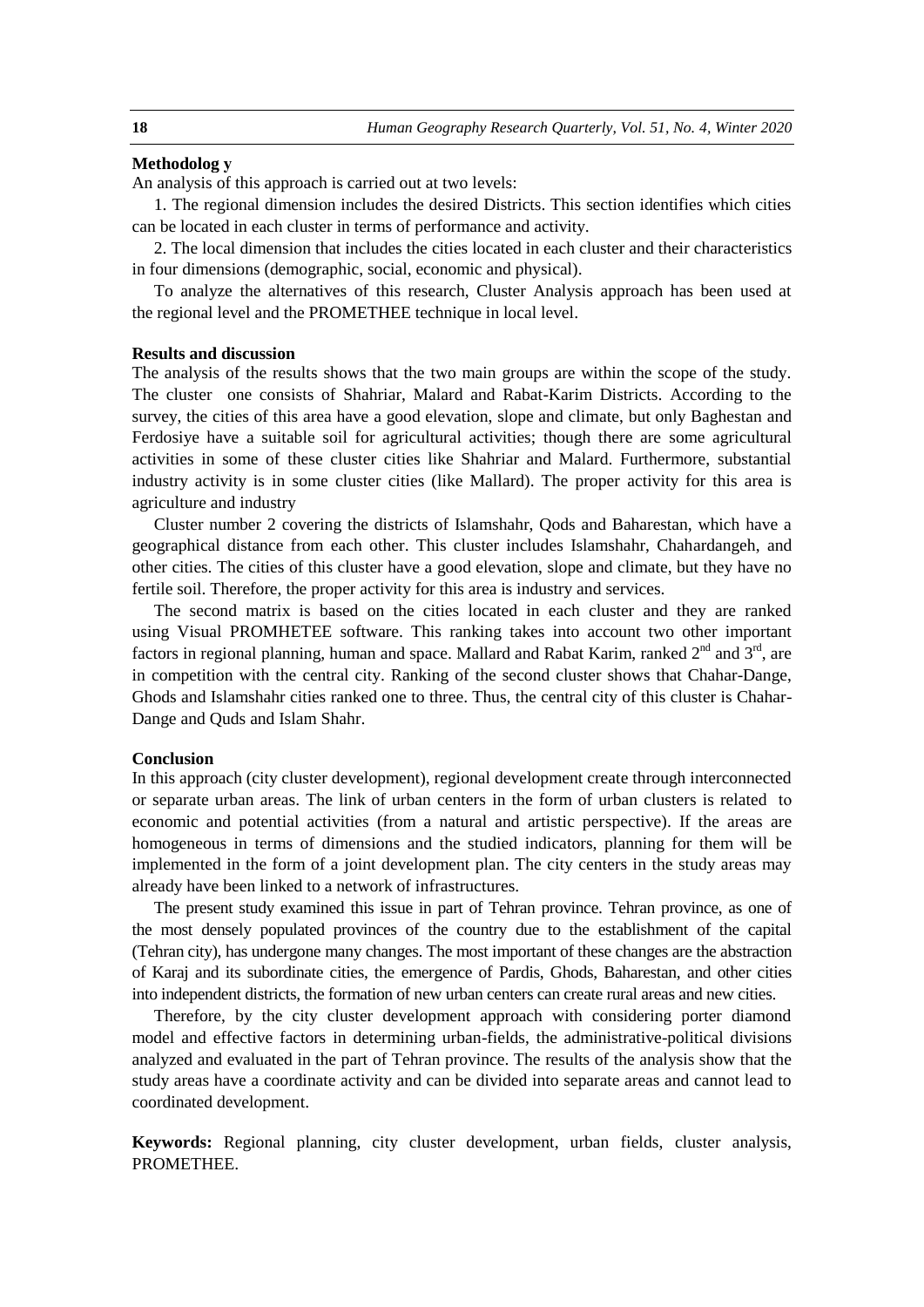#### **Methodolog y**

An analysis of this approach is carried out at two levels:

1. The regional dimension includes the desired Districts. This section identifies which cities can be located in each cluster in terms of performance and activity.

2. The local dimension that includes the cities located in each cluster and their characteristics in four dimensions (demographic, social, economic and physical).

To analyze the alternatives of this research, Cluster Analysis approach has been used at the regional level and the PROMETHEE technique in local level.

#### **Results and discussion**

The analysis of the results shows that the two main groups are within the scope of the study. The cluster one consists of Shahriar, Malard and Rabat-Karim Districts. According to the survey, the cities of this area have a good elevation, slope and climate, but only Baghestan and Ferdosiye have a suitable soil for agricultural activities; though there are some agricultural activities in some of these cluster cities like Shahriar and Malard. Furthermore, substantial industry activity is in some cluster cities (like Mallard). The proper activity for this area is agriculture and industry

Cluster number 2 covering the districts of Islamshahr, Qods and Baharestan, which have a geographical distance from each other. This cluster includes Islamshahr, Chahardangeh, and other cities. The cities of this cluster have a good elevation, slope and climate, but they have no fertile soil. Therefore, the proper activity for this area is industry and services.

The second matrix is based on the cities located in each cluster and they are ranked using Visual PROMHETEE software. This ranking takes into account two other important factors in regional planning, human and space. Mallard and Rabat Karim, ranked  $2<sup>nd</sup>$  and  $3<sup>rd</sup>$ , are in competition with the central city. Ranking of the second cluster shows that Chahar-Dange, Ghods and Islamshahr cities ranked one to three. Thus, the central city of this cluster is Chahar-Dange and Quds and Islam Shahr.

#### **Conclusion**

In this approach (city cluster development), regional development create through interconnected or separate urban areas. The link of urban centers in the form of urban clusters is related to economic and potential activities (from a natural and artistic perspective). If the areas are homogeneous in terms of dimensions and the studied indicators, planning for them will be implemented in the form of a joint development plan. The city centers in the study areas may already have been linked to a network of infrastructures.

The present study examined this issue in part of Tehran province. Tehran province, as one of the most densely populated provinces of the country due to the establishment of the capital (Tehran city), has undergone many changes. The most important of these changes are the abstraction of Karaj and its subordinate cities, the emergence of Pardis, Ghods, Baharestan, and other cities into independent districts, the formation of new urban centers can create rural areas and new cities.

Therefore, by the city cluster development approach with considering porter diamond model and effective factors in determining urban-fields, the administrative-political divisions analyzed and evaluated in the part of Tehran province. The results of the analysis show that the study areas have a coordinate activity and can be divided into separate areas and cannot lead to coordinated development.

**Keywords:** Regional planning, city cluster development, urban fields, cluster analysis, PROMETHEE.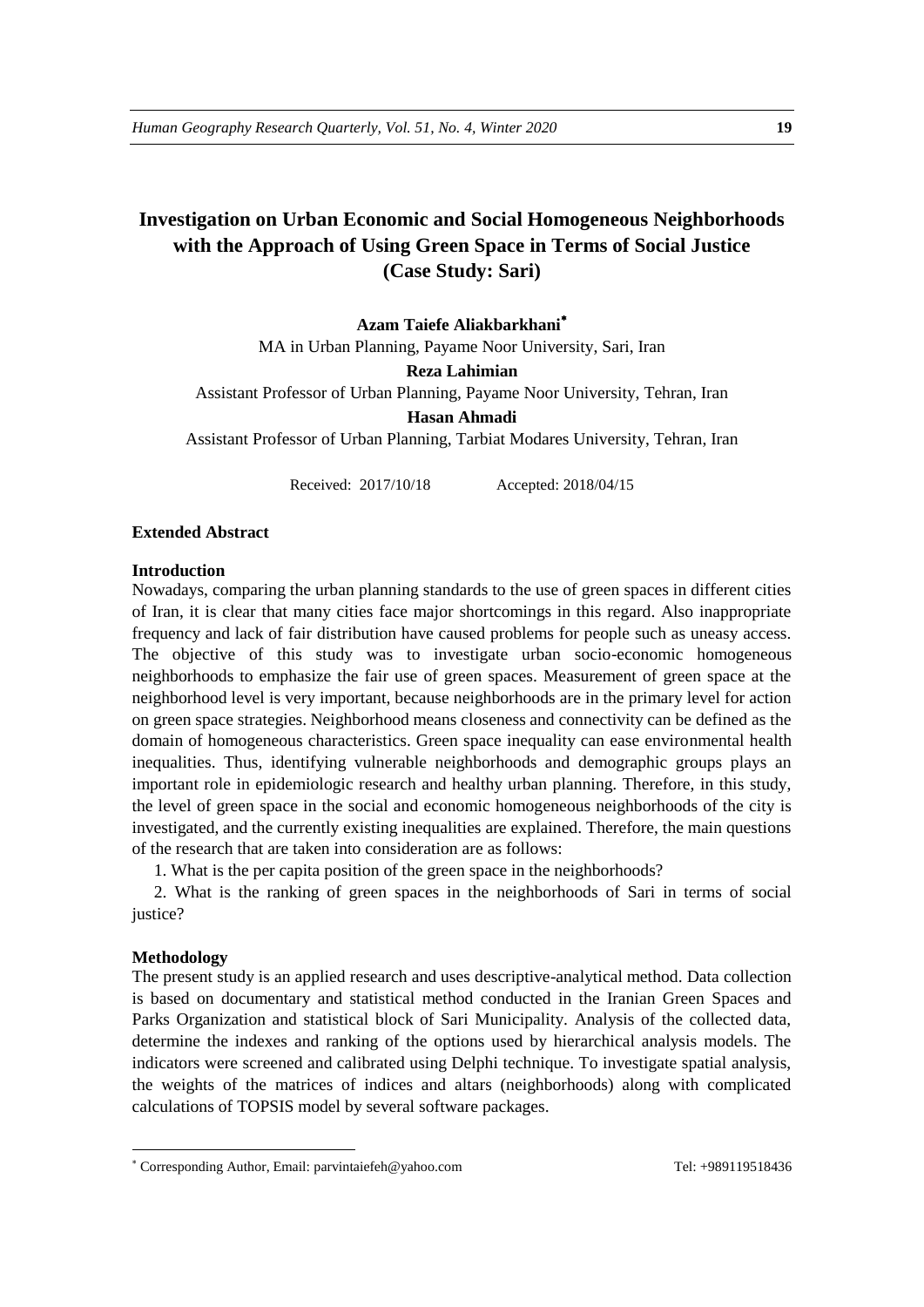# **Investigation on Urban Economic and Social Homogeneous Neighborhoods with the Approach of Using Green Space in Terms of Social Justice (Case Study: Sari)**

**Azam Taiefe Aliakbarkhani** MA in Urban Planning, Payame Noor University, Sari, Iran **Reza Lahimian** Assistant Professor of Urban Planning, Payame Noor University, Tehran, Iran **Hasan Ahmadi** Assistant Professor of Urban Planning, Tarbiat Modares University, Tehran, Iran

Received: 2017/10/18 Accepted: 2018/04/15

#### **Extended Abstract**

#### **Introduction**

Nowadays, comparing the urban planning standards to the use of green spaces in different cities of Iran, it is clear that many cities face major shortcomings in this regard. Also inappropriate frequency and lack of fair distribution have caused problems for people such as uneasy access. The objective of this study was to investigate urban socio-economic homogeneous neighborhoods to emphasize the fair use of green spaces. Measurement of green space at the neighborhood level is very important, because neighborhoods are in the primary level for action on green space strategies. Neighborhood means closeness and connectivity can be defined as the domain of homogeneous characteristics. Green space inequality can ease environmental health inequalities. Thus, identifying vulnerable neighborhoods and demographic groups plays an important role in epidemiologic research and healthy urban planning. Therefore, in this study, the level of green space in the social and economic homogeneous neighborhoods of the city is investigated, and the currently existing inequalities are explained. Therefore, the main questions of the research that are taken into consideration are as follows:

1. What is the per capita position of the green space in the neighborhoods?

2. What is the ranking of green spaces in the neighborhoods of Sari in terms of social justice?

#### **Methodology**

1

The present study is an applied research and uses descriptive-analytical method. Data collection is based on documentary and statistical method conducted in the Iranian Green Spaces and Parks Organization and statistical block of Sari Municipality. Analysis of the collected data, determine the indexes and ranking of the options used by hierarchical analysis models. The indicators were screened and calibrated using Delphi technique. To investigate spatial analysis, the weights of the matrices of indices and altars (neighborhoods) along with complicated calculations of TOPSIS model by several software packages.

Corresponding Author, Email: parvintaiefeh@yahoo.com Tel: +989119518436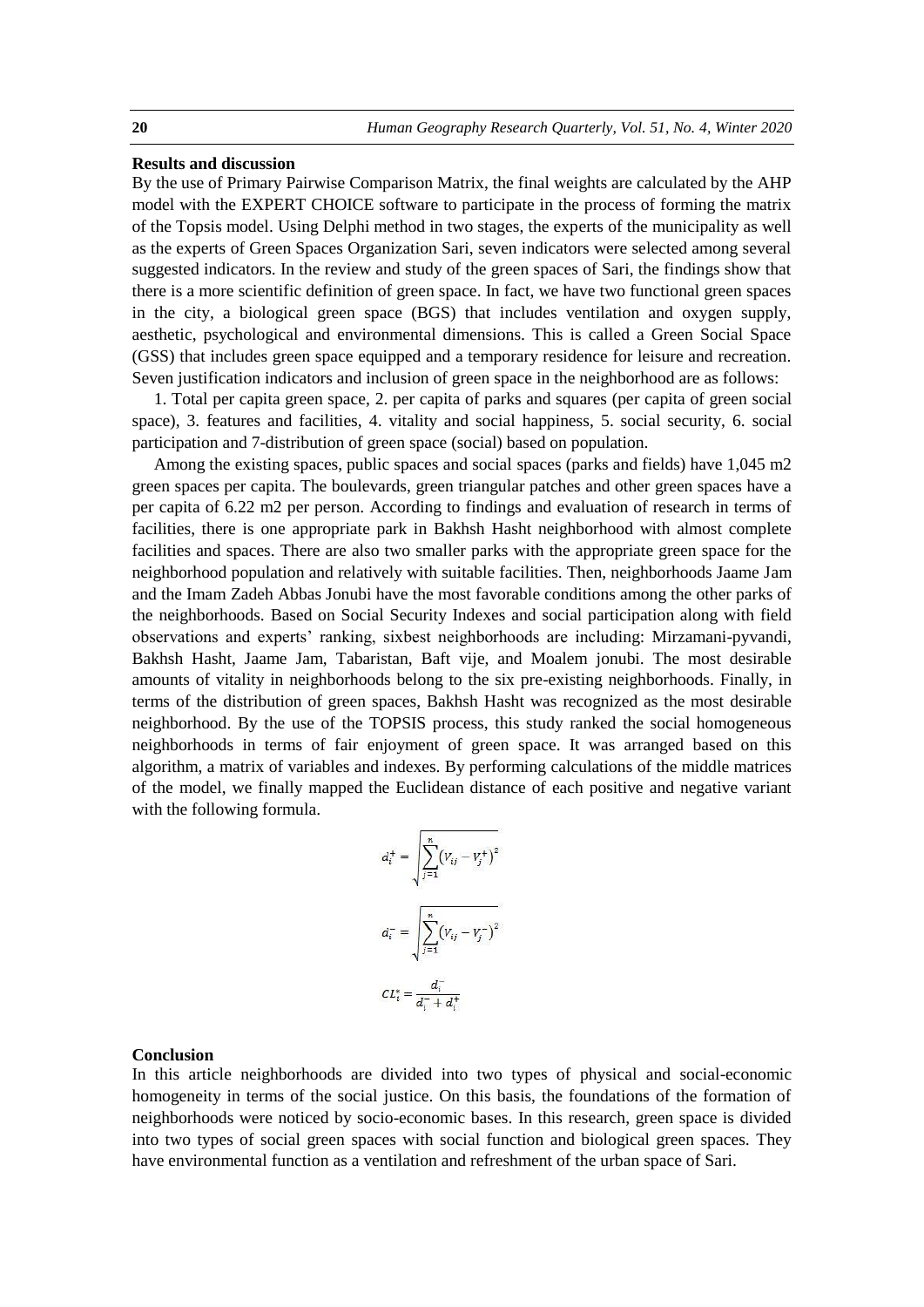#### **Results and discussion**

By the use of Primary Pairwise Comparison Matrix, the final weights are calculated by the AHP model with the EXPERT CHOICE software to participate in the process of forming the matrix of the Topsis model. Using Delphi method in two stages, the experts of the municipality as well as the experts of Green Spaces Organization Sari, seven indicators were selected among several suggested indicators. In the review and study of the green spaces of Sari, the findings show that there is a more scientific definition of green space. In fact, we have two functional green spaces in the city, a biological green space (BGS) that includes ventilation and oxygen supply, aesthetic, psychological and environmental dimensions. This is called a Green Social Space (GSS) that includes green space equipped and a temporary residence for leisure and recreation. Seven justification indicators and inclusion of green space in the neighborhood are as follows:

1. Total per capita green space, 2. per capita of parks and squares (per capita of green social space), 3. features and facilities, 4. vitality and social happiness, 5. social security, 6. social participation and 7-distribution of green space (social) based on population.

Among the existing spaces, public spaces and social spaces (parks and fields) have 1,045 m2 green spaces per capita. The boulevards, green triangular patches and other green spaces have a per capita of 6.22 m2 per person. According to findings and evaluation of research in terms of facilities, there is one appropriate park in Bakhsh Hasht neighborhood with almost complete facilities and spaces. There are also two smaller parks with the appropriate green space for the neighborhood population and relatively with suitable facilities. Then, neighborhoods Jaame Jam and the Imam Zadeh Abbas Jonubi have the most favorable conditions among the other parks of the neighborhoods. Based on Social Security Indexes and social participation along with field observations and experts' ranking, sixbest neighborhoods are including: Mirzamani-pyvandi, Bakhsh Hasht, Jaame Jam, Tabaristan, Baft vije, and Moalem jonubi. The most desirable amounts of vitality in neighborhoods belong to the six pre-existing neighborhoods. Finally, in terms of the distribution of green spaces, Bakhsh Hasht was recognized as the most desirable neighborhood. By the use of the TOPSIS process, this study ranked the social homogeneous neighborhoods in terms of fair enjoyment of green space. It was arranged based on this algorithm, a matrix of variables and indexes. By performing calculations of the middle matrices of the model, we finally mapped the Euclidean distance of each positive and negative variant with the following formula.

$$
d_i^+ = \sqrt{\sum_{j=1}^n (V_{ij} - V_j^+)^2}
$$

$$
d_i^- = \sqrt{\sum_{j=1}^n (V_{ij} - V_j^-)^2}
$$

$$
CL_i^* = \frac{d_i^-}{d_i^- + d_i^+}
$$

#### **Conclusion**

In this article neighborhoods are divided into two types of physical and social-economic homogeneity in terms of the social justice. On this basis, the foundations of the formation of neighborhoods were noticed by socio-economic bases. In this research, green space is divided into two types of social green spaces with social function and biological green spaces. They have environmental function as a ventilation and refreshment of the urban space of Sari.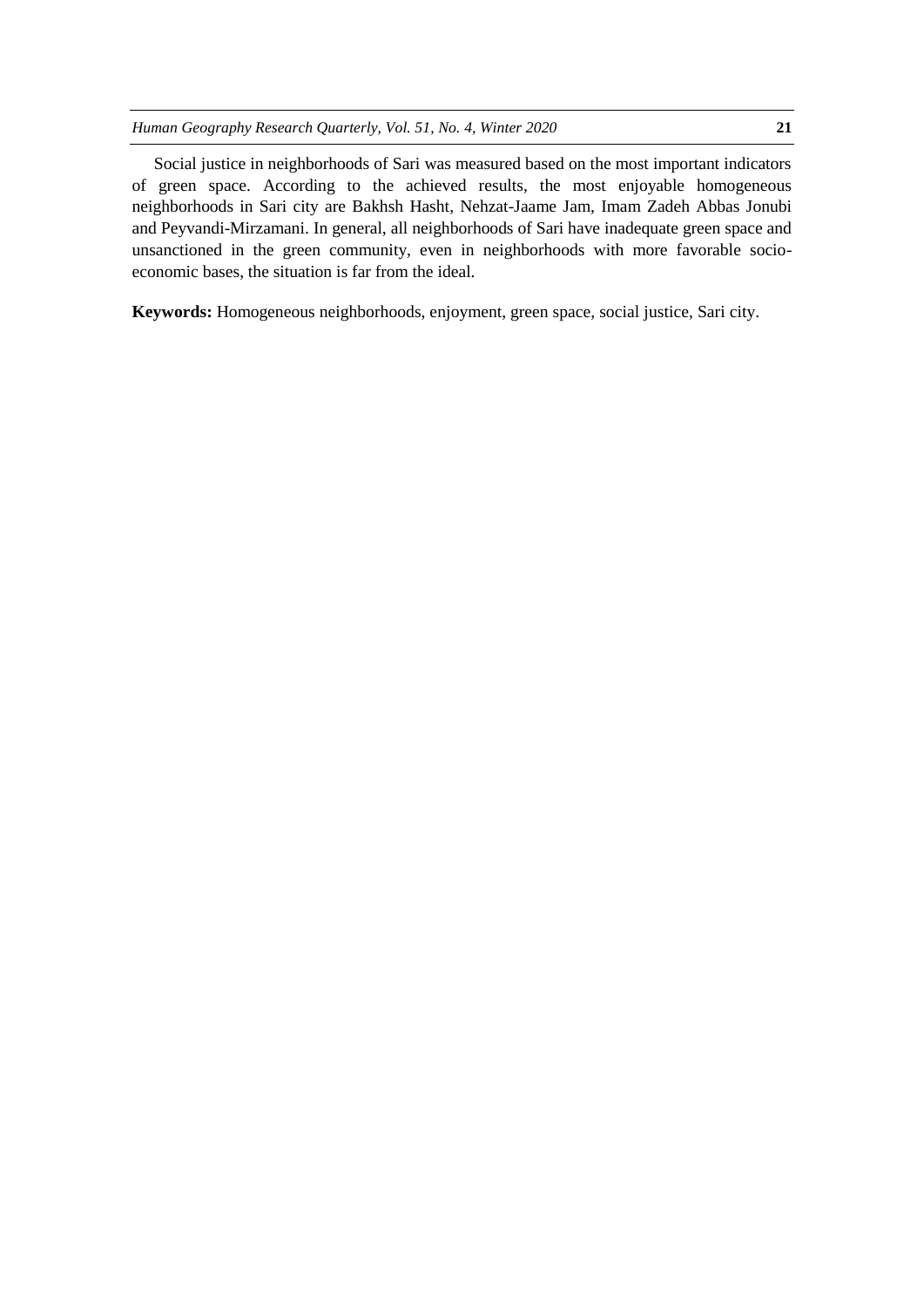Social justice in neighborhoods of Sari was measured based on the most important indicators of green space. According to the achieved results, the most enjoyable homogeneous neighborhoods in Sari city are Bakhsh Hasht, Nehzat-Jaame Jam, Imam Zadeh Abbas Jonubi and Peyvandi-Mirzamani. In general, all neighborhoods of Sari have inadequate green space and unsanctioned in the green community, even in neighborhoods with more favorable socioeconomic bases, the situation is far from the ideal.

**Keywords:** Homogeneous neighborhoods, enjoyment, green space, social justice, Sari city.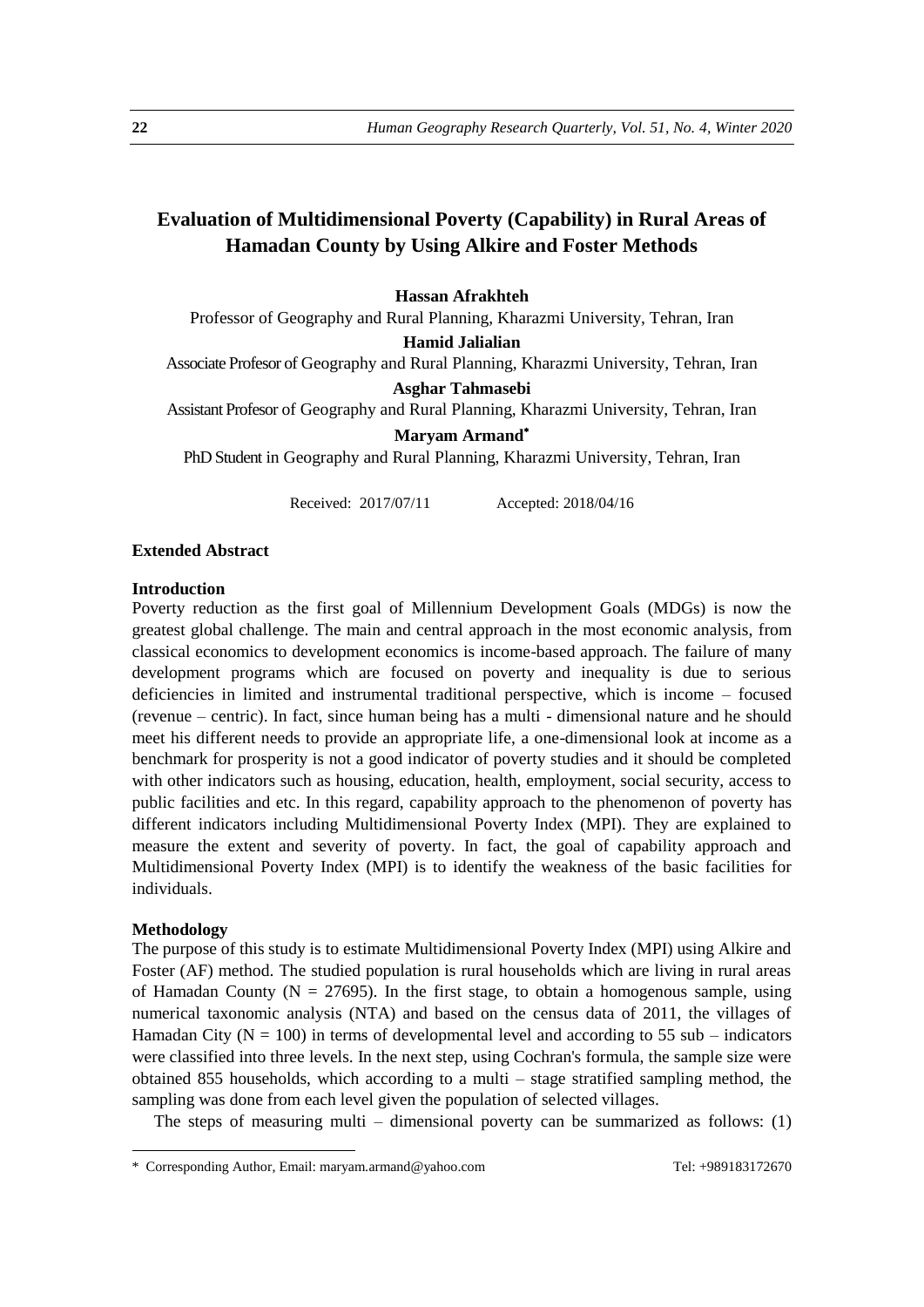# **Evaluation of Multidimensional Poverty (Capability) in Rural Areas of Hamadan County by Using Alkire and Foster Methods**

# **Hassan Afrakhteh**

Professor of Geography and Rural Planning, Kharazmi University, Tehran, Iran

**Hamid Jalialian**

Associate Profesor of Geography and Rural Planning, Kharazmi University, Tehran, Iran

**Asghar Tahmasebi**

Assistant Profesor of Geography and Rural Planning, Kharazmi University, Tehran, Iran

**Maryam Armand**

PhD Student in Geography and Rural Planning, Kharazmi University, Tehran, Iran

Received: 2017/07/11 Accepted: 2018/04/16

#### **Extended Abstract**

#### **Introduction**

Poverty reduction as the first goal of Millennium Development Goals (MDGs) is now the greatest global challenge. The main and central approach in the most economic analysis, from classical economics to development economics is income-based approach. The failure of many development programs which are focused on poverty and inequality is due to serious deficiencies in limited and instrumental traditional perspective, which is income – focused (revenue – centric). In fact, since human being has a multi - dimensional nature and he should meet his different needs to provide an appropriate life, a one-dimensional look at income as a benchmark for prosperity is not a good indicator of poverty studies and it should be completed with other indicators such as housing, education, health, employment, social security, access to public facilities and etc. In this regard, capability approach to the phenomenon of poverty has different indicators including Multidimensional Poverty Index (MPI). They are explained to measure the extent and severity of poverty. In fact, the goal of capability approach and Multidimensional Poverty Index (MPI) is to identify the weakness of the basic facilities for individuals.

#### **Methodology**

1

The purpose of this study is to estimate Multidimensional Poverty Index (MPI) using Alkire and Foster (AF) method. The studied population is rural households which are living in rural areas of Hamadan County ( $N = 27695$ ). In the first stage, to obtain a homogenous sample, using numerical taxonomic analysis (NTA) and based on the census data of 2011, the villages of Hamadan City ( $N = 100$ ) in terms of developmental level and according to 55 sub – indicators were classified into three levels. In the next step, using Cochran's formula, the sample size were obtained 855 households, which according to a multi – stage stratified sampling method, the sampling was done from each level given the population of selected villages.

The steps of measuring multi – dimensional poverty can be summarized as follows:  $(1)$ 

<sup>\*</sup> Corresponding Author, Email: maryam.armand@yahoo.com Tel: +989183172670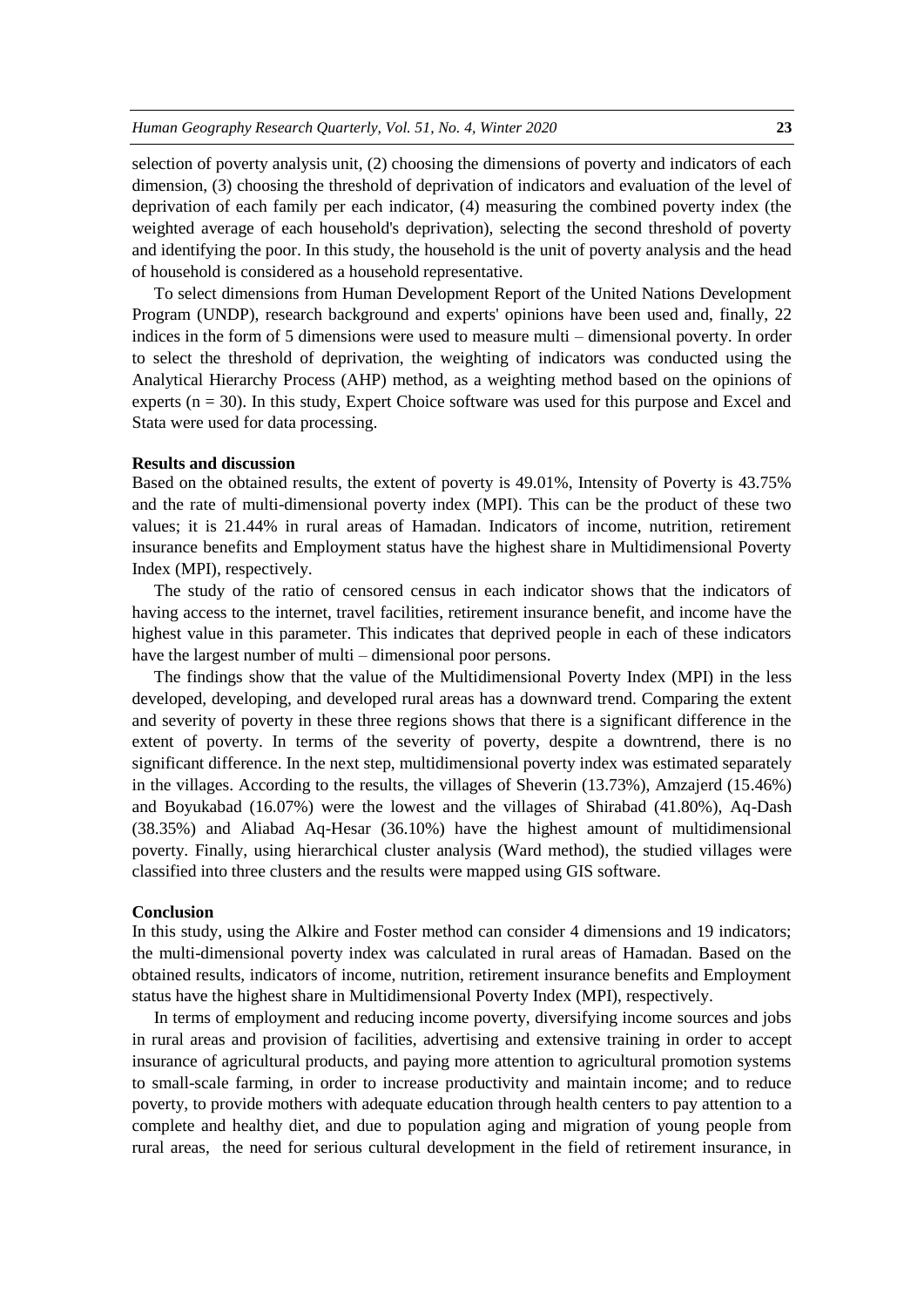selection of poverty analysis unit, (2) choosing the dimensions of poverty and indicators of each dimension, (3) choosing the threshold of deprivation of indicators and evaluation of the level of deprivation of each family per each indicator, (4) measuring the combined poverty index (the weighted average of each household's deprivation), selecting the second threshold of poverty and identifying the poor. In this study, the household is the unit of poverty analysis and the head of household is considered as a household representative.

To select dimensions from Human Development Report of the United Nations Development Program (UNDP), research background and experts' opinions have been used and, finally, 22 indices in the form of 5 dimensions were used to measure multi – dimensional poverty. In order to select the threshold of deprivation, the weighting of indicators was conducted using the Analytical Hierarchy Process (AHP) method, as a weighting method based on the opinions of experts  $(n = 30)$ . In this study, Expert Choice software was used for this purpose and Excel and Stata were used for data processing.

#### **Results and discussion**

Based on the obtained results, the extent of poverty is 49.01%, Intensity of Poverty is 43.75% and the rate of multi-dimensional poverty index (MPI). This can be the product of these two values; it is 21.44% in rural areas of Hamadan. Indicators of income, nutrition, retirement insurance benefits and Employment status have the highest share in Multidimensional Poverty Index (MPI), respectively.

The study of the ratio of censored census in each indicator shows that the indicators of having access to the internet, travel facilities, retirement insurance benefit, and income have the highest value in this parameter. This indicates that deprived people in each of these indicators have the largest number of multi – dimensional poor persons.

The findings show that the value of the Multidimensional Poverty Index (MPI) in the less developed, developing, and developed rural areas has a downward trend. Comparing the extent and severity of poverty in these three regions shows that there is a significant difference in the extent of poverty. In terms of the severity of poverty, despite a downtrend, there is no significant difference. In the next step, multidimensional poverty index was estimated separately in the villages. According to the results, the villages of Sheverin (13.73%), Amzajerd (15.46%) and Boyukabad (16.07%) were the lowest and the villages of Shirabad (41.80%), Aq-Dash (38.35%) and Aliabad Aq-Hesar (36.10%) have the highest amount of multidimensional poverty. Finally, using hierarchical cluster analysis (Ward method), the studied villages were classified into three clusters and the results were mapped using GIS software.

#### **Conclusion**

In this study, using the Alkire and Foster method can consider 4 dimensions and 19 indicators; the multi-dimensional poverty index was calculated in rural areas of Hamadan. Based on the obtained results, indicators of income, nutrition, retirement insurance benefits and Employment status have the highest share in Multidimensional Poverty Index (MPI), respectively.

In terms of employment and reducing income poverty, diversifying income sources and jobs in rural areas and provision of facilities, advertising and extensive training in order to accept insurance of agricultural products, and paying more attention to agricultural promotion systems to small-scale farming, in order to increase productivity and maintain income; and to reduce poverty, to provide mothers with adequate education through health centers to pay attention to a complete and healthy diet, and due to population aging and migration of young people from rural areas, the need for serious cultural development in the field of retirement insurance, in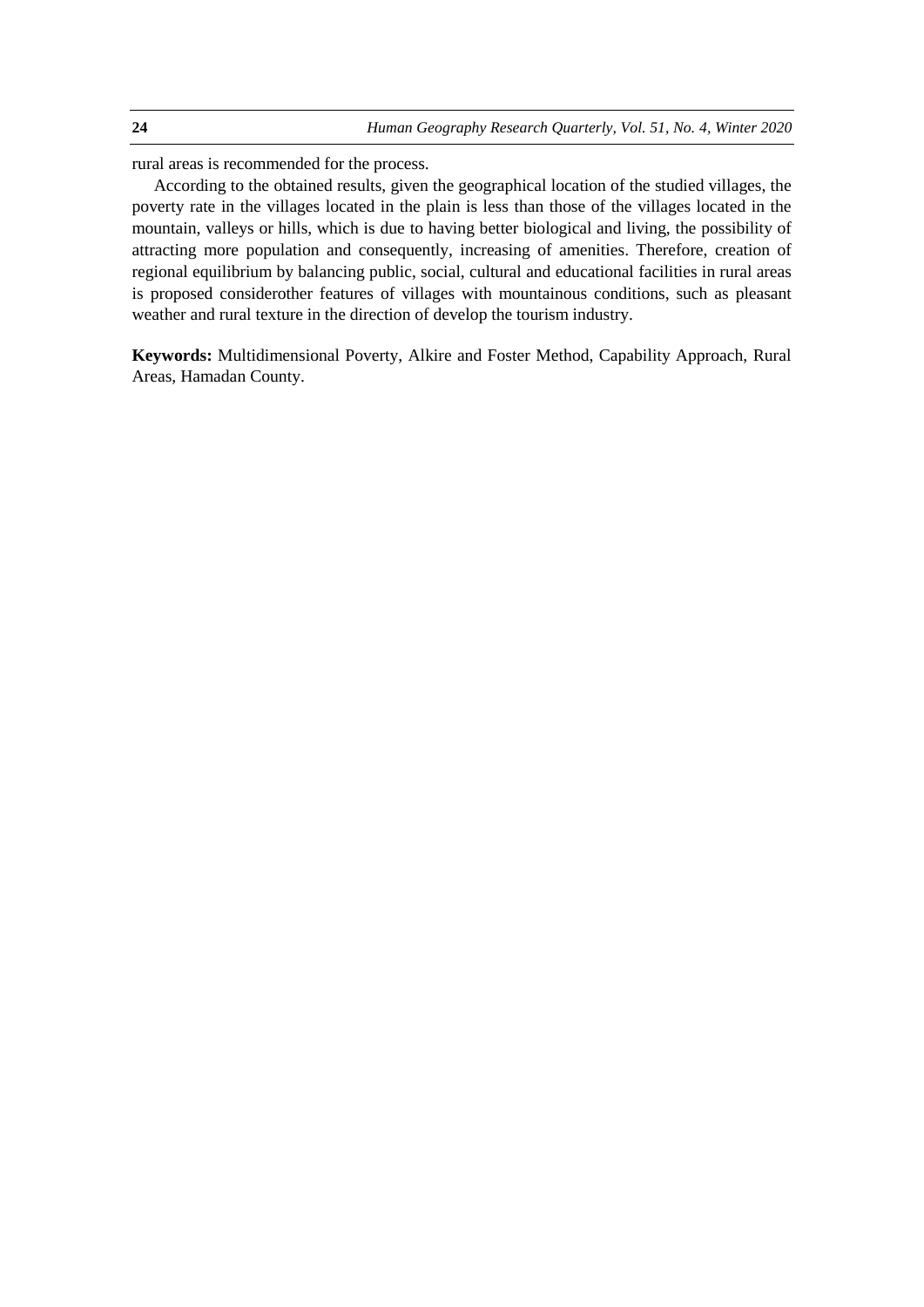rural areas is recommended for the process.

According to the obtained results, given the geographical location of the studied villages, the poverty rate in the villages located in the plain is less than those of the villages located in the mountain, valleys or hills, which is due to having better biological and living, the possibility of attracting more population and consequently, increasing of amenities. Therefore, creation of regional equilibrium by balancing public, social, cultural and educational facilities in rural areas is proposed considerother features of villages with mountainous conditions, such as pleasant weather and rural texture in the direction of develop the tourism industry.

**Keywords:** Multidimensional Poverty, Alkire and Foster Method, Capability Approach, Rural Areas, Hamadan County.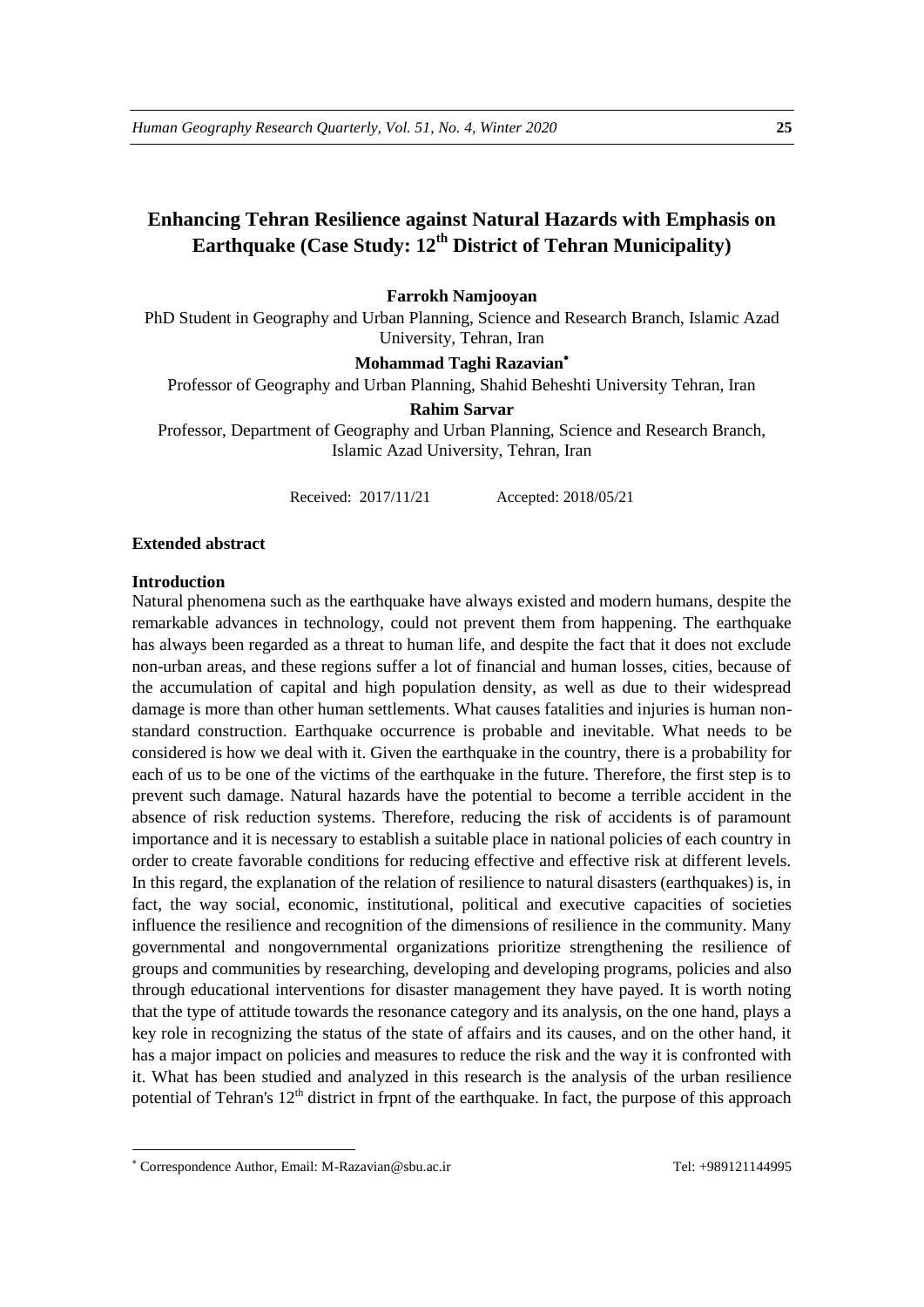# **Enhancing Tehran Resilience against Natural Hazards with Emphasis on Earthquake (Case Study: 12th District of Tehran Municipality)**

# **Farrokh Namjooyan**

PhD Student in Geography and Urban Planning, Science and Research Branch, Islamic Azad University, Tehran, Iran

#### **Mohammad Taghi Razavian**

Professor of Geography and Urban Planning, Shahid Beheshti University Tehran, Iran

#### **Rahim Sarvar**

Professor, Department of Geography and Urban Planning, Science and Research Branch, Islamic Azad University, Tehran, Iran

Received: 2017/11/21 Accepted: 2018/05/21

#### **Extended abstract**

#### **Introduction**

1

Natural phenomena such as the earthquake have always existed and modern humans, despite the remarkable advances in technology, could not prevent them from happening. The earthquake has always been regarded as a threat to human life, and despite the fact that it does not exclude non-urban areas, and these regions suffer a lot of financial and human losses, cities, because of the accumulation of capital and high population density, as well as due to their widespread damage is more than other human settlements. What causes fatalities and injuries is human nonstandard construction. Earthquake occurrence is probable and inevitable. What needs to be considered is how we deal with it. Given the earthquake in the country, there is a probability for each of us to be one of the victims of the earthquake in the future. Therefore, the first step is to prevent such damage. Natural hazards have the potential to become a terrible accident in the absence of risk reduction systems. Therefore, reducing the risk of accidents is of paramount importance and it is necessary to establish a suitable place in national policies of each country in order to create favorable conditions for reducing effective and effective risk at different levels. In this regard, the explanation of the relation of resilience to natural disasters (earthquakes) is, in fact, the way social, economic, institutional, political and executive capacities of societies influence the resilience and recognition of the dimensions of resilience in the community. Many governmental and nongovernmental organizations prioritize strengthening the resilience of groups and communities by researching, developing and developing programs, policies and also through educational interventions for disaster management they have payed. It is worth noting that the type of attitude towards the resonance category and its analysis, on the one hand, plays a key role in recognizing the status of the state of affairs and its causes, and on the other hand, it has a major impact on policies and measures to reduce the risk and the way it is confronted with it. What has been studied and analyzed in this research is the analysis of the urban resilience potential of Tehran's  $12<sup>th</sup>$  district in frpnt of the earthquake. In fact, the purpose of this approach

Correspondence Author, Email: M-Razavian@sbu.ac.ir Tel: +989121144995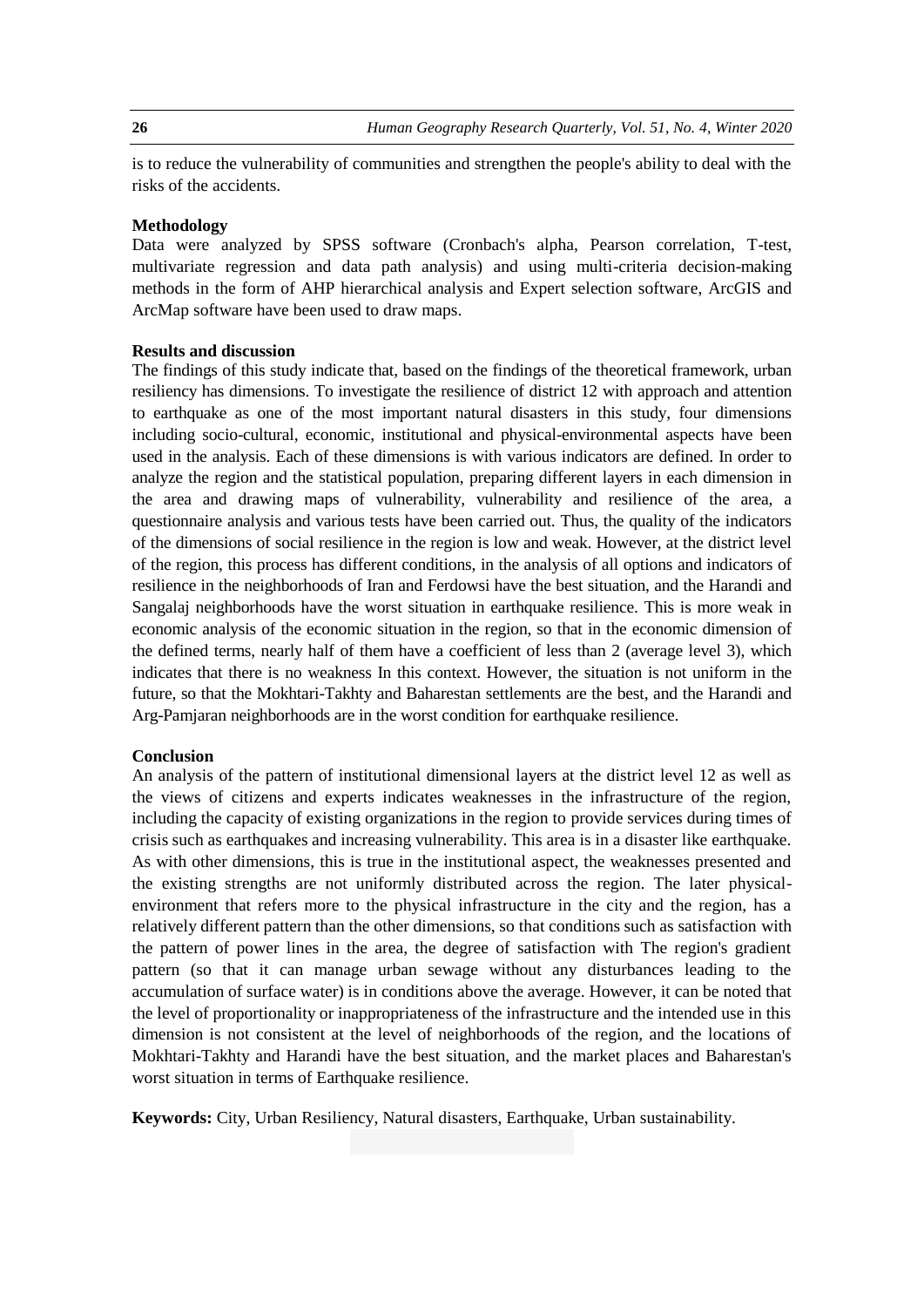is to reduce the vulnerability of communities and strengthen the people's ability to deal with the risks of the accidents.

#### **Methodology**

Data were analyzed by SPSS software (Cronbach's alpha, Pearson correlation, T-test, multivariate regression and data path analysis) and using multi-criteria decision-making methods in the form of AHP hierarchical analysis and Expert selection software, ArcGIS and ArcMap software have been used to draw maps.

### **Results and discussion**

The findings of this study indicate that, based on the findings of the theoretical framework, urban resiliency has dimensions. To investigate the resilience of district 12 with approach and attention to earthquake as one of the most important natural disasters in this study, four dimensions including socio-cultural, economic, institutional and physical-environmental aspects have been used in the analysis. Each of these dimensions is with various indicators are defined. In order to analyze the region and the statistical population, preparing different layers in each dimension in the area and drawing maps of vulnerability, vulnerability and resilience of the area, a questionnaire analysis and various tests have been carried out. Thus, the quality of the indicators of the dimensions of social resilience in the region is low and weak. However, at the district level of the region, this process has different conditions, in the analysis of all options and indicators of resilience in the neighborhoods of Iran and Ferdowsi have the best situation, and the Harandi and Sangalaj neighborhoods have the worst situation in earthquake resilience. This is more weak in economic analysis of the economic situation in the region, so that in the economic dimension of the defined terms, nearly half of them have a coefficient of less than 2 (average level 3), which indicates that there is no weakness In this context. However, the situation is not uniform in the future, so that the Mokhtari-Takhty and Baharestan settlements are the best, and the Harandi and Arg-Pamjaran neighborhoods are in the worst condition for earthquake resilience.

#### **Conclusion**

An analysis of the pattern of institutional dimensional layers at the district level 12 as well as the views of citizens and experts indicates weaknesses in the infrastructure of the region, including the capacity of existing organizations in the region to provide services during times of crisis such as earthquakes and increasing vulnerability. This area is in a disaster like earthquake. As with other dimensions, this is true in the institutional aspect, the weaknesses presented and the existing strengths are not uniformly distributed across the region. The later physicalenvironment that refers more to the physical infrastructure in the city and the region, has a relatively different pattern than the other dimensions, so that conditions such as satisfaction with the pattern of power lines in the area, the degree of satisfaction with The region's gradient pattern (so that it can manage urban sewage without any disturbances leading to the accumulation of surface water) is in conditions above the average. However, it can be noted that the level of proportionality or inappropriateness of the infrastructure and the intended use in this dimension is not consistent at the level of neighborhoods of the region, and the locations of Mokhtari-Takhty and Harandi have the best situation, and the market places and Baharestan's worst situation in terms of Earthquake resilience.

**Keywords:** City, Urban Resiliency, Natural disasters, Earthquake, Urban sustainability.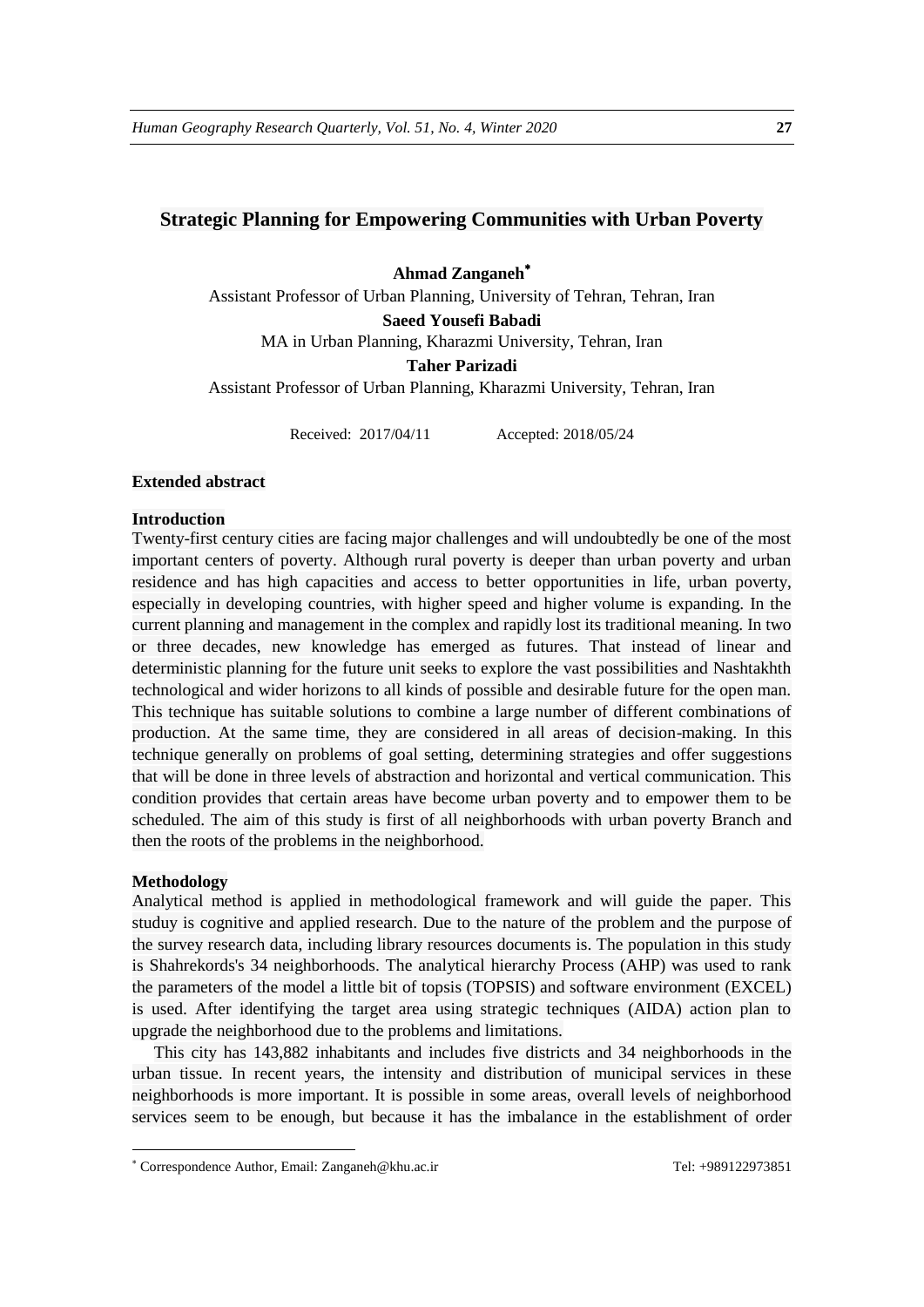# **Strategic Planning for Empowering Communities with Urban Poverty**

**Ahmad Zanganeh**

Assistant Professor of Urban Planning, University of Tehran, Tehran, Iran **Saeed Yousefi Babadi** MA in Urban Planning, Kharazmi University, Tehran, Iran

**Taher Parizadi**

Assistant Professor of Urban Planning, Kharazmi University, Tehran, Iran

Received: 2017/04/11 Accepted: 2018/05/24

#### **Extended abstract**

#### **Introduction**

Twenty-first century cities are facing major challenges and will undoubtedly be one of the most important centers of poverty. Although rural poverty is deeper than urban poverty and urban residence and has high capacities and access to better opportunities in life, urban poverty, especially in developing countries, with higher speed and higher volume is expanding. In the current planning and management in the complex and rapidly lost its traditional meaning. In two or three decades, new knowledge has emerged as futures. That instead of linear and deterministic planning for the future unit seeks to explore the vast possibilities and Nashtakhth technological and wider horizons to all kinds of possible and desirable future for the open man. This technique has suitable solutions to combine a large number of different combinations of production. At the same time, they are considered in all areas of decision-making. In this technique generally on problems of goal setting, determining strategies and offer suggestions that will be done in three levels of abstraction and horizontal and vertical communication. This condition provides that certain areas have become urban poverty and to empower them to be scheduled. The aim of this study is first of all neighborhoods with urban poverty Branch and then the roots of the problems in the neighborhood.

#### **Methodology**

1

Analytical method is applied in methodological framework and will guide the paper. This studuy is cognitive and applied research. Due to the nature of the problem and the purpose of the survey research data, including library resources documents is. The population in this study is Shahrekords's 34 neighborhoods. The analytical hierarchy Process (AHP) was used to rank the parameters of the model a little bit of topsis (TOPSIS) and software environment (EXCEL) is used. After identifying the target area using strategic techniques (AIDA) action plan to upgrade the neighborhood due to the problems and limitations.

This city has 143,882 inhabitants and includes five districts and 34 neighborhoods in the urban tissue. In recent years, the intensity and distribution of municipal services in these neighborhoods is more important. It is possible in some areas, overall levels of neighborhood services seem to be enough, but because it has the imbalance in the establishment of order

Correspondence Author, Email: Zanganeh@khu.ac.ir Tel: +989122973851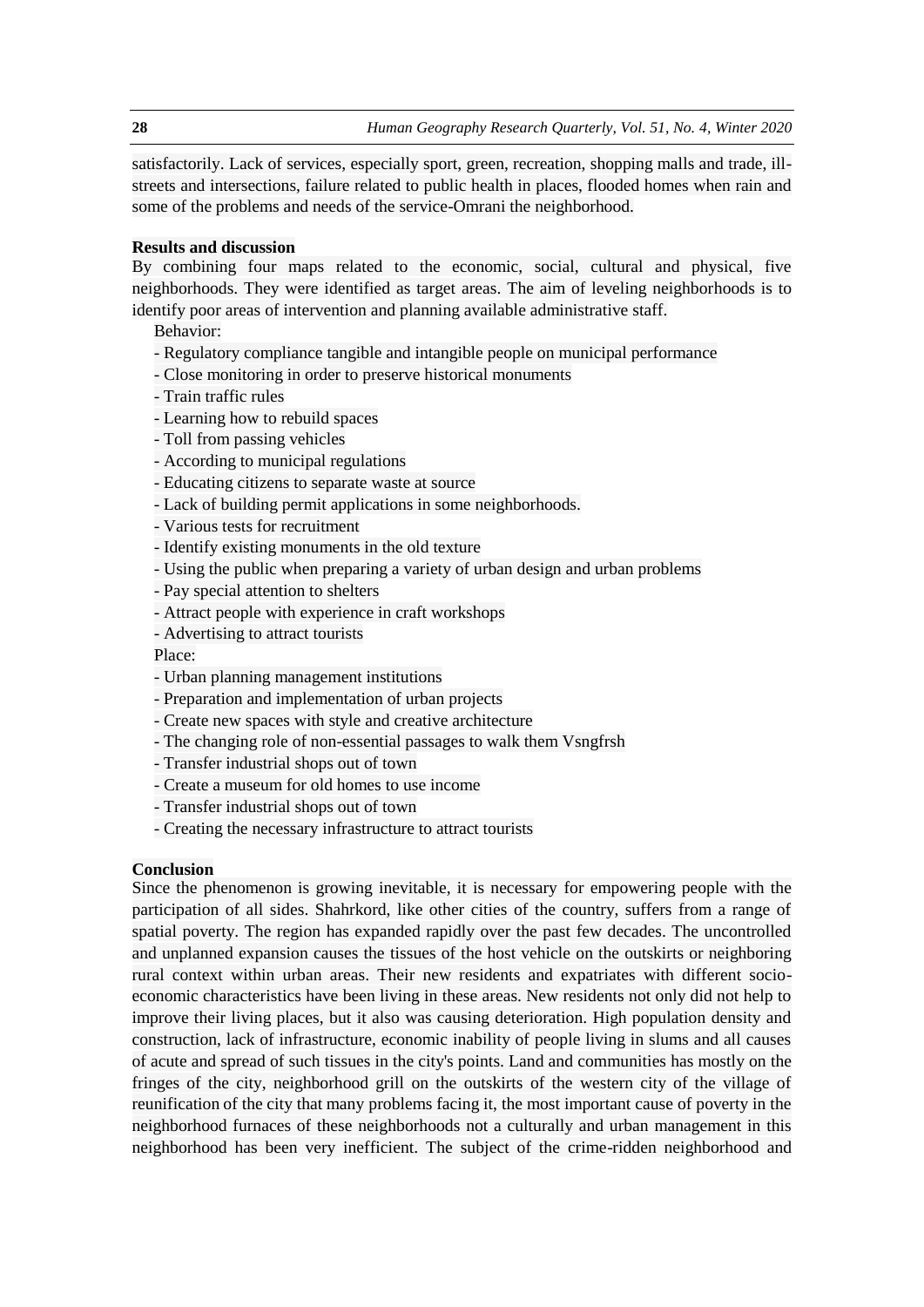satisfactorily. Lack of services, especially sport, green, recreation, shopping malls and trade, illstreets and intersections, failure related to public health in places, flooded homes when rain and some of the problems and needs of the service-Omrani the neighborhood.

# **Results and discussion**

By combining four maps related to the economic, social, cultural and physical, five neighborhoods. They were identified as target areas. The aim of leveling neighborhoods is to identify poor areas of intervention and planning available administrative staff.

Behavior:

- Regulatory compliance tangible and intangible people on municipal performance
- Close monitoring in order to preserve historical monuments
- Train traffic rules
- Learning how to rebuild spaces
- Toll from passing vehicles
- According to municipal regulations
- Educating citizens to separate waste at source
- Lack of building permit applications in some neighborhoods.
- Various tests for recruitment
- Identify existing monuments in the old texture
- Using the public when preparing a variety of urban design and urban problems
- Pay special attention to shelters
- Attract people with experience in craft workshops
- Advertising to attract tourists
- Place:
- Urban planning management institutions
- Preparation and implementation of urban projects
- Create new spaces with style and creative architecture
- The changing role of non-essential passages to walk them Vsngfrsh
- Transfer industrial shops out of town
- Create a museum for old homes to use income
- Transfer industrial shops out of town
- Creating the necessary infrastructure to attract tourists

# **Conclusion**

Since the phenomenon is growing inevitable, it is necessary for empowering people with the participation of all sides. Shahrkord, like other cities of the country, suffers from a range of spatial poverty. The region has expanded rapidly over the past few decades. The uncontrolled and unplanned expansion causes the tissues of the host vehicle on the outskirts or neighboring rural context within urban areas. Their new residents and expatriates with different socioeconomic characteristics have been living in these areas. New residents not only did not help to improve their living places, but it also was causing deterioration. High population density and construction, lack of infrastructure, economic inability of people living in slums and all causes of acute and spread of such tissues in the city's points. Land and communities has mostly on the fringes of the city, neighborhood grill on the outskirts of the western city of the village of reunification of the city that many problems facing it, the most important cause of poverty in the neighborhood furnaces of these neighborhoods not a culturally and urban management in this neighborhood has been very inefficient. The subject of the crime-ridden neighborhood and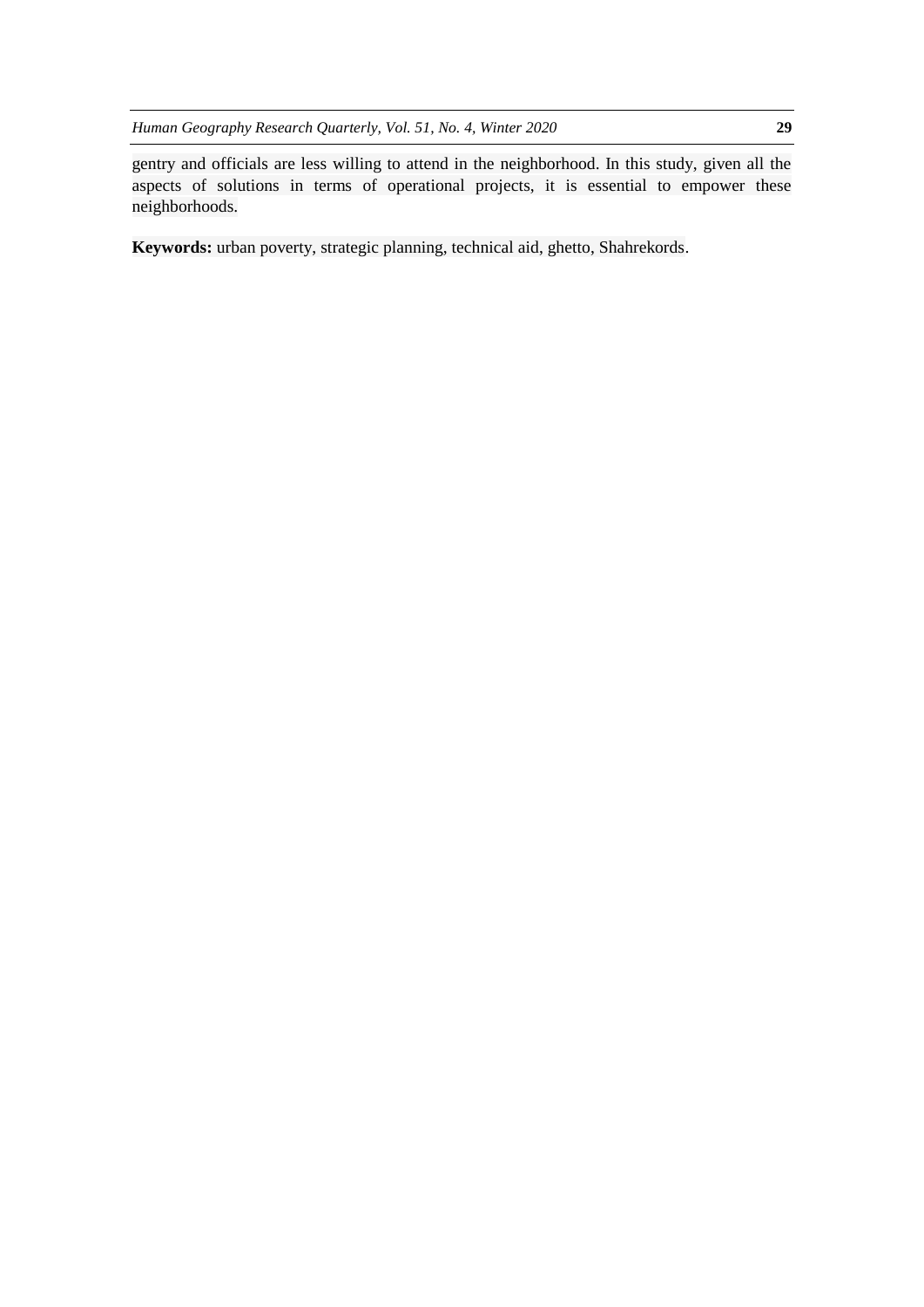gentry and officials are less willing to attend in the neighborhood. In this study, given all the aspects of solutions in terms of operational projects, it is essential to empower these neighborhoods.

**Keywords:** urban poverty, strategic planning, technical aid, ghetto, Shahrekords.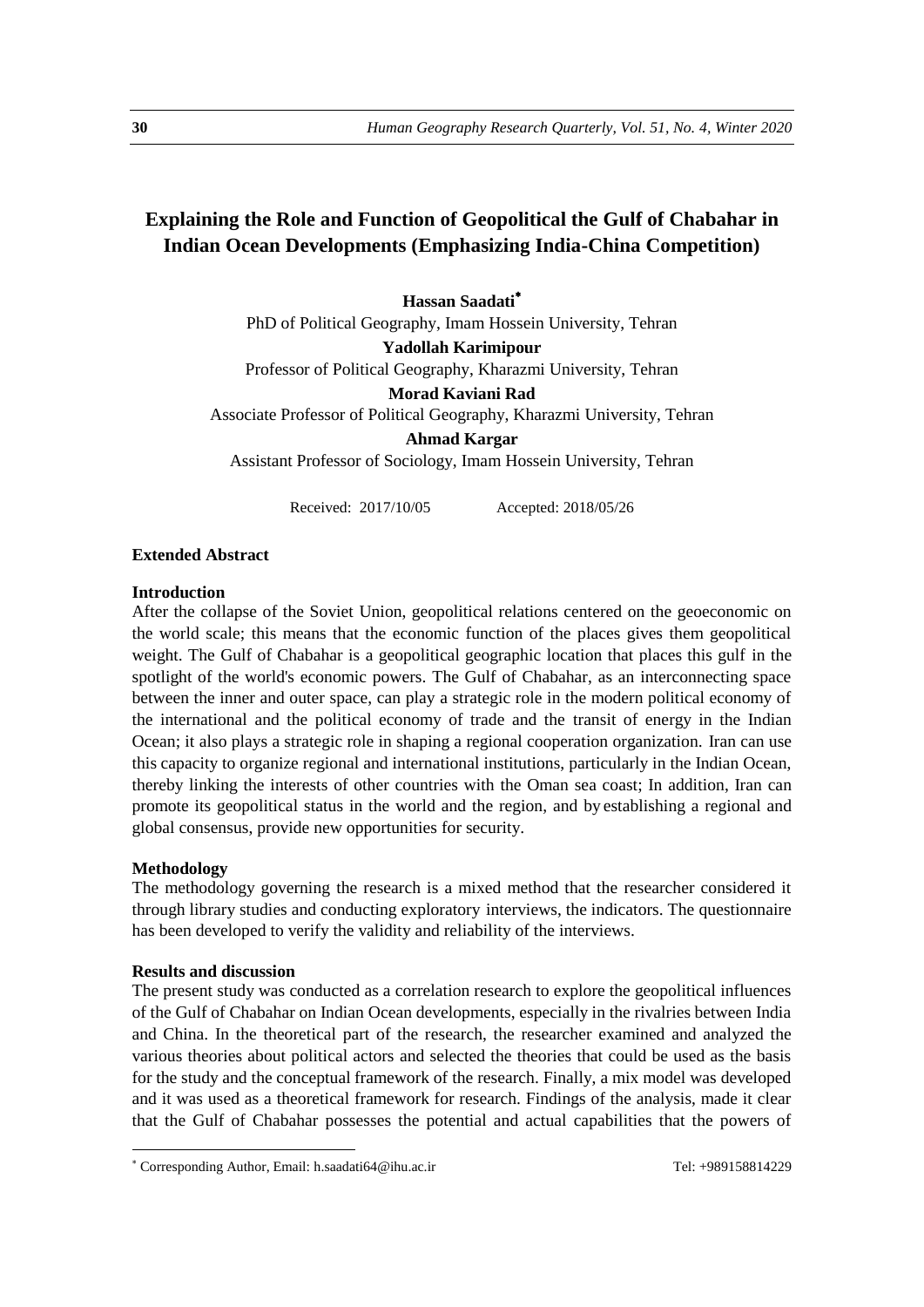# **Explaining the Role and Function of Geopolitical the Gulf of Chabahar in Indian Ocean Developments (Emphasizing India-China Competition)**

**Hassan Saadati**

PhD of Political Geography, Imam Hossein University, Tehran

**Yadollah Karimipour** 

Professor of Political Geography, Kharazmi University, Tehran

**Morad Kaviani Rad** 

Associate Professor of Political Geography, Kharazmi University, Tehran

**Ahmad Kargar** 

Assistant Professor of Sociology, Imam Hossein University, Tehran

Received: 2017/10/05 Accepted: 2018/05/26

### **Extended Abstract**

#### **Introduction**

After the collapse of the Soviet Union, geopolitical relations centered on the geoeconomic on the world scale; this means that the economic function of the places gives them geopolitical weight. The Gulf of Chabahar is a geopolitical geographic location that places this gulf in the spotlight of the world's economic powers. The Gulf of Chabahar, as an interconnecting space between the inner and outer space, can play a strategic role in the modern political economy of the international and the political economy of trade and the transit of energy in the Indian Ocean; it also plays a strategic role in shaping a regional cooperation organization. Iran can use this capacity to organize regional and international institutions, particularly in the Indian Ocean, thereby linking the interests of other countries with the Oman sea coast; In addition, Iran can promote its geopolitical status in the world and the region, and by establishing a regional and global consensus, provide new opportunities for security.

## **Methodology**

1

The methodology governing the research is a mixed method that the researcher considered it through library studies and conducting exploratory interviews, the indicators. The questionnaire has been developed to verify the validity and reliability of the interviews.

#### **Results and discussion**

The present study was conducted as a correlation research to explore the geopolitical influences of the Gulf of Chabahar on Indian Ocean developments, especially in the rivalries between India and China. In the theoretical part of the research, the researcher examined and analyzed the various theories about political actors and selected the theories that could be used as the basis for the study and the conceptual framework of the research. Finally, a mix model was developed and it was used as a theoretical framework for research. Findings of the analysis, made it clear that the Gulf of Chabahar possesses the potential and actual capabilities that the powers of

<sup>\*</sup> Corresponding Author, Email: h.saadati64@ihu.ac.ir Tel: +989158814229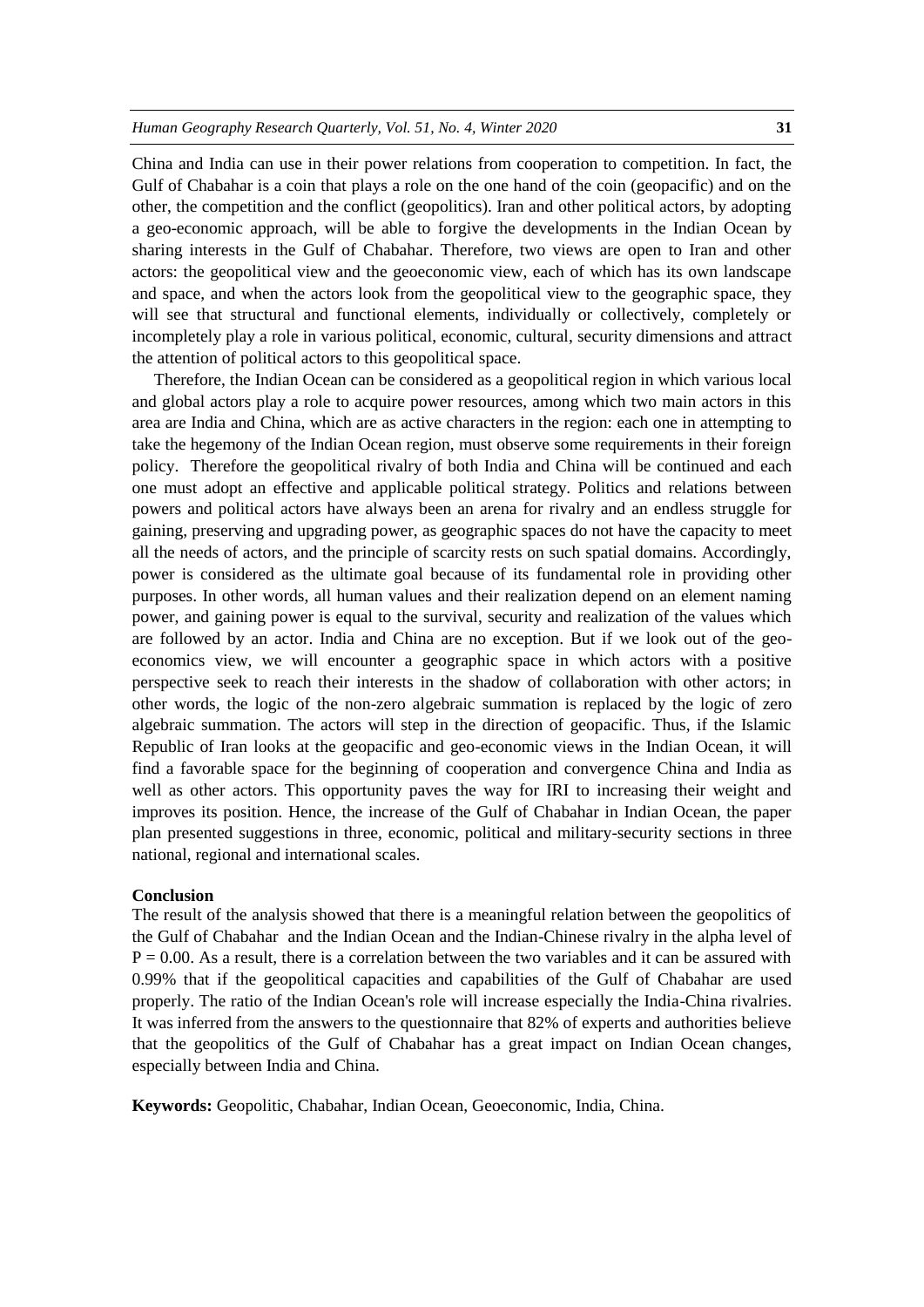China and India can use in their power relations from cooperation to competition. In fact, the Gulf of Chabahar is a coin that plays a role on the one hand of the coin (geopacific) and on the other, the competition and the conflict (geopolitics). Iran and other political actors, by adopting a geo-economic approach, will be able to forgive the developments in the Indian Ocean by sharing interests in the Gulf of Chabahar. Therefore, two views are open to Iran and other actors: the geopolitical view and the geoeconomic view, each of which has its own landscape and space, and when the actors look from the geopolitical view to the geographic space, they will see that structural and functional elements, individually or collectively, completely or incompletely play a role in various political, economic, cultural, security dimensions and attract the attention of political actors to this geopolitical space.

Therefore, the Indian Ocean can be considered as a geopolitical region in which various local and global actors play a role to acquire power resources, among which two main actors in this area are India and China, which are as active characters in the region: each one in attempting to take the hegemony of the Indian Ocean region, must observe some requirements in their foreign policy. Therefore the geopolitical rivalry of both India and China will be continued and each one must adopt an effective and applicable political strategy. Politics and relations between powers and political actors have always been an arena for rivalry and an endless struggle for gaining, preserving and upgrading power, as geographic spaces do not have the capacity to meet all the needs of actors, and the principle of scarcity rests on such spatial domains. Accordingly, power is considered as the ultimate goal because of its fundamental role in providing other purposes. In other words, all human values and their realization depend on an element naming power, and gaining power is equal to the survival, security and realization of the values which are followed by an actor. India and China are no exception. But if we look out of the geoeconomics view, we will encounter a geographic space in which actors with a positive perspective seek to reach their interests in the shadow of collaboration with other actors; in other words, the logic of the non-zero algebraic summation is replaced by the logic of zero algebraic summation. The actors will step in the direction of geopacific. Thus, if the Islamic Republic of Iran looks at the geopacific and geo-economic views in the Indian Ocean, it will find a favorable space for the beginning of cooperation and convergence China and India as well as other actors. This opportunity paves the way for IRI to increasing their weight and improves its position. Hence, the increase of the Gulf of Chabahar in Indian Ocean, the paper plan presented suggestions in three, economic, political and military-security sections in three national, regional and international scales.

#### **Conclusion**

The result of the analysis showed that there is a meaningful relation between the geopolitics of the Gulf of Chabahar and the Indian Ocean and the Indian-Chinese rivalry in the alpha level of  $P = 0.00$ . As a result, there is a correlation between the two variables and it can be assured with 0.99% that if the geopolitical capacities and capabilities of the Gulf of Chabahar are used properly. The ratio of the Indian Ocean's role will increase especially the India-China rivalries. It was inferred from the answers to the questionnaire that 82% of experts and authorities believe that the geopolitics of the Gulf of Chabahar has a great impact on Indian Ocean changes, especially between India and China.

**Keywords:** Geopolitic, Chabahar, Indian Ocean, Geoeconomic, India, China.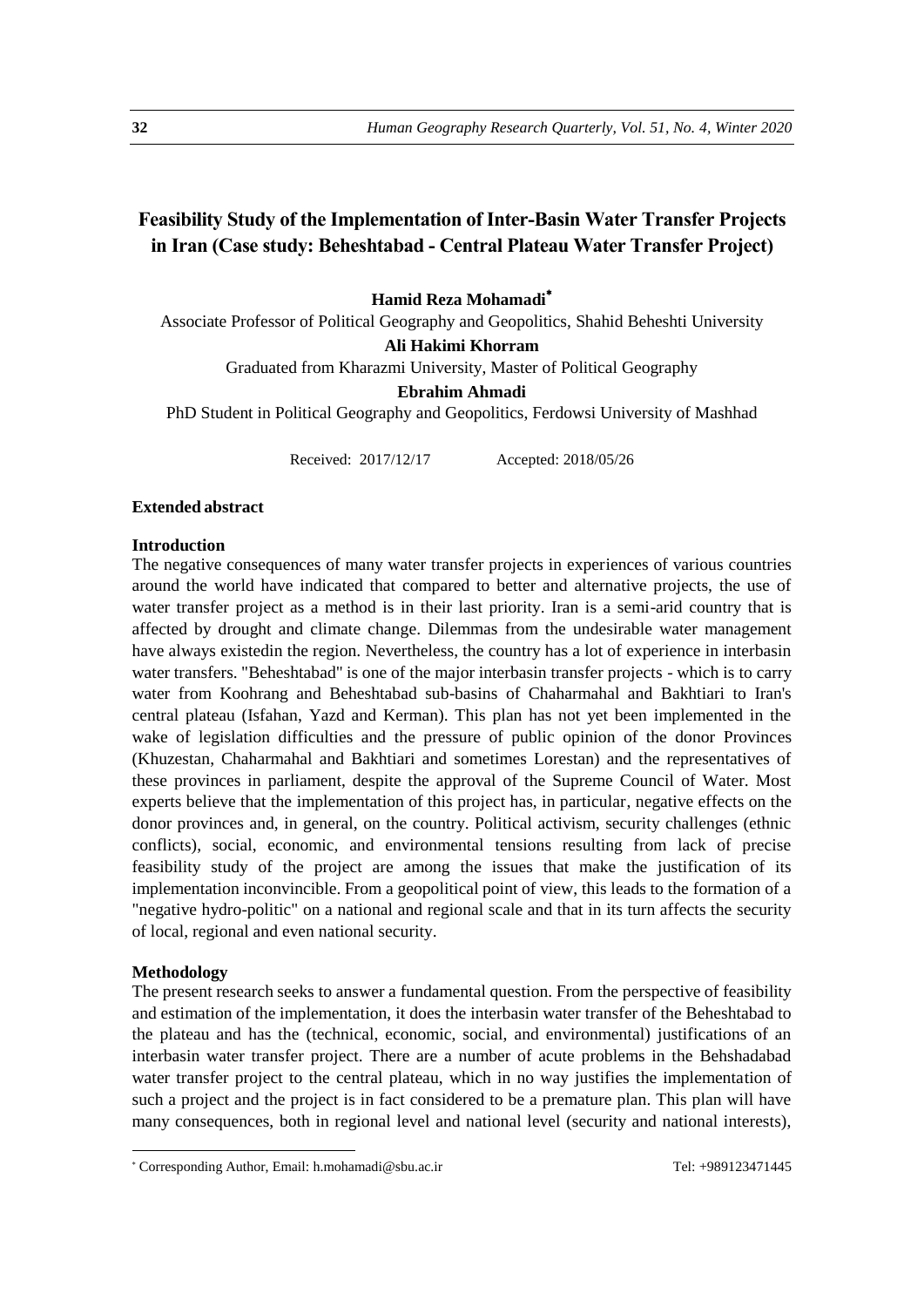# **Feasibility Study of the Implementation of Inter-Basin Water Transfer Projects in Iran (Case study: Beheshtabad - Central Plateau Water Transfer Project)**

**Hamid Reza Mohamadi**

Associate Professor of Political Geography and Geopolitics, Shahid Beheshti University

**Ali Hakimi Khorram**

Graduated from Kharazmi University, Master of Political Geography

# **Ebrahim Ahmadi**

PhD Student in Political Geography and Geopolitics, Ferdowsi University of Mashhad

Received: 2017/12/17 Accepted: 2018/05/26

# **Extended abstract**

#### **Introduction**

The negative consequences of many water transfer projects in experiences of various countries around the world have indicated that compared to better and alternative projects, the use of water transfer project as a method is in their last priority. Iran is a semi-arid country that is affected by drought and climate change. Dilemmas from the undesirable water management have always existedin the region. Nevertheless, the country has a lot of experience in interbasin water transfers. "Beheshtabad" is one of the major interbasin transfer projects - which is to carry water from Koohrang and Beheshtabad sub-basins of Chaharmahal and Bakhtiari to Iran's central plateau (Isfahan, Yazd and Kerman). This plan has not yet been implemented in the wake of legislation difficulties and the pressure of public opinion of the donor Provinces (Khuzestan, Chaharmahal and Bakhtiari and sometimes Lorestan) and the representatives of these provinces in parliament, despite the approval of the Supreme Council of Water. Most experts believe that the implementation of this project has, in particular, negative effects on the donor provinces and, in general, on the country. Political activism, security challenges (ethnic conflicts), social, economic, and environmental tensions resulting from lack of precise feasibility study of the project are among the issues that make the justification of its implementation inconvincible. From a geopolitical point of view, this leads to the formation of a "negative hydro-politic" on a national and regional scale and that in its turn affects the security of local, regional and even national security.

#### **Methodology**

1

The present research seeks to answer a fundamental question. From the perspective of feasibility and estimation of the implementation, it does the interbasin water transfer of the Beheshtabad to the plateau and has the (technical, economic, social, and environmental) justifications of an interbasin water transfer project. There are a number of acute problems in the Behshadabad water transfer project to the central plateau, which in no way justifies the implementation of such a project and the project is in fact considered to be a premature plan. This plan will have many consequences, both in regional level and national level (security and national interests),

<sup>\*</sup> Corresponding Author, Email: h.mohamadi@sbu.ac.ir Tel: +989123471445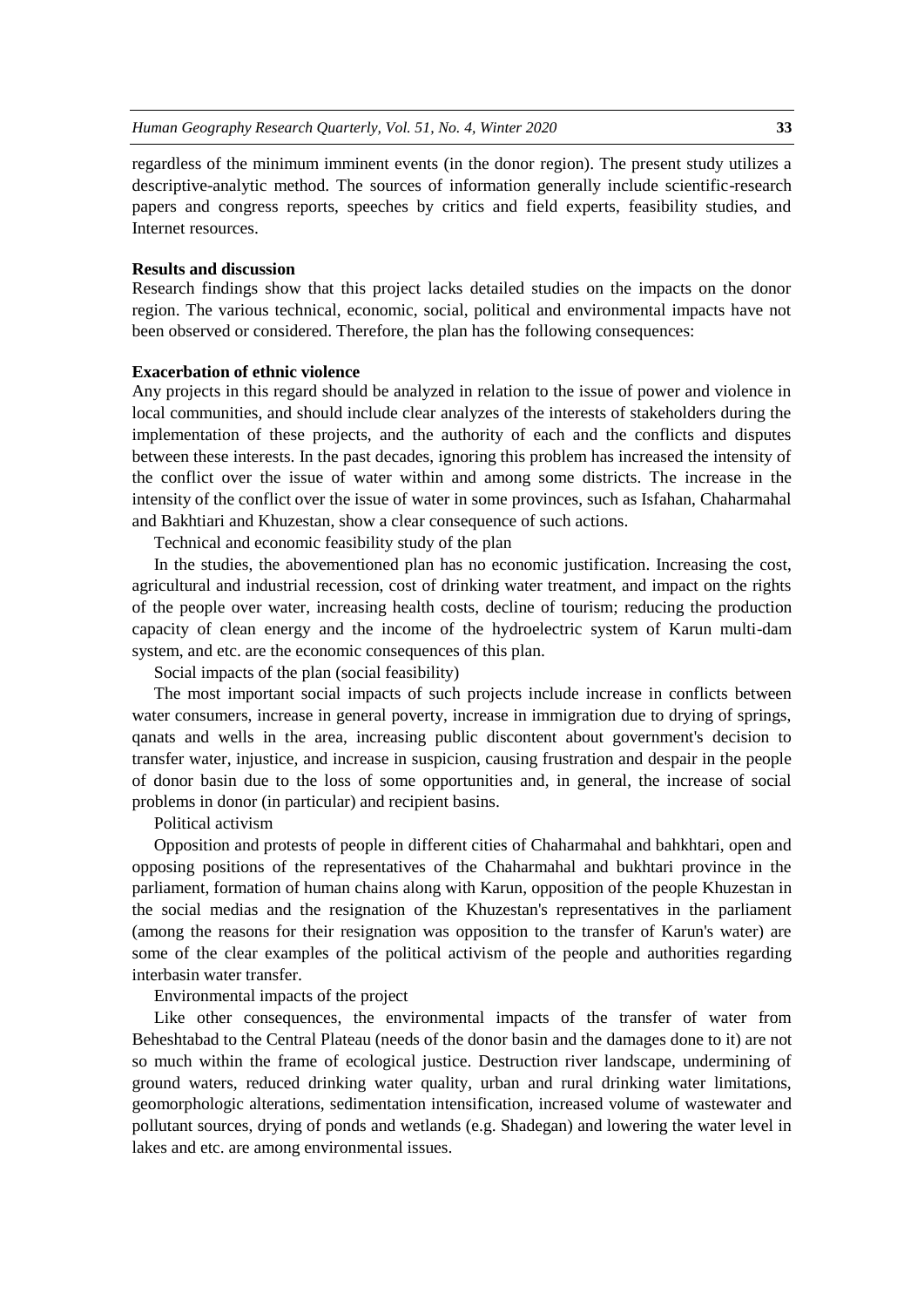regardless of the minimum imminent events (in the donor region). The present study utilizes a descriptive-analytic method. The sources of information generally include scientific-research papers and congress reports, speeches by critics and field experts, feasibility studies, and Internet resources.

# **Results and discussion**

Research findings show that this project lacks detailed studies on the impacts on the donor region. The various technical, economic, social, political and environmental impacts have not been observed or considered. Therefore, the plan has the following consequences:

#### **Exacerbation of ethnic violence**

Any projects in this regard should be analyzed in relation to the issue of power and violence in local communities, and should include clear analyzes of the interests of stakeholders during the implementation of these projects, and the authority of each and the conflicts and disputes between these interests. In the past decades, ignoring this problem has increased the intensity of the conflict over the issue of water within and among some districts. The increase in the intensity of the conflict over the issue of water in some provinces, such as Isfahan, Chaharmahal and Bakhtiari and Khuzestan, show a clear consequence of such actions.

Technical and economic feasibility study of the plan

In the studies, the abovementioned plan has no economic justification. Increasing the cost, agricultural and industrial recession, cost of drinking water treatment, and impact on the rights of the people over water, increasing health costs, decline of tourism; reducing the production capacity of clean energy and the income of the hydroelectric system of Karun multi-dam system, and etc. are the economic consequences of this plan.

Social impacts of the plan (social feasibility)

The most important social impacts of such projects include increase in conflicts between water consumers, increase in general poverty, increase in immigration due to drying of springs, qanats and wells in the area, increasing public discontent about government's decision to transfer water, injustice, and increase in suspicion, causing frustration and despair in the people of donor basin due to the loss of some opportunities and, in general, the increase of social problems in donor (in particular) and recipient basins.

#### Political activism

Opposition and protests of people in different cities of Chaharmahal and bahkhtari, open and opposing positions of the representatives of the Chaharmahal and bukhtari province in the parliament, formation of human chains along with Karun, opposition of the people Khuzestan in the social medias and the resignation of the Khuzestan's representatives in the parliament (among the reasons for their resignation was opposition to the transfer of Karun's water) are some of the clear examples of the political activism of the people and authorities regarding interbasin water transfer.

#### Environmental impacts of the project

Like other consequences, the environmental impacts of the transfer of water from Beheshtabad to the Central Plateau (needs of the donor basin and the damages done to it) are not so much within the frame of ecological justice. Destruction river landscape, undermining of ground waters, reduced drinking water quality, urban and rural drinking water limitations, geomorphologic alterations, sedimentation intensification, increased volume of wastewater and pollutant sources, drying of ponds and wetlands (e.g. Shadegan) and lowering the water level in lakes and etc. are among environmental issues.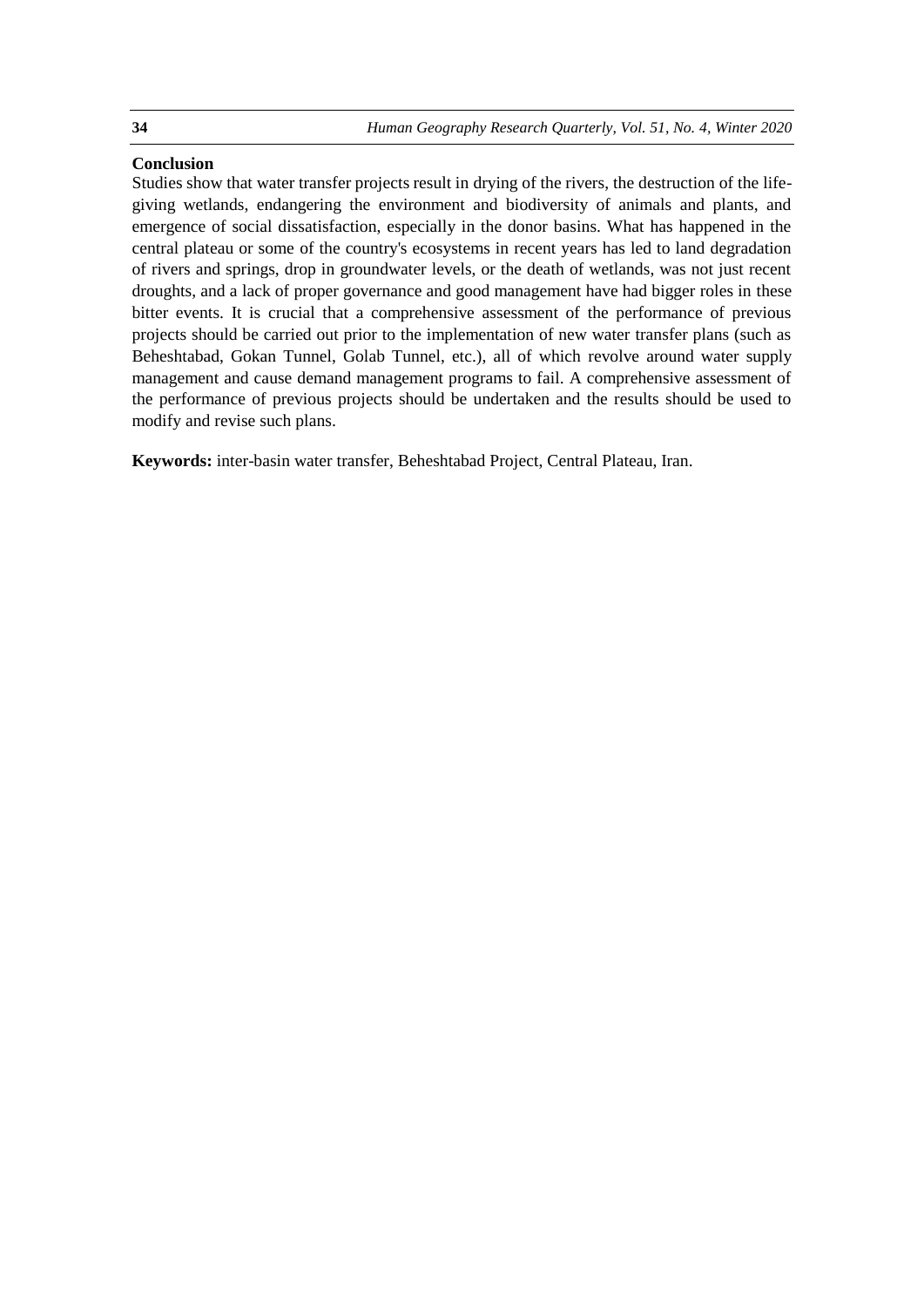# **Conclusion**

Studies show that water transfer projects result in drying of the rivers, the destruction of the lifegiving wetlands, endangering the environment and biodiversity of animals and plants, and emergence of social dissatisfaction, especially in the donor basins. What has happened in the central plateau or some of the country's ecosystems in recent years has led to land degradation of rivers and springs, drop in groundwater levels, or the death of wetlands, was not just recent droughts, and a lack of proper governance and good management have had bigger roles in these bitter events. It is crucial that a comprehensive assessment of the performance of previous projects should be carried out prior to the implementation of new water transfer plans (such as Beheshtabad, Gokan Tunnel, Golab Tunnel, etc.), all of which revolve around water supply management and cause demand management programs to fail. A comprehensive assessment of the performance of previous projects should be undertaken and the results should be used to modify and revise such plans.

**Keywords:** inter-basin water transfer, Beheshtabad Project, Central Plateau, Iran.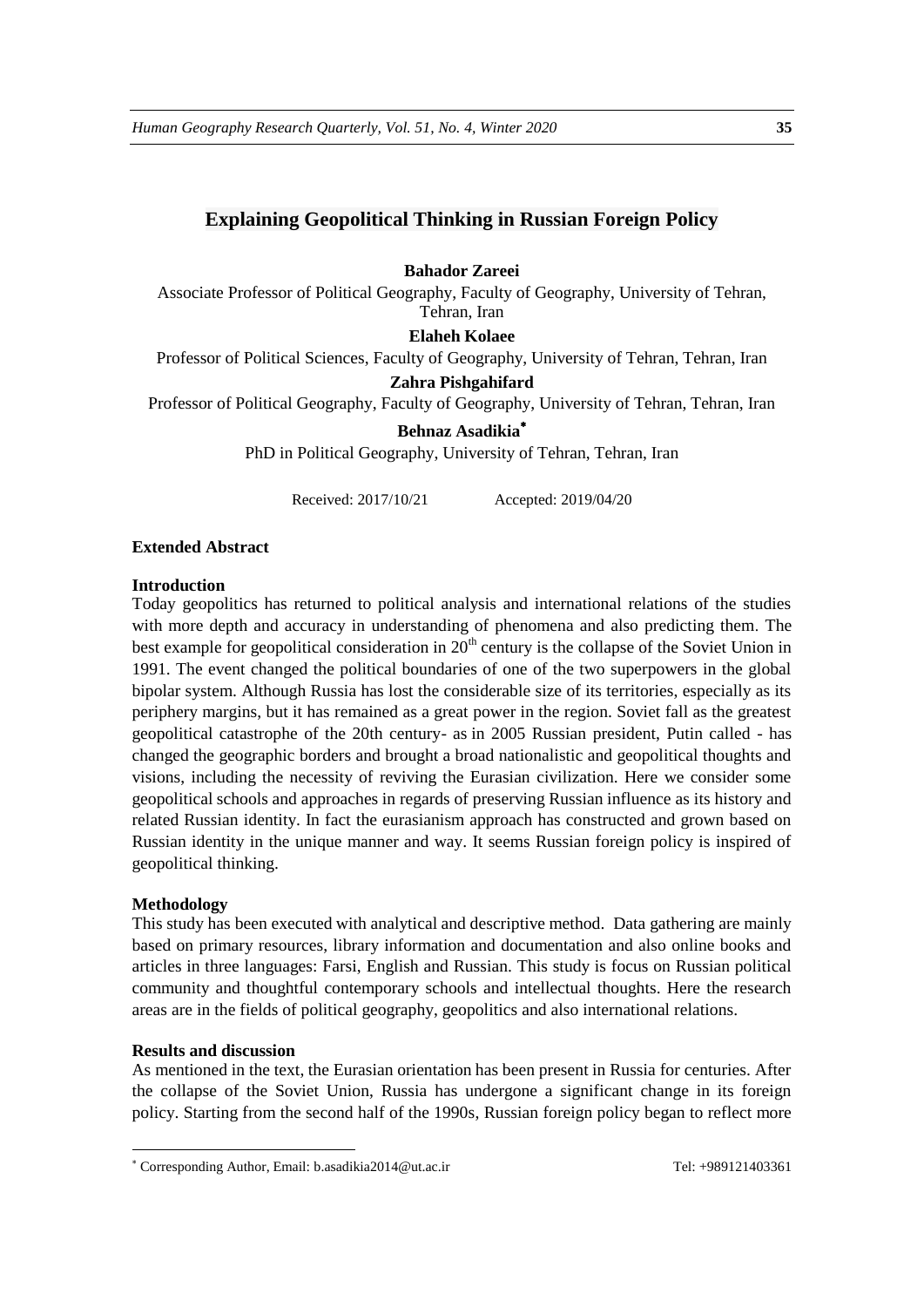# **Explaining Geopolitical Thinking in Russian Foreign Policy**

## **Bahador Zareei**

Associate Professor of Political Geography, Faculty of Geography, University of Tehran, Tehran, Iran

**Elaheh Kolaee**

Professor of Political Sciences, Faculty of Geography, University of Tehran, Tehran, Iran

# **Zahra Pishgahifard**

Professor of Political Geography, Faculty of Geography, University of Tehran, Tehran, Iran

## **Behnaz Asadikia**

PhD in Political Geography, University of Tehran, Tehran, Iran

Received: 2017/10/21 Accepted: 2019/04/20

#### **Extended Abstract**

# **Introduction**

Today geopolitics has returned to political analysis and international relations of the studies with more depth and accuracy in understanding of phenomena and also predicting them. The best example for geopolitical consideration in 20<sup>th</sup> century is the collapse of the Soviet Union in 1991. The event changed the political boundaries of one of the two superpowers in the global bipolar system. Although Russia has lost the considerable size of its territories, especially as its periphery margins, but it has remained as a great power in the region. Soviet fall as the greatest geopolitical catastrophe of the 20th century- as in 2005 Russian president, Putin called - has changed the geographic borders and brought a broad nationalistic and geopolitical thoughts and visions, including the necessity of reviving the Eurasian civilization. Here we consider some geopolitical schools and approaches in regards of preserving Russian influence as its history and related Russian identity. In fact the eurasianism approach has constructed and grown based on Russian identity in the unique manner and way. It seems Russian foreign policy is inspired of geopolitical thinking.

#### **Methodology**

1

This study has been executed with analytical and descriptive method. Data gathering are mainly based on primary resources, library information and documentation and also online books and articles in three languages: Farsi, English and Russian. This study is focus on Russian political community and thoughtful contemporary schools and intellectual thoughts. Here the research areas are in the fields of political geography, geopolitics and also international relations.

## **Results and discussion**

As mentioned in the text, the Eurasian orientation has been present in Russia for centuries. After the collapse of the Soviet Union, Russia has undergone a significant change in its foreign policy. Starting from the second half of the 1990s, Russian foreign policy began to reflect more

Corresponding Author, Email: b.asadikia2014@ut.ac.ir Tel: +989121403361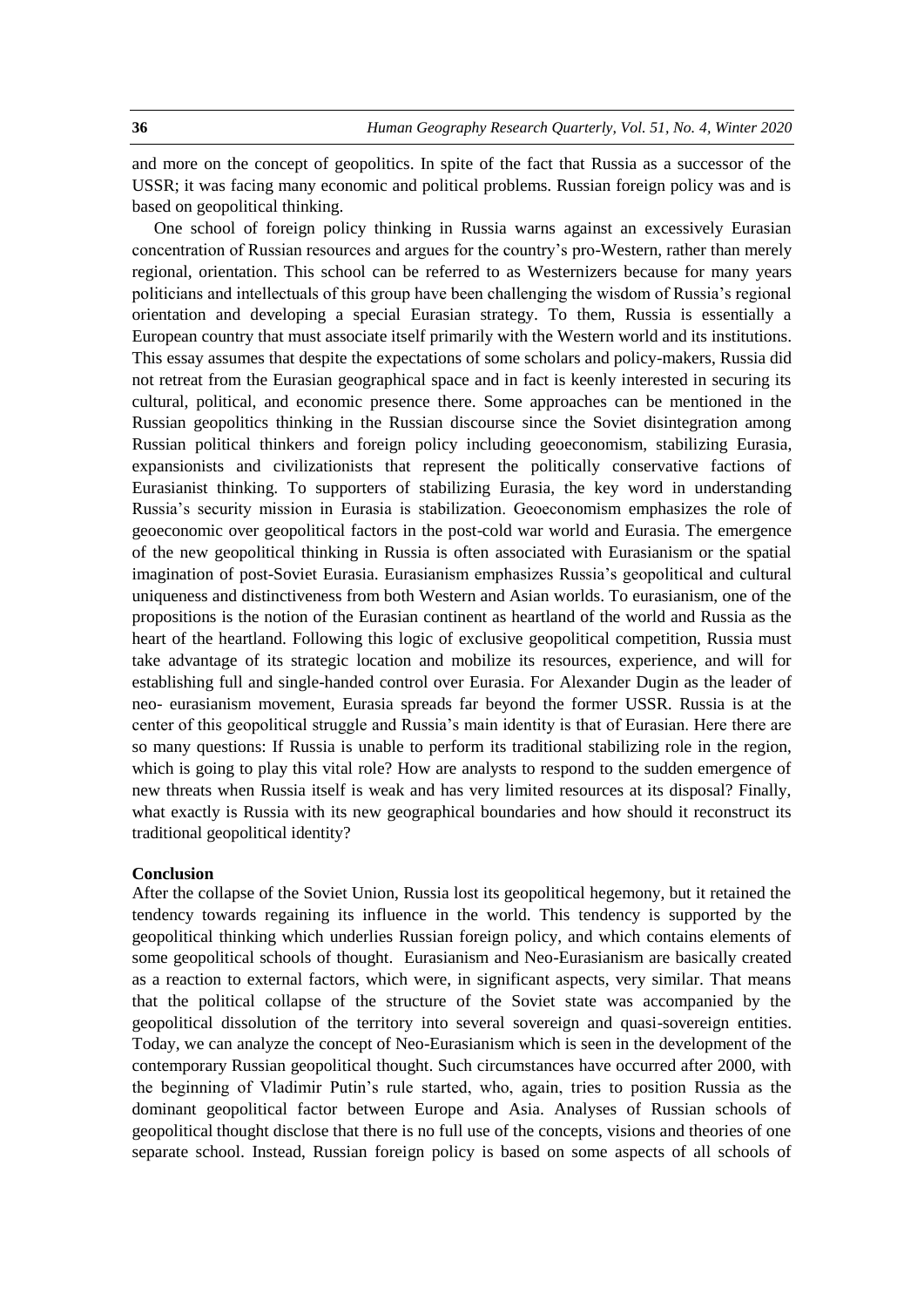and more on the concept of geopolitics. In spite of the fact that Russia as a successor of the USSR; it was facing many economic and political problems. Russian foreign policy was and is based on geopolitical thinking.

One school of foreign policy thinking in Russia warns against an excessively Eurasian concentration of Russian resources and argues for the country's pro-Western, rather than merely regional, orientation. This school can be referred to as Westernizers because for many years politicians and intellectuals of this group have been challenging the wisdom of Russia's regional orientation and developing a special Eurasian strategy. To them, Russia is essentially a European country that must associate itself primarily with the Western world and its institutions. This essay assumes that despite the expectations of some scholars and policy-makers, Russia did not retreat from the Eurasian geographical space and in fact is keenly interested in securing its cultural, political, and economic presence there. Some approaches can be mentioned in the Russian geopolitics thinking in the Russian discourse since the Soviet disintegration among Russian political thinkers and foreign policy including geoeconomism, stabilizing Eurasia, expansionists and civilizationists that represent the politically conservative factions of Eurasianist thinking. To supporters of stabilizing Eurasia, the key word in understanding Russia's security mission in Eurasia is stabilization. Geoeconomism emphasizes the role of geoeconomic over geopolitical factors in the post-cold war world and Eurasia. The emergence of the new geopolitical thinking in Russia is often associated with Eurasianism or the spatial imagination of post-Soviet Eurasia. Eurasianism emphasizes Russia's geopolitical and cultural uniqueness and distinctiveness from both Western and Asian worlds. To eurasianism, one of the propositions is the notion of the Eurasian continent as heartland of the world and Russia as the heart of the heartland. Following this logic of exclusive geopolitical competition, Russia must take advantage of its strategic location and mobilize its resources, experience, and will for establishing full and single-handed control over Eurasia. For Alexander Dugin as the leader of neo- eurasianism movement, Eurasia spreads far beyond the former USSR. Russia is at the center of this geopolitical struggle and Russia's main identity is that of Eurasian. Here there are so many questions: If Russia is unable to perform its traditional stabilizing role in the region, which is going to play this vital role? How are analysts to respond to the sudden emergence of new threats when Russia itself is weak and has very limited resources at its disposal? Finally, what exactly is Russia with its new geographical boundaries and how should it reconstruct its traditional geopolitical identity?

#### **Conclusion**

After the collapse of the Soviet Union, Russia lost its geopolitical hegemony, but it retained the tendency towards regaining its influence in the world. This tendency is supported by the geopolitical thinking which underlies Russian foreign policy, and which contains elements of some geopolitical schools of thought. Eurasianism and Neo-Eurasianism are basically created as a reaction to external factors, which were, in significant aspects, very similar. That means that the political collapse of the structure of the Soviet state was accompanied by the geopolitical dissolution of the territory into several sovereign and quasi-sovereign entities. Today, we can analyze the concept of Neo-Eurasianism which is seen in the development of the contemporary Russian geopolitical thought. Such circumstances have occurred after 2000, with the beginning of Vladimir Putin's rule started, who, again, tries to position Russia as the dominant geopolitical factor between Europe and Asia. Analyses of Russian schools of geopolitical thought disclose that there is no full use of the concepts, visions and theories of one separate school. Instead, Russian foreign policy is based on some aspects of all schools of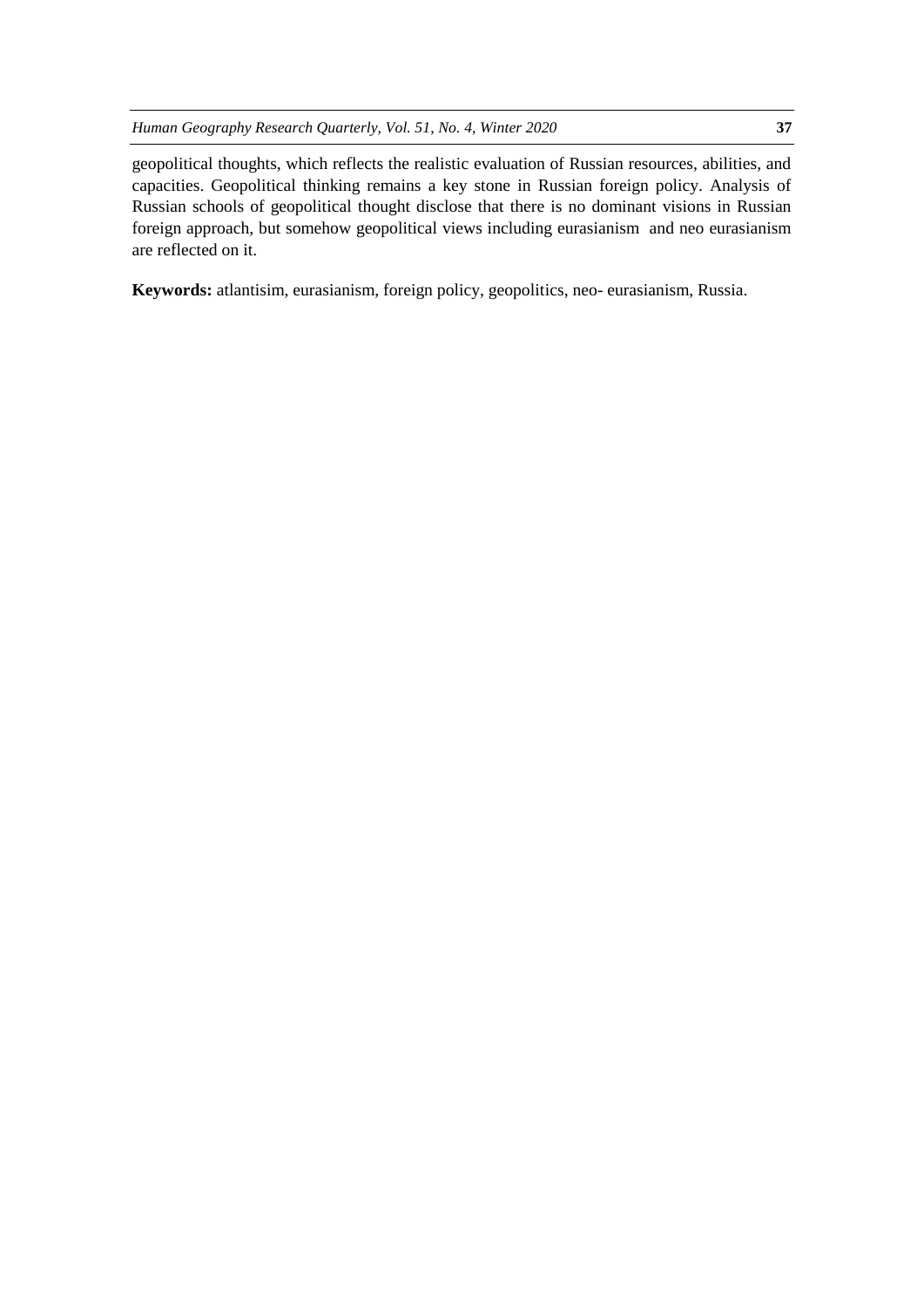geopolitical thoughts, which reflects the realistic evaluation of Russian resources, abilities, and capacities. Geopolitical thinking remains a key stone in Russian foreign policy. Analysis of Russian schools of geopolitical thought disclose that there is no dominant visions in Russian foreign approach, but somehow geopolitical views including eurasianism and neo eurasianism are reflected on it.

**Keywords:** atlantisim, eurasianism, foreign policy, geopolitics, neo- eurasianism, Russia.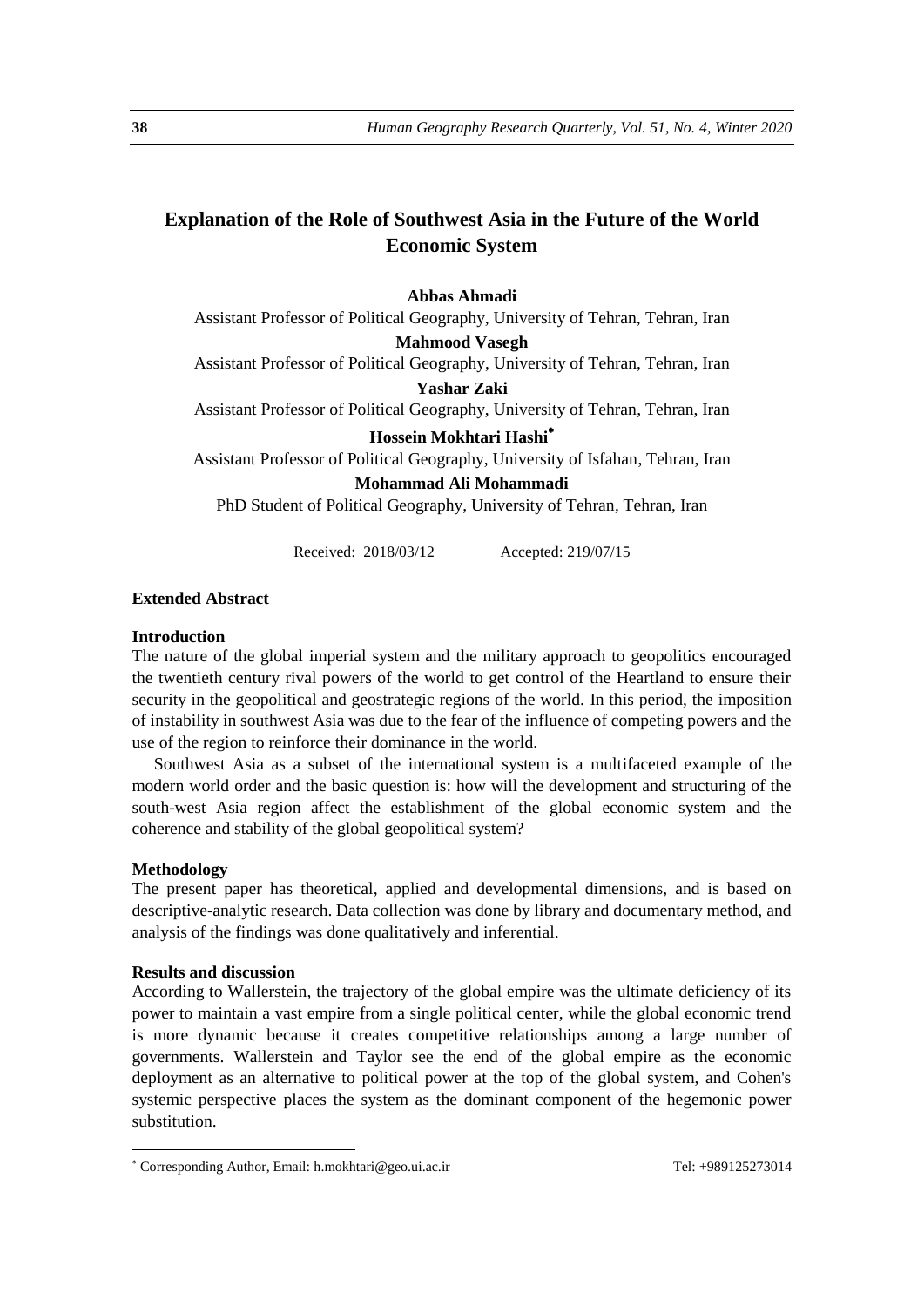# **Explanation of the Role of Southwest Asia in the Future of the World Economic System**

**Abbas Ahmadi** Assistant Professor of Political Geography, University of Tehran, Tehran, Iran **Mahmood Vasegh** Assistant Professor of Political Geography, University of Tehran, Tehran, Iran **Yashar Zaki** Assistant Professor of Political Geography, University of Tehran, Tehran, Iran **Hossein Mokhtari Hashi** Assistant Professor of Political Geography, University of Isfahan, Tehran, Iran **Mohammad Ali Mohammadi**  PhD Student of Political Geography, University of Tehran, Tehran, Iran

Received: 2018/03/12 Accepted: 219/07/15

# **Extended Abstract**

# **Introduction**

The nature of the global imperial system and the military approach to geopolitics encouraged the twentieth century rival powers of the world to get control of the Heartland to ensure their security in the geopolitical and geostrategic regions of the world. In this period, the imposition of instability in southwest Asia was due to the fear of the influence of competing powers and the use of the region to reinforce their dominance in the world.

Southwest Asia as a subset of the international system is a multifaceted example of the modern world order and the basic question is: how will the development and structuring of the south-west Asia region affect the establishment of the global economic system and the coherence and stability of the global geopolitical system?

#### **Methodology**

1

The present paper has theoretical, applied and developmental dimensions, and is based on descriptive-analytic research. Data collection was done by library and documentary method, and analysis of the findings was done qualitatively and inferential.

#### **Results and discussion**

According to Wallerstein, the trajectory of the global empire was the ultimate deficiency of its power to maintain a vast empire from a single political center, while the global economic trend is more dynamic because it creates competitive relationships among a large number of governments. Wallerstein and Taylor see the end of the global empire as the economic deployment as an alternative to political power at the top of the global system, and Cohen's systemic perspective places the system as the dominant component of the hegemonic power substitution.

Corresponding Author, Email: h.mokhtari@geo.ui.ac.ir Tel: +989125273014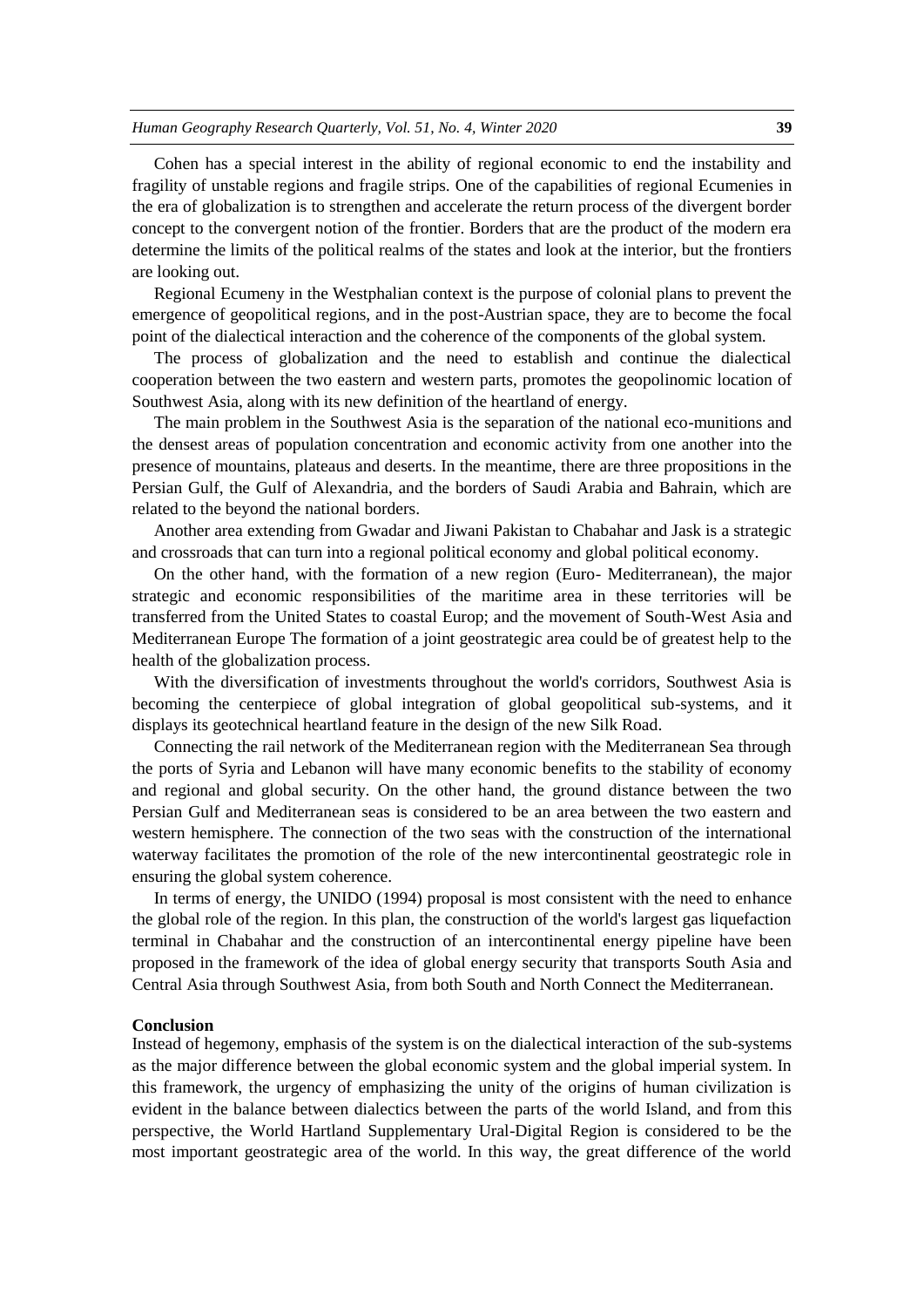Cohen has a special interest in the ability of regional economic to end the instability and fragility of unstable regions and fragile strips. One of the capabilities of regional Ecumenies in the era of globalization is to strengthen and accelerate the return process of the divergent border concept to the convergent notion of the frontier. Borders that are the product of the modern era determine the limits of the political realms of the states and look at the interior, but the frontiers are looking out.

Regional Ecumeny in the Westphalian context is the purpose of colonial plans to prevent the emergence of geopolitical regions, and in the post-Austrian space, they are to become the focal point of the dialectical interaction and the coherence of the components of the global system.

The process of globalization and the need to establish and continue the dialectical cooperation between the two eastern and western parts, promotes the geopolinomic location of Southwest Asia, along with its new definition of the heartland of energy.

The main problem in the Southwest Asia is the separation of the national eco-munitions and the densest areas of population concentration and economic activity from one another into the presence of mountains, plateaus and deserts. In the meantime, there are three propositions in the Persian Gulf, the Gulf of Alexandria, and the borders of Saudi Arabia and Bahrain, which are related to the beyond the national borders.

Another area extending from Gwadar and Jiwani Pakistan to Chabahar and Jask is a strategic and crossroads that can turn into a regional political economy and global political economy.

On the other hand, with the formation of a new region (Euro- Mediterranean), the major strategic and economic responsibilities of the maritime area in these territories will be transferred from the United States to coastal Europ; and the movement of South-West Asia and Mediterranean Europe The formation of a joint geostrategic area could be of greatest help to the health of the globalization process.

With the diversification of investments throughout the world's corridors, Southwest Asia is becoming the centerpiece of global integration of global geopolitical sub-systems, and it displays its geotechnical heartland feature in the design of the new Silk Road.

Connecting the rail network of the Mediterranean region with the Mediterranean Sea through the ports of Syria and Lebanon will have many economic benefits to the stability of economy and regional and global security. On the other hand, the ground distance between the two Persian Gulf and Mediterranean seas is considered to be an area between the two eastern and western hemisphere. The connection of the two seas with the construction of the international waterway facilitates the promotion of the role of the new intercontinental geostrategic role in ensuring the global system coherence.

In terms of energy, the UNIDO (1994) proposal is most consistent with the need to enhance the global role of the region. In this plan, the construction of the world's largest gas liquefaction terminal in Chabahar and the construction of an intercontinental energy pipeline have been proposed in the framework of the idea of global energy security that transports South Asia and Central Asia through Southwest Asia, from both South and North Connect the Mediterranean.

#### **Conclusion**

Instead of hegemony, emphasis of the system is on the dialectical interaction of the sub-systems as the major difference between the global economic system and the global imperial system. In this framework, the urgency of emphasizing the unity of the origins of human civilization is evident in the balance between dialectics between the parts of the world Island, and from this perspective, the World Hartland Supplementary Ural-Digital Region is considered to be the most important geostrategic area of the world. In this way, the great difference of the world